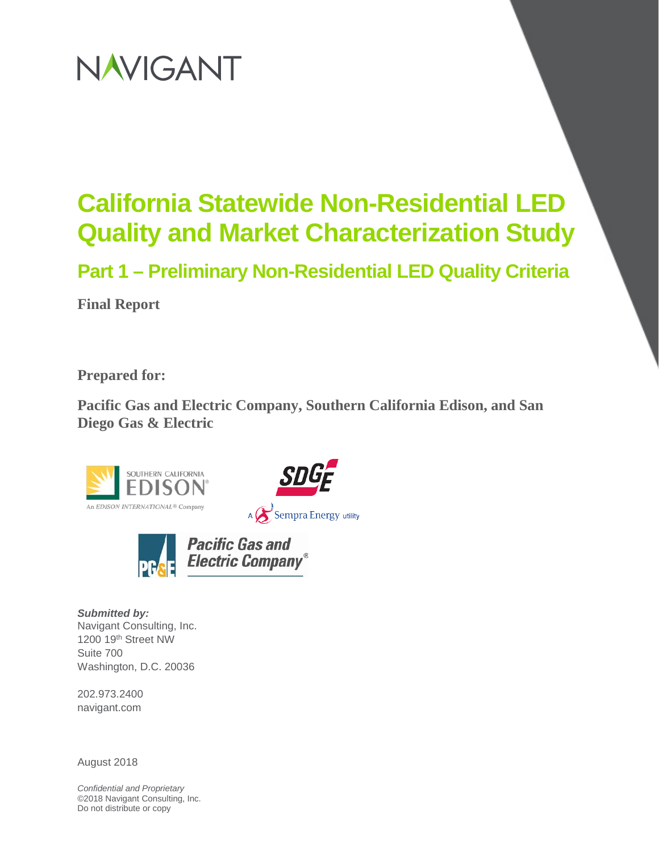# NAVIGANT

# **California Statewide Non-Residential LED Quality and Market Characterization Study**

**Part 1 – Preliminary Non-Residential LED Quality Criteria**

**Final Report**

**Prepared for:**

**Pacific Gas and Electric Company, Southern California Edison, and San Diego Gas & Electric**







*Submitted by:* Navigant Consulting, Inc. 1200 19th Street NW Suite 700 Washington, D.C. 20036

202.973.2400 navigant.com

August 2018

*Confidential and Proprietary* ©2018 Navigant Consulting, Inc. Do not distribute or copy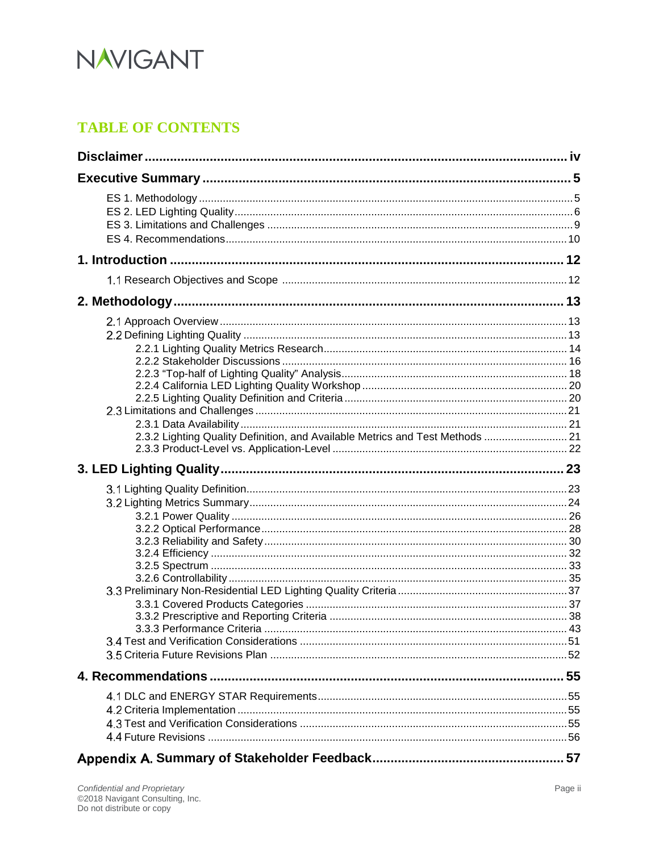

# **TABLE OF CONTENTS**

| 2.3.2 Lighting Quality Definition, and Available Metrics and Test Methods  21 |  |
|-------------------------------------------------------------------------------|--|
|                                                                               |  |
|                                                                               |  |
|                                                                               |  |
|                                                                               |  |
|                                                                               |  |
|                                                                               |  |
|                                                                               |  |
|                                                                               |  |
|                                                                               |  |
|                                                                               |  |
|                                                                               |  |
|                                                                               |  |
|                                                                               |  |
|                                                                               |  |
|                                                                               |  |
|                                                                               |  |
|                                                                               |  |
|                                                                               |  |
|                                                                               |  |
|                                                                               |  |
|                                                                               |  |
|                                                                               |  |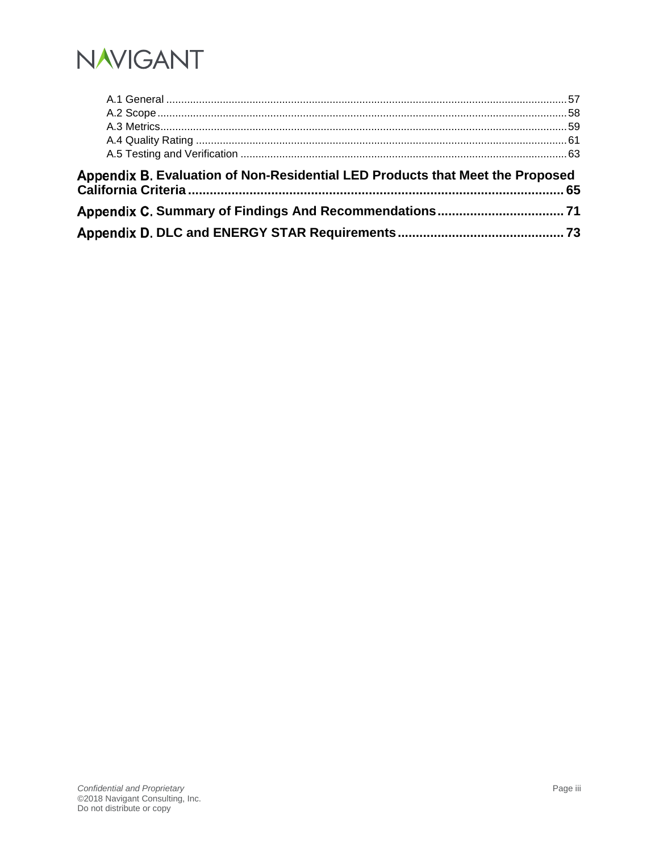

| Appendix B. Evaluation of Non-Residential LED Products that Meet the Proposed |  |
|-------------------------------------------------------------------------------|--|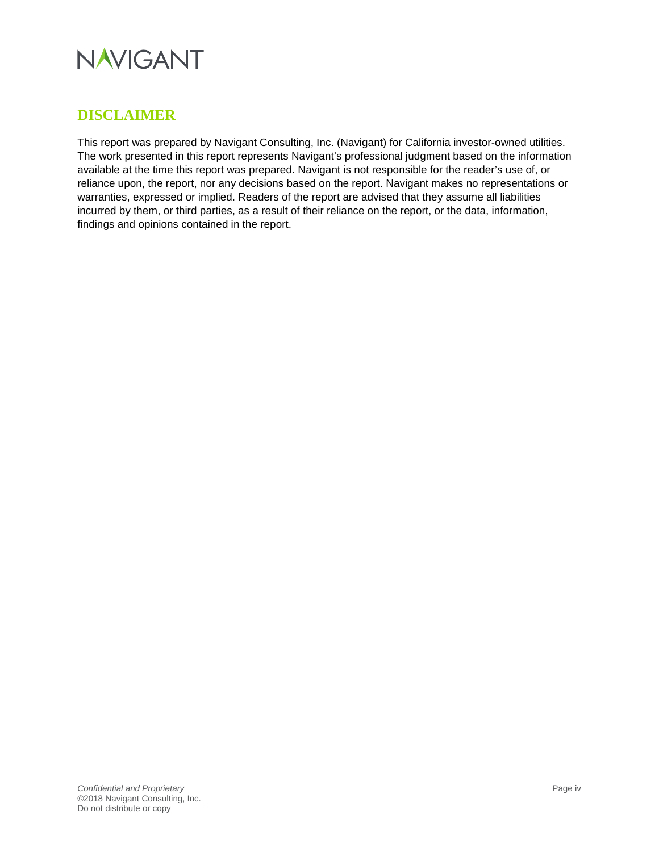

# <span id="page-3-0"></span>**DISCLAIMER**

This report was prepared by Navigant Consulting, Inc. (Navigant) for California investor-owned utilities. The work presented in this report represents Navigant's professional judgment based on the information available at the time this report was prepared. Navigant is not responsible for the reader's use of, or reliance upon, the report, nor any decisions based on the report. Navigant makes no representations or warranties, expressed or implied. Readers of the report are advised that they assume all liabilities incurred by them, or third parties, as a result of their reliance on the report, or the data, information, findings and opinions contained in the report.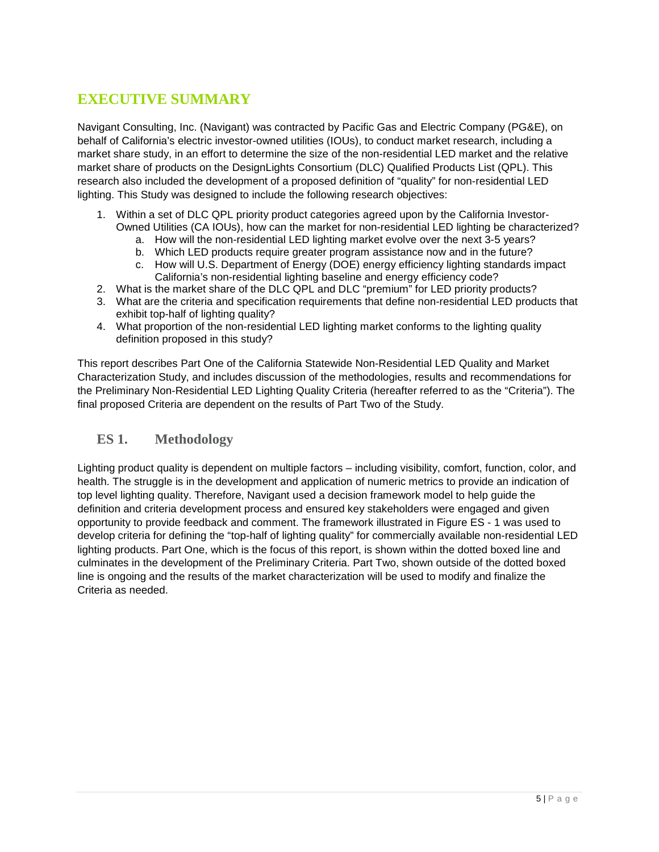# <span id="page-4-0"></span>**EXECUTIVE SUMMARY**

Navigant Consulting, Inc. (Navigant) was contracted by Pacific Gas and Electric Company (PG&E), on behalf of California's electric investor-owned utilities (IOUs), to conduct market research, including a market share study, in an effort to determine the size of the non-residential LED market and the relative market share of products on the DesignLights Consortium (DLC) Qualified Products List (QPL). This research also included the development of a proposed definition of "quality" for non-residential LED lighting. This Study was designed to include the following research objectives:

- 1. Within a set of DLC QPL priority product categories agreed upon by the California Investor-Owned Utilities (CA IOUs), how can the market for non-residential LED lighting be characterized?
	- a. How will the non-residential LED lighting market evolve over the next 3-5 years?
	- b. Which LED products require greater program assistance now and in the future?
	- c. How will U.S. Department of Energy (DOE) energy efficiency lighting standards impact California's non-residential lighting baseline and energy efficiency code?
- 2. What is the market share of the DLC QPL and DLC "premium" for LED priority products?
- 3. What are the criteria and specification requirements that define non-residential LED products that exhibit top-half of lighting quality?
- 4. What proportion of the non-residential LED lighting market conforms to the lighting quality definition proposed in this study?

This report describes Part One of the California Statewide Non-Residential LED Quality and Market Characterization Study, and includes discussion of the methodologies, results and recommendations for the Preliminary Non-Residential LED Lighting Quality Criteria (hereafter referred to as the "Criteria"). The final proposed Criteria are dependent on the results of Part Two of the Study.

# <span id="page-4-1"></span>**ES 1. Methodology**

Lighting product quality is dependent on multiple factors – including visibility, comfort, function, color, and health. The struggle is in the development and application of numeric metrics to provide an indication of top level lighting quality. Therefore, Navigant used a decision framework model to help guide the definition and criteria development process and ensured key stakeholders were engaged and given opportunity to provide feedback and comment. The framework illustrated in [Figure ES -](#page-5-1) 1 was used to develop criteria for defining the "top-half of lighting quality" for commercially available non-residential LED lighting products. Part One, which is the focus of this report, is shown within the dotted boxed line and culminates in the development of the Preliminary Criteria. Part Two, shown outside of the dotted boxed line is ongoing and the results of the market characterization will be used to modify and finalize the Criteria as needed.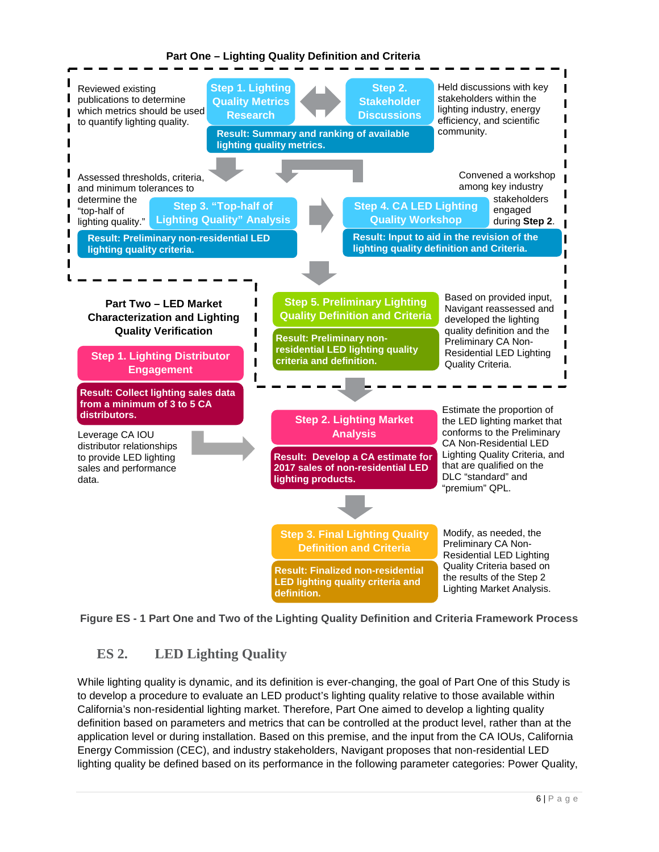

# **Part One – Lighting Quality Definition and Criteria**

<span id="page-5-0"></span>

# <span id="page-5-1"></span>**ES 2. LED Lighting Quality**

While lighting quality is dynamic, and its definition is ever-changing, the goal of Part One of this Study is to develop a procedure to evaluate an LED product's lighting quality relative to those available within California's non-residential lighting market. Therefore, Part One aimed to develop a lighting quality definition based on parameters and metrics that can be controlled at the product level, rather than at the application level or during installation. Based on this premise, and the input from the CA IOUs, California Energy Commission (CEC), and industry stakeholders, Navigant proposes that non-residential LED lighting quality be defined based on its performance in the following parameter categories: Power Quality,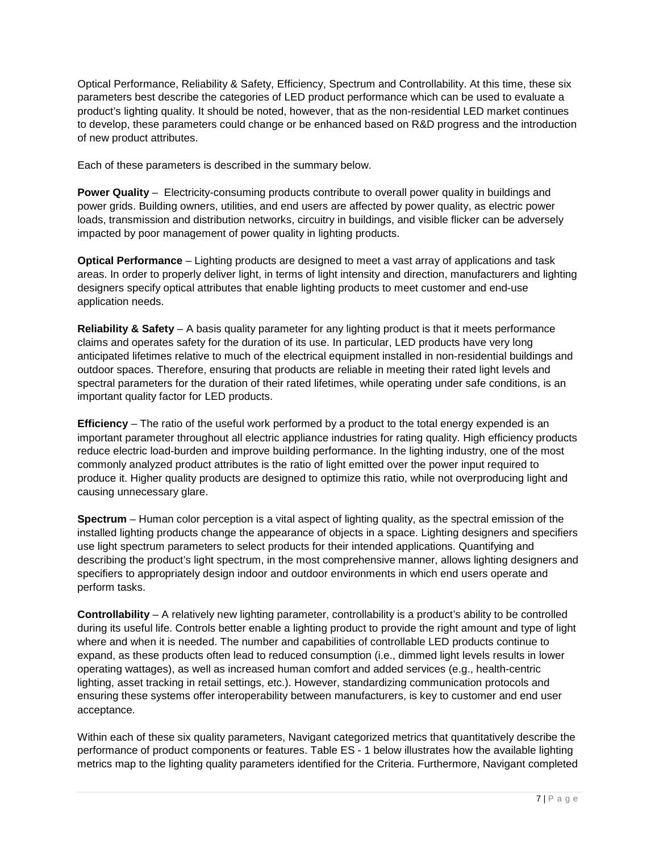Optical Performance, Reliability & Safety, Efficiency, Spectrum and Controllability. At this time, these six parameters best describe the categories of LED product performance which can be used to evaluate a product's lighting quality. It should be noted, however, that as the non-residential LED market continues to develop, these parameters could change or be enhanced based on R&D progress and the introduction of new product attributes.

Each of these parameters is described in the summary below.

**Power Quality** – Electricity-consuming products contribute to overall power quality in buildings and power grids. Building owners, utilities, and end users are affected by power quality, as electric power loads, transmission and distribution networks, circuitry in buildings, and visible flicker can be adversely impacted by poor management of power quality in lighting products.

**Optical Performance** – Lighting products are designed to meet a vast array of applications and task areas. In order to properly deliver light, in terms of light intensity and direction, manufacturers and lighting designers specify optical attributes that enable lighting products to meet customer and end-use application needs.

**Reliability & Safety** – A basis quality parameter for any lighting product is that it meets performance claims and operates safety for the duration of its use. In particular, LED products have very long anticipated lifetimes relative to much of the electrical equipment installed in non-residential buildings and outdoor spaces. Therefore, ensuring that products are reliable in meeting their rated light levels and spectral parameters for the duration of their rated lifetimes, while operating under safe conditions, is an important quality factor for LED products.

**Efficiency** – The ratio of the useful work performed by a product to the total energy expended is an important parameter throughout all electric appliance industries for rating quality. High efficiency products reduce electric load-burden and improve building performance. In the lighting industry, one of the most commonly analyzed product attributes is the ratio of light emitted over the power input required to produce it. Higher quality products are designed to optimize this ratio, while not overproducing light and causing unnecessary glare.

**Spectrum** – Human color perception is a vital aspect of lighting quality, as the spectral emission of the installed lighting products change the appearance of objects in a space. Lighting designers and specifiers use light spectrum parameters to select products for their intended applications. Quantifying and describing the product's light spectrum, in the most comprehensive manner, allows lighting designers and specifiers to appropriately design indoor and outdoor environments in which end users operate and perform tasks.

**Controllability** – A relatively new lighting parameter, controllability is a product's ability to be controlled during its useful life. Controls better enable a lighting product to provide the right amount and type of light where and when it is needed. The number and capabilities of controllable LED products continue to expand, as these products often lead to reduced consumption (i.e., dimmed light levels results in lower operating wattages), as well as increased human comfort and added services (e.g., health-centric lighting, asset tracking in retail settings, etc.). However, standardizing communication protocols and ensuring these systems offer interoperability between manufacturers, is key to customer and end user acceptance.

Within each of these six quality parameters, Navigant categorized metrics that quantitatively describe the performance of product components or features. [Table ES -](#page-7-0) 1 below illustrates how the available lighting metrics map to the lighting quality parameters identified for the Criteria. Furthermore, Navigant completed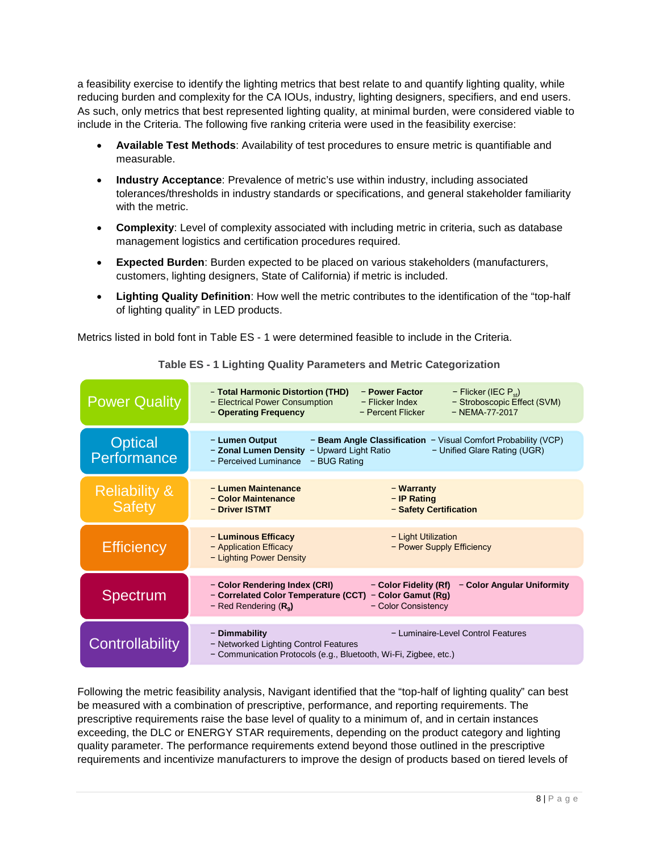a feasibility exercise to identify the lighting metrics that best relate to and quantify lighting quality, while reducing burden and complexity for the CA IOUs, industry, lighting designers, specifiers, and end users. As such, only metrics that best represented lighting quality, at minimal burden, were considered viable to include in the Criteria. The following five ranking criteria were used in the feasibility exercise:

- **Available Test Methods**: Availability of test procedures to ensure metric is quantifiable and measurable.
- **Industry Acceptance**: Prevalence of metric's use within industry, including associated tolerances/thresholds in industry standards or specifications, and general stakeholder familiarity with the metric.
- **Complexity**: Level of complexity associated with including metric in criteria, such as database management logistics and certification procedures required.
- **Expected Burden**: Burden expected to be placed on various stakeholders (manufacturers, customers, lighting designers, State of California) if metric is included.
- **Lighting Quality Definition**: How well the metric contributes to the identification of the "top-half of lighting quality" in LED products.

Metrics listed in bold font in [Table ES -](#page-7-0) 1 were determined feasible to include in the Criteria.

<span id="page-7-0"></span>

| <b>Power Quality</b>                      | - Total Harmonic Distortion (THD)<br>- Power Factor<br>$-$ Flicker (IEC $P_{st}$ )<br>- Stroboscopic Effect (SVM)<br>- Electrical Power Consumption<br>- Flicker Index<br>$-$ NEMA-77-2017<br>- Operating Frequency<br>- Percent Flicker |
|-------------------------------------------|------------------------------------------------------------------------------------------------------------------------------------------------------------------------------------------------------------------------------------------|
| <b>Optical</b><br>Performance             | - Lumen Output<br>- Beam Angle Classification - Visual Comfort Probability (VCP)<br>- Zonal Lumen Density<br>- Upward Light Ratio<br>- Unified Glare Rating (UGR)<br>- Perceived Luminance<br>- BUG Rating                               |
| <b>Reliability &amp;</b><br><b>Safety</b> | - Lumen Maintenance<br>- Warranty<br>- Color Maintenance<br>$-$ IP Rating<br>- Safety Certification<br>- Driver ISTMT                                                                                                                    |
| <b>Efficiency</b>                         | - Luminous Efficacy<br>- Light Utilization<br>- Power Supply Efficiency<br>- Application Efficacy<br>- Lighting Power Density                                                                                                            |
| <b>Spectrum</b>                           | - Color Rendering Index (CRI)<br>- Color Fidelity (Rf)<br>- Color Angular Uniformity<br>- Correlated Color Temperature (CCT)<br>- Color Gamut (Rg)<br>- Red Rendering $(Ra)$<br>- Color Consistency                                      |
| Controllability                           | - Dimmability<br>- Luminaire-Level Control Features<br>- Networked Lighting Control Features<br>- Communication Protocols (e.g., Bluetooth, Wi-Fi, Zigbee, etc.)                                                                         |

**Table ES - 1 Lighting Quality Parameters and Metric Categorization**

Following the metric feasibility analysis, Navigant identified that the "top-half of lighting quality" can best be measured with a combination of prescriptive, performance, and reporting requirements. The prescriptive requirements raise the base level of quality to a minimum of, and in certain instances exceeding, the DLC or ENERGY STAR requirements, depending on the product category and lighting quality parameter. The performance requirements extend beyond those outlined in the prescriptive requirements and incentivize manufacturers to improve the design of products based on tiered levels of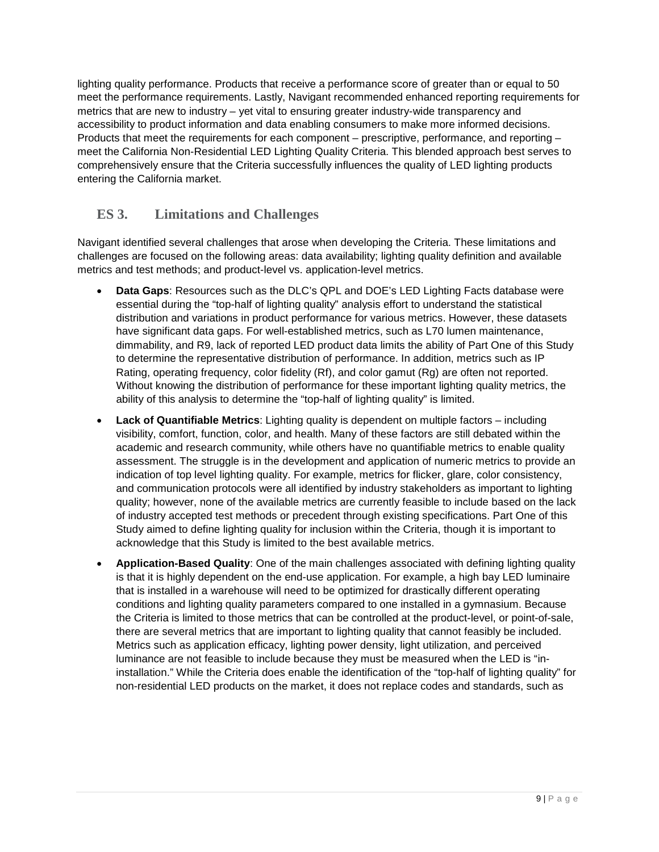lighting quality performance. Products that receive a performance score of greater than or equal to 50 meet the performance requirements. Lastly, Navigant recommended enhanced reporting requirements for metrics that are new to industry – yet vital to ensuring greater industry-wide transparency and accessibility to product information and data enabling consumers to make more informed decisions. Products that meet the requirements for each component – prescriptive, performance, and reporting – meet the California Non-Residential LED Lighting Quality Criteria. This blended approach best serves to comprehensively ensure that the Criteria successfully influences the quality of LED lighting products entering the California market.

# <span id="page-8-0"></span>**ES 3. Limitations and Challenges**

Navigant identified several challenges that arose when developing the Criteria. These limitations and challenges are focused on the following areas: data availability; lighting quality definition and available metrics and test methods; and product-level vs. application-level metrics.

- **Data Gaps**: Resources such as the DLC's QPL and DOE's LED Lighting Facts database were essential during the "top-half of lighting quality" analysis effort to understand the statistical distribution and variations in product performance for various metrics. However, these datasets have significant data gaps. For well-established metrics, such as L70 lumen maintenance, dimmability, and R9, lack of reported LED product data limits the ability of Part One of this Study to determine the representative distribution of performance. In addition, metrics such as IP Rating, operating frequency, color fidelity (Rf), and color gamut (Rg) are often not reported. Without knowing the distribution of performance for these important lighting quality metrics, the ability of this analysis to determine the "top-half of lighting quality" is limited.
- **Lack of Quantifiable Metrics**: Lighting quality is dependent on multiple factors including visibility, comfort, function, color, and health. Many of these factors are still debated within the academic and research community, while others have no quantifiable metrics to enable quality assessment. The struggle is in the development and application of numeric metrics to provide an indication of top level lighting quality. For example, metrics for flicker, glare, color consistency, and communication protocols were all identified by industry stakeholders as important to lighting quality; however, none of the available metrics are currently feasible to include based on the lack of industry accepted test methods or precedent through existing specifications. Part One of this Study aimed to define lighting quality for inclusion within the Criteria, though it is important to acknowledge that this Study is limited to the best available metrics.
- **Application-Based Quality**: One of the main challenges associated with defining lighting quality is that it is highly dependent on the end-use application. For example, a high bay LED luminaire that is installed in a warehouse will need to be optimized for drastically different operating conditions and lighting quality parameters compared to one installed in a gymnasium. Because the Criteria is limited to those metrics that can be controlled at the product-level, or point-of-sale, there are several metrics that are important to lighting quality that cannot feasibly be included. Metrics such as application efficacy, lighting power density, light utilization, and perceived luminance are not feasible to include because they must be measured when the LED is "ininstallation." While the Criteria does enable the identification of the "top-half of lighting quality" for non-residential LED products on the market, it does not replace codes and standards, such as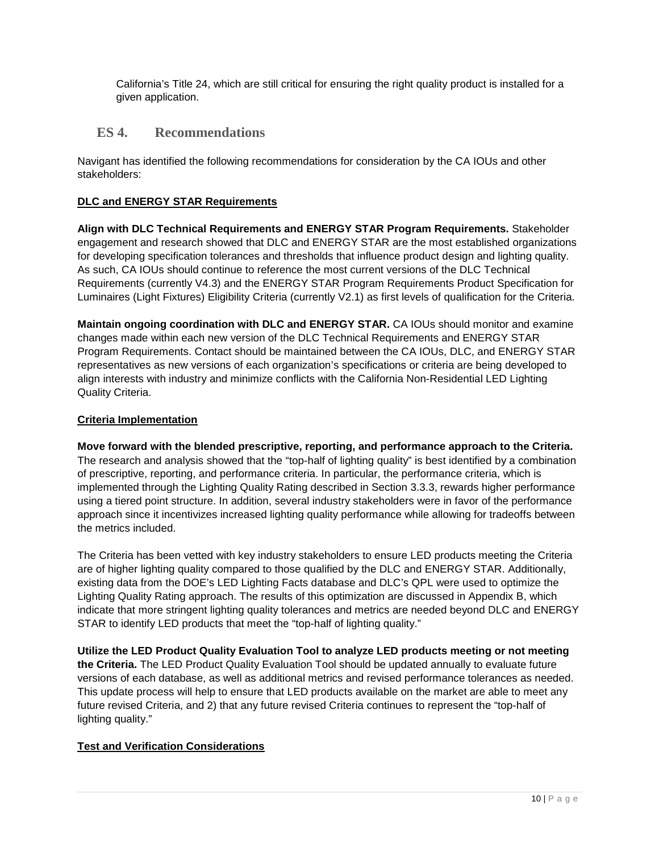California's Title 24, which are still critical for ensuring the right quality product is installed for a given application.

# <span id="page-9-0"></span>**ES 4. Recommendations**

Navigant has identified the following recommendations for consideration by the CA IOUs and other stakeholders:

#### **DLC and ENERGY STAR Requirements**

**Align with DLC Technical Requirements and ENERGY STAR Program Requirements.** Stakeholder engagement and research showed that DLC and ENERGY STAR are the most established organizations for developing specification tolerances and thresholds that influence product design and lighting quality. As such, CA IOUs should continue to reference the most current versions of the DLC Technical Requirements (currently V4.3) and the ENERGY STAR Program Requirements Product Specification for Luminaires (Light Fixtures) Eligibility Criteria (currently V2.1) as first levels of qualification for the Criteria.

**Maintain ongoing coordination with DLC and ENERGY STAR.** CA IOUs should monitor and examine changes made within each new version of the DLC Technical Requirements and ENERGY STAR Program Requirements. Contact should be maintained between the CA IOUs, DLC, and ENERGY STAR representatives as new versions of each organization's specifications or criteria are being developed to align interests with industry and minimize conflicts with the California Non-Residential LED Lighting Quality Criteria.

#### **Criteria Implementation**

**Move forward with the blended prescriptive, reporting, and performance approach to the Criteria.**  The research and analysis showed that the "top-half of lighting quality" is best identified by a combination of prescriptive, reporting, and performance criteria. In particular, the performance criteria, which is implemented through the Lighting Quality Rating described in Section [3.3.3,](#page-42-0) rewards higher performance using a tiered point structure. In addition, several industry stakeholders were in favor of the performance approach since it incentivizes increased lighting quality performance while allowing for tradeoffs between the metrics included.

The Criteria has been vetted with key industry stakeholders to ensure LED products meeting the Criteria are of higher lighting quality compared to those qualified by the DLC and ENERGY STAR. Additionally, existing data from the DOE's LED Lighting Facts database and DLC's QPL were used to optimize the Lighting Quality Rating approach. The results of this optimization are discussed in [Appendix B,](#page-64-0) which indicate that more stringent lighting quality tolerances and metrics are needed beyond DLC and ENERGY STAR to identify LED products that meet the "top-half of lighting quality."

**Utilize the LED Product Quality Evaluation Tool to analyze LED products meeting or not meeting the Criteria.** The LED Product Quality Evaluation Tool should be updated annually to evaluate future versions of each database, as well as additional metrics and revised performance tolerances as needed. This update process will help to ensure that LED products available on the market are able to meet any future revised Criteria, and 2) that any future revised Criteria continues to represent the "top-half of lighting quality."

#### **Test and Verification Considerations**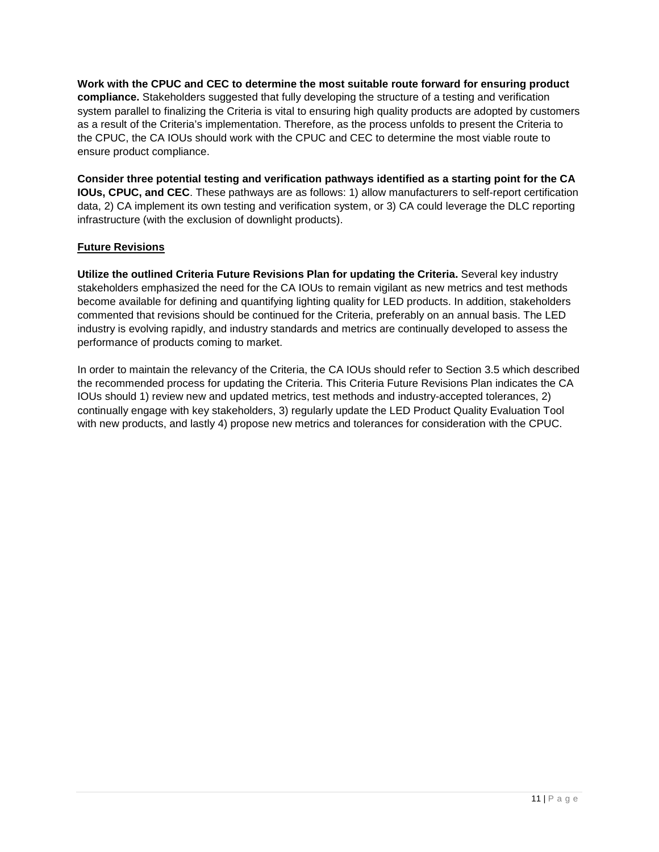**Work with the CPUC and CEC to determine the most suitable route forward for ensuring product compliance.** Stakeholders suggested that fully developing the structure of a testing and verification system parallel to finalizing the Criteria is vital to ensuring high quality products are adopted by customers as a result of the Criteria's implementation. Therefore, as the process unfolds to present the Criteria to the CPUC, the CA IOUs should work with the CPUC and CEC to determine the most viable route to ensure product compliance.

**Consider three potential testing and verification pathways identified as a starting point for the CA IOUs, CPUC, and CEC**. These pathways are as follows: 1) allow manufacturers to self-report certification data, 2) CA implement its own testing and verification system, or 3) CA could leverage the DLC reporting infrastructure (with the exclusion of downlight products).

#### **Future Revisions**

**Utilize the outlined Criteria Future Revisions Plan for updating the Criteria.** Several key industry stakeholders emphasized the need for the CA IOUs to remain vigilant as new metrics and test methods become available for defining and quantifying lighting quality for LED products. In addition, stakeholders commented that revisions should be continued for the Criteria, preferably on an annual basis. The LED industry is evolving rapidly, and industry standards and metrics are continually developed to assess the performance of products coming to market.

In order to maintain the relevancy of the Criteria, the CA IOUs should refer to Section [3.5](#page-51-0) which described the recommended process for updating the Criteria. This Criteria Future Revisions Plan indicates the CA IOUs should 1) review new and updated metrics, test methods and industry-accepted tolerances, 2) continually engage with key stakeholders, 3) regularly update the LED Product Quality Evaluation Tool with new products, and lastly 4) propose new metrics and tolerances for consideration with the CPUC.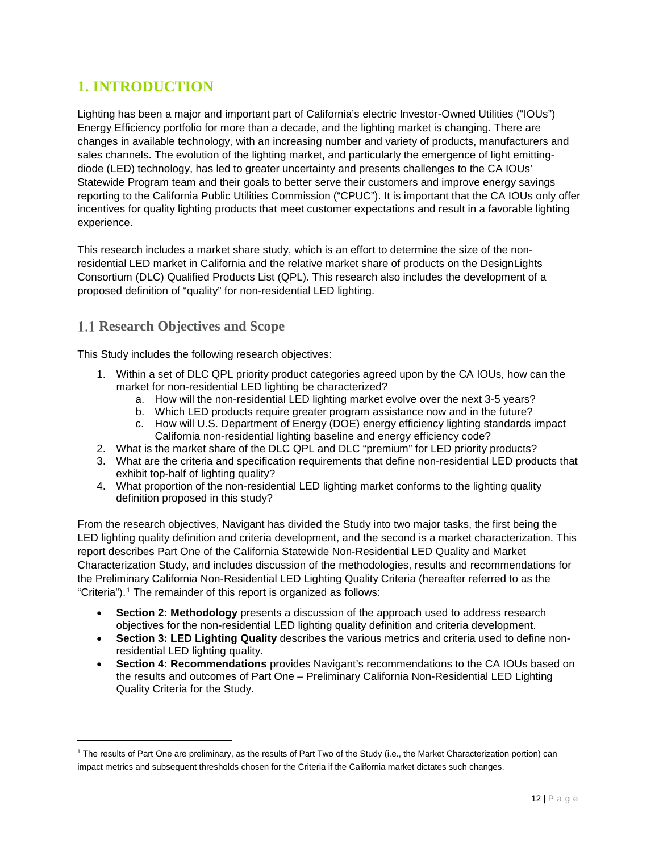# <span id="page-11-0"></span>**1. INTRODUCTION**

Lighting has been a major and important part of California's electric Investor-Owned Utilities ("IOUs") Energy Efficiency portfolio for more than a decade, and the lighting market is changing. There are changes in available technology, with an increasing number and variety of products, manufacturers and sales channels. The evolution of the lighting market, and particularly the emergence of light emittingdiode (LED) technology, has led to greater uncertainty and presents challenges to the CA IOUs' Statewide Program team and their goals to better serve their customers and improve energy savings reporting to the California Public Utilities Commission ("CPUC"). It is important that the CA IOUs only offer incentives for quality lighting products that meet customer expectations and result in a favorable lighting experience.

This research includes a market share study, which is an effort to determine the size of the nonresidential LED market in California and the relative market share of products on the DesignLights Consortium (DLC) Qualified Products List (QPL). This research also includes the development of a proposed definition of "quality" for non-residential LED lighting.

# <span id="page-11-1"></span>**Research Objectives and Scope**

This Study includes the following research objectives:

- 1. Within a set of DLC QPL priority product categories agreed upon by the CA IOUs, how can the market for non-residential LED lighting be characterized?
	- a. How will the non-residential LED lighting market evolve over the next 3-5 years?
	- b. Which LED products require greater program assistance now and in the future?
	- c. How will U.S. Department of Energy (DOE) energy efficiency lighting standards impact California non-residential lighting baseline and energy efficiency code?
- 2. What is the market share of the DLC QPL and DLC "premium" for LED priority products?
- 3. What are the criteria and specification requirements that define non-residential LED products that exhibit top-half of lighting quality?
- 4. What proportion of the non-residential LED lighting market conforms to the lighting quality definition proposed in this study?

From the research objectives, Navigant has divided the Study into two major tasks, the first being the LED lighting quality definition and criteria development, and the second is a market characterization. This report describes Part One of the California Statewide Non-Residential LED Quality and Market Characterization Study, and includes discussion of the methodologies, results and recommendations for the Preliminary California Non-Residential LED Lighting Quality Criteria (hereafter referred to as the "Criteria").<sup>[1](#page-11-2)</sup> The remainder of this report is organized as follows:

- **Section 2: Methodology** presents a discussion of the approach used to address research objectives for the non-residential LED lighting quality definition and criteria development.
- **Section 3: LED Lighting Quality** describes the various metrics and criteria used to define nonresidential LED lighting quality.
- **Section 4: Recommendations** provides Navigant's recommendations to the CA IOUs based on the results and outcomes of Part One – Preliminary California Non-Residential LED Lighting Quality Criteria for the Study.

<span id="page-11-2"></span> <sup>1</sup> The results of Part One are preliminary, as the results of Part Two of the Study (i.e., the Market Characterization portion) can impact metrics and subsequent thresholds chosen for the Criteria if the California market dictates such changes.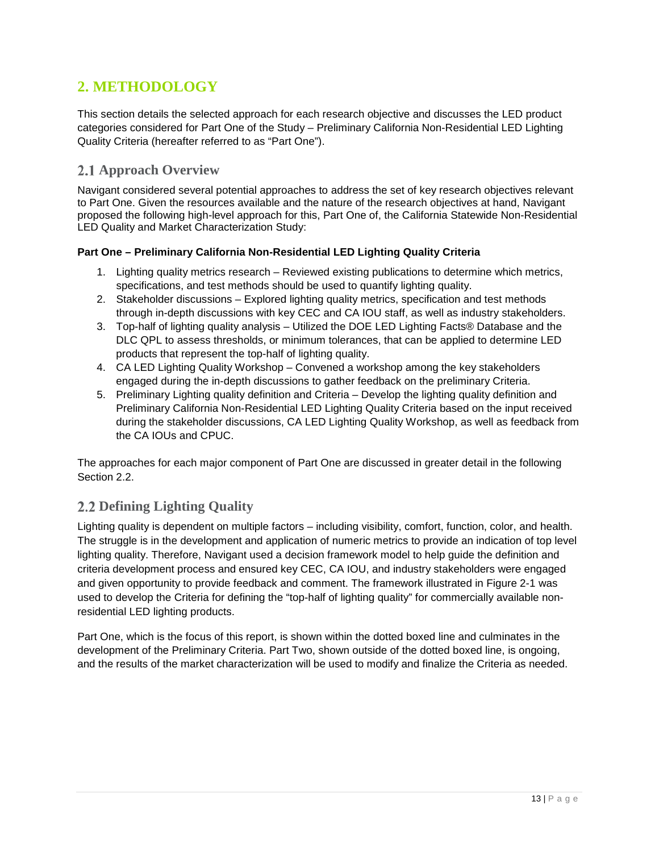# <span id="page-12-0"></span>**2. METHODOLOGY**

This section details the selected approach for each research objective and discusses the LED product categories considered for Part One of the Study – Preliminary California Non-Residential LED Lighting Quality Criteria (hereafter referred to as "Part One").

# <span id="page-12-1"></span>**2.1 Approach Overview**

Navigant considered several potential approaches to address the set of key research objectives relevant to Part One. Given the resources available and the nature of the research objectives at hand, Navigant proposed the following high-level approach for this, Part One of, the California Statewide Non-Residential LED Quality and Market Characterization Study:

#### **Part One – Preliminary California Non-Residential LED Lighting Quality Criteria**

- 1. Lighting quality metrics research Reviewed existing publications to determine which metrics, specifications, and test methods should be used to quantify lighting quality.
- 2. Stakeholder discussions Explored lighting quality metrics, specification and test methods through in-depth discussions with key CEC and CA IOU staff, as well as industry stakeholders.
- 3. Top-half of lighting quality analysis Utilized the DOE LED Lighting Facts® Database and the DLC QPL to assess thresholds, or minimum tolerances, that can be applied to determine LED products that represent the top-half of lighting quality.
- 4. CA LED Lighting Quality Workshop Convened a workshop among the key stakeholders engaged during the in-depth discussions to gather feedback on the preliminary Criteria.
- 5. Preliminary Lighting quality definition and Criteria Develop the lighting quality definition and Preliminary California Non-Residential LED Lighting Quality Criteria based on the input received during the stakeholder discussions, CA LED Lighting Quality Workshop, as well as feedback from the CA IOUs and CPUC.

The approaches for each major component of Part One are discussed in greater detail in the following Section [2.2.](#page-12-2)

# <span id="page-12-2"></span>**Defining Lighting Quality**

Lighting quality is dependent on multiple factors – including visibility, comfort, function, color, and health. The struggle is in the development and application of numeric metrics to provide an indication of top level lighting quality. Therefore, Navigant used a decision framework model to help guide the definition and criteria development process and ensured key CEC, CA IOU, and industry stakeholders were engaged and given opportunity to provide feedback and comment. The framework illustrated in [Figure 2-1](#page-13-1) was used to develop the Criteria for defining the "top-half of lighting quality" for commercially available nonresidential LED lighting products.

Part One, which is the focus of this report, is shown within the dotted boxed line and culminates in the development of the Preliminary Criteria. Part Two, shown outside of the dotted boxed line, is ongoing, and the results of the market characterization will be used to modify and finalize the Criteria as needed.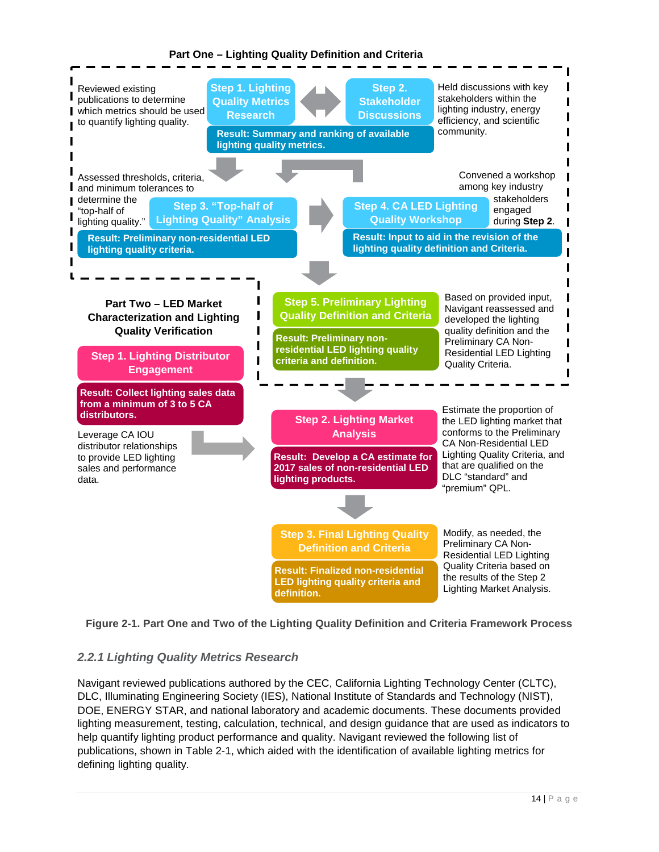#### **Part One – Lighting Quality Definition and Criteria**



<span id="page-13-1"></span>

# <span id="page-13-0"></span>*2.2.1 Lighting Quality Metrics Research*

Navigant reviewed publications authored by the CEC, California Lighting Technology Center (CLTC), DLC, Illuminating Engineering Society (IES), National Institute of Standards and Technology (NIST), DOE, ENERGY STAR, and national laboratory and academic documents. These documents provided lighting measurement, testing, calculation, technical, and design guidance that are used as indicators to help quantify lighting product performance and quality. Navigant reviewed the following list of publications, shown in [Table 2-1,](#page-14-0) which aided with the identification of available lighting metrics for defining lighting quality.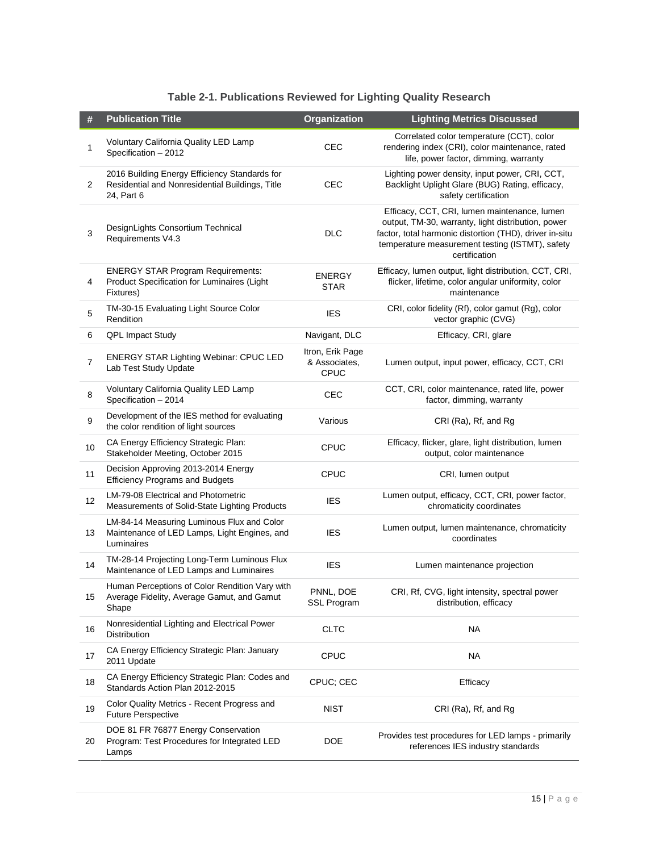| Table 2-1. Publications Reviewed for Lighting Quality Research |  |  |
|----------------------------------------------------------------|--|--|
|----------------------------------------------------------------|--|--|

<span id="page-14-0"></span>

| $\#$ | <b>Publication Title</b>                                                                                       | Organization                                     | <b>Lighting Metrics Discussed</b>                                                                                                                                                                                                 |
|------|----------------------------------------------------------------------------------------------------------------|--------------------------------------------------|-----------------------------------------------------------------------------------------------------------------------------------------------------------------------------------------------------------------------------------|
| 1    | Voluntary California Quality LED Lamp<br>Specification - 2012                                                  | CEC                                              | Correlated color temperature (CCT), color<br>rendering index (CRI), color maintenance, rated<br>life, power factor, dimming, warranty                                                                                             |
| 2    | 2016 Building Energy Efficiency Standards for<br>Residential and Nonresidential Buildings, Title<br>24, Part 6 | <b>CEC</b>                                       | Lighting power density, input power, CRI, CCT,<br>Backlight Uplight Glare (BUG) Rating, efficacy,<br>safety certification                                                                                                         |
| 3    | DesignLights Consortium Technical<br>Requirements V4.3                                                         | <b>DLC</b>                                       | Efficacy, CCT, CRI, lumen maintenance, lumen<br>output, TM-30, warranty, light distribution, power<br>factor, total harmonic distortion (THD), driver in-situ<br>temperature measurement testing (ISTMT), safety<br>certification |
| 4    | <b>ENERGY STAR Program Requirements:</b><br>Product Specification for Luminaires (Light<br>Fixtures)           | ENERGY<br><b>STAR</b>                            | Efficacy, lumen output, light distribution, CCT, CRI,<br>flicker, lifetime, color angular uniformity, color<br>maintenance                                                                                                        |
| 5    | TM-30-15 Evaluating Light Source Color<br>Rendition                                                            | <b>IES</b>                                       | CRI, color fidelity (Rf), color gamut (Rg), color<br>vector graphic (CVG)                                                                                                                                                         |
| 6    | QPL Impact Study                                                                                               | Navigant, DLC                                    | Efficacy, CRI, glare                                                                                                                                                                                                              |
| 7    | <b>ENERGY STAR Lighting Webinar: CPUC LED</b><br>Lab Test Study Update                                         | Itron, Erik Page<br>& Associates.<br><b>CPUC</b> | Lumen output, input power, efficacy, CCT, CRI                                                                                                                                                                                     |
| 8    | Voluntary California Quality LED Lamp<br>Specification - 2014                                                  | CEC                                              | CCT, CRI, color maintenance, rated life, power<br>factor, dimming, warranty                                                                                                                                                       |
| 9    | Development of the IES method for evaluating<br>the color rendition of light sources                           | Various                                          | CRI (Ra), Rf, and Rg                                                                                                                                                                                                              |
| 10   | CA Energy Efficiency Strategic Plan:<br>Stakeholder Meeting, October 2015                                      | <b>CPUC</b>                                      | Efficacy, flicker, glare, light distribution, lumen<br>output, color maintenance                                                                                                                                                  |
| 11   | Decision Approving 2013-2014 Energy<br><b>Efficiency Programs and Budgets</b>                                  | <b>CPUC</b>                                      | CRI, lumen output                                                                                                                                                                                                                 |
| 12   | LM-79-08 Electrical and Photometric<br>Measurements of Solid-State Lighting Products                           | <b>IES</b>                                       | Lumen output, efficacy, CCT, CRI, power factor,<br>chromaticity coordinates                                                                                                                                                       |
| 13   | LM-84-14 Measuring Luminous Flux and Color<br>Maintenance of LED Lamps, Light Engines, and<br>Luminaires       | <b>IES</b>                                       | Lumen output, lumen maintenance, chromaticity<br>coordinates                                                                                                                                                                      |
| 14   | TM-28-14 Projecting Long-Term Luminous Flux<br>Maintenance of LED Lamps and Luminaires                         | <b>IES</b>                                       | Lumen maintenance projection                                                                                                                                                                                                      |
| 15   | Human Perceptions of Color Rendition Vary with<br>Average Fidelity, Average Gamut, and Gamut<br>Shape          | PNNL, DOE<br>SSL Program                         | CRI, Rf, CVG, light intensity, spectral power<br>distribution, efficacy                                                                                                                                                           |
| 16   | Nonresidential Lighting and Electrical Power<br><b>Distribution</b>                                            | <b>CLTC</b>                                      | <b>NA</b>                                                                                                                                                                                                                         |
| 17   | CA Energy Efficiency Strategic Plan: January<br>2011 Update                                                    | <b>CPUC</b>                                      | NA                                                                                                                                                                                                                                |
| 18   | CA Energy Efficiency Strategic Plan: Codes and<br>Standards Action Plan 2012-2015                              | CPUC; CEC                                        | Efficacy                                                                                                                                                                                                                          |
| 19   | Color Quality Metrics - Recent Progress and<br><b>Future Perspective</b>                                       | <b>NIST</b>                                      | CRI (Ra), Rf, and Rg                                                                                                                                                                                                              |
| 20   | DOE 81 FR 76877 Energy Conservation<br>Program: Test Procedures for Integrated LED<br>Lamps                    | <b>DOE</b>                                       | Provides test procedures for LED lamps - primarily<br>references IES industry standards                                                                                                                                           |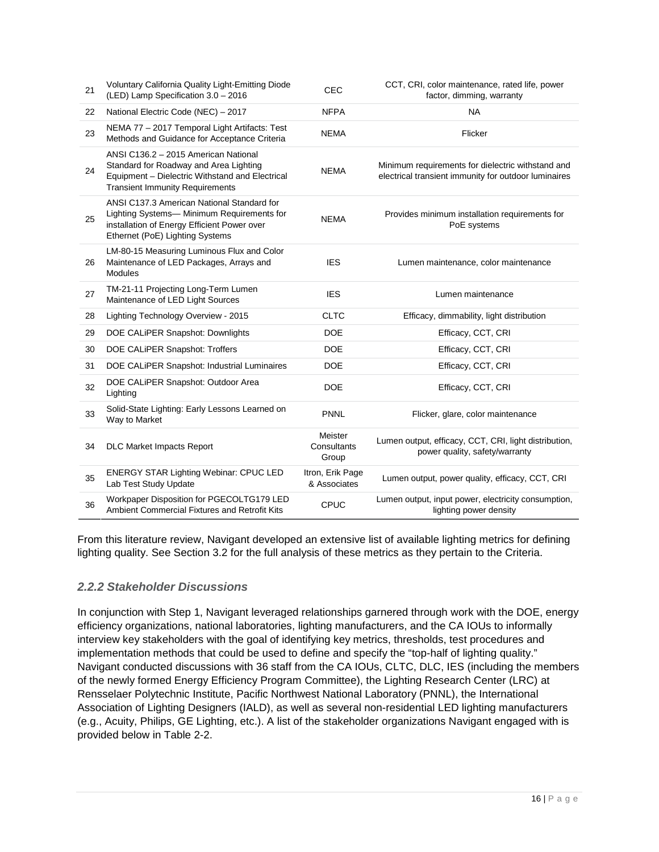| 21 | Voluntary California Quality Light-Emitting Diode<br>(LED) Lamp Specification 3.0 - 2016                                                                                    | CEC                              | CCT, CRI, color maintenance, rated life, power<br>factor, dimming, warranty                               |
|----|-----------------------------------------------------------------------------------------------------------------------------------------------------------------------------|----------------------------------|-----------------------------------------------------------------------------------------------------------|
| 22 | National Electric Code (NEC) - 2017                                                                                                                                         | <b>NFPA</b>                      | <b>NA</b>                                                                                                 |
| 23 | NEMA 77 - 2017 Temporal Light Artifacts: Test<br>Methods and Guidance for Acceptance Criteria                                                                               | <b>NEMA</b>                      | Flicker                                                                                                   |
| 24 | ANSI C136.2 - 2015 American National<br>Standard for Roadway and Area Lighting<br>Equipment - Dielectric Withstand and Electrical<br><b>Transient Immunity Requirements</b> | <b>NEMA</b>                      | Minimum requirements for dielectric withstand and<br>electrical transient immunity for outdoor luminaires |
| 25 | ANSI C137.3 American National Standard for<br>Lighting Systems- Minimum Requirements for<br>installation of Energy Efficient Power over<br>Ethernet (PoE) Lighting Systems  | <b>NEMA</b>                      | Provides minimum installation requirements for<br>PoE systems                                             |
| 26 | LM-80-15 Measuring Luminous Flux and Color<br>Maintenance of LED Packages, Arrays and<br><b>Modules</b>                                                                     | <b>IES</b>                       | Lumen maintenance, color maintenance                                                                      |
| 27 | TM-21-11 Projecting Long-Term Lumen<br>Maintenance of LED Light Sources                                                                                                     | <b>IES</b>                       | Lumen maintenance                                                                                         |
| 28 | Lighting Technology Overview - 2015                                                                                                                                         | <b>CLTC</b>                      | Efficacy, dimmability, light distribution                                                                 |
| 29 | DOE CALIPER Snapshot: Downlights                                                                                                                                            | <b>DOE</b>                       | Efficacy, CCT, CRI                                                                                        |
| 30 | DOE CALIPER Snapshot: Troffers                                                                                                                                              | <b>DOE</b>                       | Efficacy, CCT, CRI                                                                                        |
| 31 | DOE CALIPER Snapshot: Industrial Luminaires                                                                                                                                 | <b>DOE</b>                       | Efficacy, CCT, CRI                                                                                        |
| 32 | DOE CALIPER Snapshot: Outdoor Area<br>Lighting                                                                                                                              | <b>DOE</b>                       | Efficacy, CCT, CRI                                                                                        |
| 33 | Solid-State Lighting: Early Lessons Learned on<br>Way to Market                                                                                                             | <b>PNNL</b>                      | Flicker, glare, color maintenance                                                                         |
| 34 | <b>DLC Market Impacts Report</b>                                                                                                                                            | Meister<br>Consultants<br>Group  | Lumen output, efficacy, CCT, CRI, light distribution,<br>power quality, safety/warranty                   |
| 35 | <b>ENERGY STAR Lighting Webinar: CPUC LED</b><br>Lab Test Study Update                                                                                                      | Itron, Erik Page<br>& Associates | Lumen output, power quality, efficacy, CCT, CRI                                                           |
| 36 | Workpaper Disposition for PGECOLTG179 LED<br>Ambient Commercial Fixtures and Retrofit Kits                                                                                  | <b>CPUC</b>                      | Lumen output, input power, electricity consumption,<br>lighting power density                             |

From this literature review, Navigant developed an extensive list of available lighting metrics for defining lighting quality. See Section [3.2](#page-23-0) for the full analysis of these metrics as they pertain to the Criteria.

# <span id="page-15-0"></span>*2.2.2 Stakeholder Discussions*

In conjunction with Step 1, Navigant leveraged relationships garnered through work with the DOE, energy efficiency organizations, national laboratories, lighting manufacturers, and the CA IOUs to informally interview key stakeholders with the goal of identifying key metrics, thresholds, test procedures and implementation methods that could be used to define and specify the "top-half of lighting quality." Navigant conducted discussions with 36 staff from the CA IOUs, CLTC, DLC, IES (including the members of the newly formed Energy Efficiency Program Committee), the Lighting Research Center (LRC) at Rensselaer Polytechnic Institute, Pacific Northwest National Laboratory (PNNL), the International Association of Lighting Designers (IALD), as well as several non-residential LED lighting manufacturers (e.g., Acuity, Philips, GE Lighting, etc.). A list of the stakeholder organizations Navigant engaged with is provided below in [Table 2-2.](#page-16-0)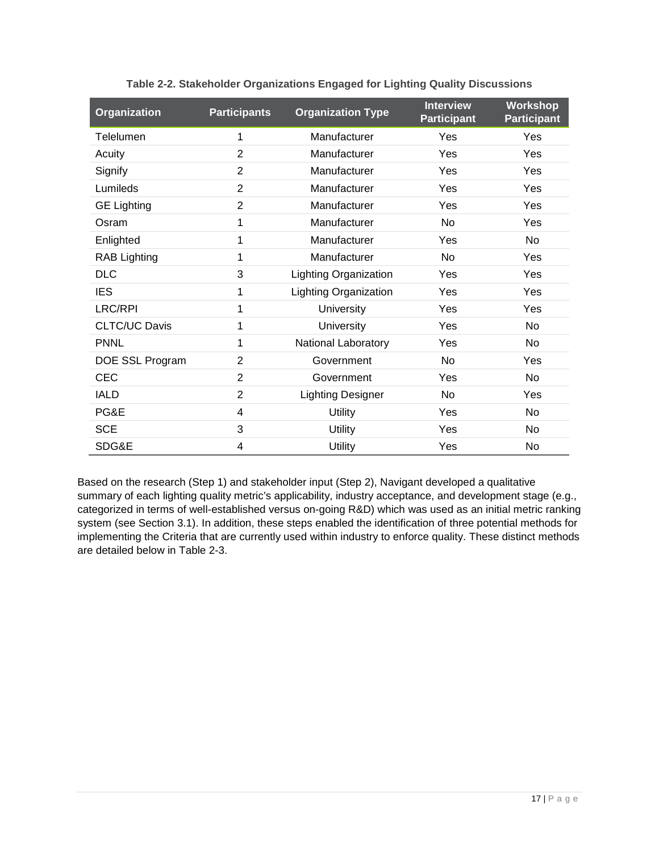<span id="page-16-0"></span>

| Organization         | <b>Participants</b> | <b>Organization Type</b>     | <b>Interview</b><br><b>Participant</b> | Workshop<br><b>Participant</b> |
|----------------------|---------------------|------------------------------|----------------------------------------|--------------------------------|
| Telelumen            | 1                   | Manufacturer                 | Yes                                    | Yes                            |
| Acuity               | $\overline{2}$      | Manufacturer                 | Yes                                    | Yes                            |
| Signify              | 2                   | Manufacturer                 | Yes                                    | Yes                            |
| Lumileds             | $\overline{2}$      | Manufacturer                 | Yes                                    | Yes                            |
| <b>GE Lighting</b>   | $\overline{2}$      | Manufacturer                 | Yes                                    | Yes                            |
| Osram                | 1                   | Manufacturer                 | <b>No</b>                              | Yes                            |
| Enlighted            | 1                   | Manufacturer                 | Yes                                    | <b>No</b>                      |
| <b>RAB Lighting</b>  | 1                   | Manufacturer                 | N <sub>o</sub>                         | Yes                            |
| <b>DLC</b>           | 3                   | Lighting Organization        | Yes                                    | Yes                            |
| <b>IES</b>           | 1                   | <b>Lighting Organization</b> | Yes                                    | Yes                            |
| <b>LRC/RPI</b>       | 1                   | <b>University</b>            | Yes                                    | Yes                            |
| <b>CLTC/UC Davis</b> | 1                   | University                   | Yes                                    | <b>No</b>                      |
| <b>PNNL</b>          | 1                   | National Laboratory          | Yes                                    | No                             |
| DOE SSL Program      | 2                   | Government                   | No                                     | Yes                            |
| <b>CEC</b>           | $\overline{2}$      | Government                   | Yes                                    | N <sub>o</sub>                 |
| <b>IALD</b>          | $\overline{2}$      | <b>Lighting Designer</b>     | No.                                    | Yes                            |
| PG&E                 | 4                   | <b>Utility</b>               | Yes                                    | <b>No</b>                      |
| <b>SCE</b>           | 3                   | <b>Utility</b>               | Yes                                    | No                             |
| SDG&E                | 4                   | <b>Utility</b>               | Yes                                    | <b>No</b>                      |

**Table 2-2. Stakeholder Organizations Engaged for Lighting Quality Discussions**

Based on the research (Step 1) and stakeholder input (Step 2), Navigant developed a qualitative summary of each lighting quality metric's applicability, industry acceptance, and development stage (e.g., categorized in terms of well-established versus on-going R&D) which was used as an initial metric ranking system (see Section [3.1\)](#page-22-1). In addition, these steps enabled the identification of three potential methods for implementing the Criteria that are currently used within industry to enforce quality. These distinct methods are detailed below in [Table 2-3.](#page-17-1)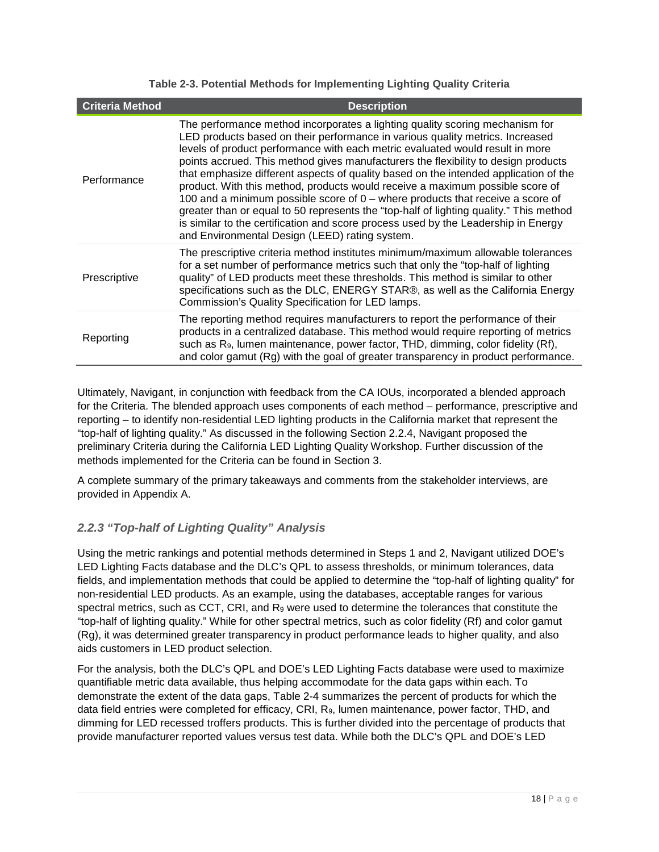<span id="page-17-1"></span>

| <b>Criteria Method</b> | <b>Description</b>                                                                                                                                                                                                                                                                                                                                                                                                                                                                                                                                                                                                                                                                                                                                                                                                                  |
|------------------------|-------------------------------------------------------------------------------------------------------------------------------------------------------------------------------------------------------------------------------------------------------------------------------------------------------------------------------------------------------------------------------------------------------------------------------------------------------------------------------------------------------------------------------------------------------------------------------------------------------------------------------------------------------------------------------------------------------------------------------------------------------------------------------------------------------------------------------------|
| Performance            | The performance method incorporates a lighting quality scoring mechanism for<br>LED products based on their performance in various quality metrics. Increased<br>levels of product performance with each metric evaluated would result in more<br>points accrued. This method gives manufacturers the flexibility to design products<br>that emphasize different aspects of quality based on the intended application of the<br>product. With this method, products would receive a maximum possible score of<br>100 and a minimum possible score of $0$ – where products that receive a score of<br>greater than or equal to 50 represents the "top-half of lighting quality." This method<br>is similar to the certification and score process used by the Leadership in Energy<br>and Environmental Design (LEED) rating system. |
| Prescriptive           | The prescriptive criteria method institutes minimum/maximum allowable tolerances<br>for a set number of performance metrics such that only the "top-half of lighting"<br>quality" of LED products meet these thresholds. This method is similar to other<br>specifications such as the DLC, ENERGY STAR®, as well as the California Energy<br>Commission's Quality Specification for LED lamps.                                                                                                                                                                                                                                                                                                                                                                                                                                     |
| Reporting              | The reporting method requires manufacturers to report the performance of their<br>products in a centralized database. This method would require reporting of metrics<br>such as R <sub>9</sub> , lumen maintenance, power factor, THD, dimming, color fidelity (Rf),<br>and color gamut (Rg) with the goal of greater transparency in product performance.                                                                                                                                                                                                                                                                                                                                                                                                                                                                          |

#### **Table 2-3. Potential Methods for Implementing Lighting Quality Criteria**

Ultimately, Navigant, in conjunction with feedback from the CA IOUs, incorporated a blended approach for the Criteria. The blended approach uses components of each method – performance, prescriptive and reporting – to identify non-residential LED lighting products in the California market that represent the "top-half of lighting quality." As discussed in the following Section [2.2.4,](#page-19-0) Navigant proposed the preliminary Criteria during the California LED Lighting Quality Workshop. Further discussion of the methods implemented for the Criteria can be found in Section [3.](#page-22-0)

A complete summary of the primary takeaways and comments from the stakeholder interviews, are provided in [Appendix A.](#page-56-0)

# <span id="page-17-0"></span>*2.2.3 "Top-half of Lighting Quality" Analysis*

Using the metric rankings and potential methods determined in Steps 1 and 2, Navigant utilized DOE's LED Lighting Facts database and the DLC's QPL to assess thresholds, or minimum tolerances, data fields, and implementation methods that could be applied to determine the "top-half of lighting quality" for non-residential LED products. As an example, using the databases, acceptable ranges for various spectral metrics, such as CCT, CRI, and R<sub>9</sub> were used to determine the tolerances that constitute the "top-half of lighting quality." While for other spectral metrics, such as color fidelity (Rf) and color gamut (Rg), it was determined greater transparency in product performance leads to higher quality, and also aids customers in LED product selection.

For the analysis, both the DLC's QPL and DOE's LED Lighting Facts database were used to maximize quantifiable metric data available, thus helping accommodate for the data gaps within each. To demonstrate the extent of the data gaps, [Table 2-4](#page-18-0) summarizes the percent of products for which the data field entries were completed for efficacy, CRI, R9, lumen maintenance, power factor, THD, and dimming for LED recessed troffers products. This is further divided into the percentage of products that provide manufacturer reported values versus test data. While both the DLC's QPL and DOE's LED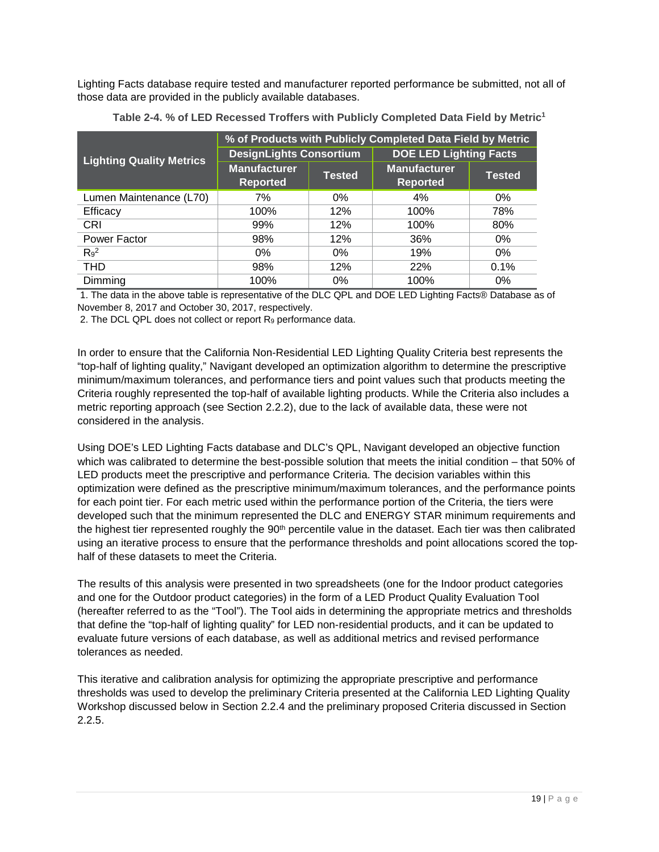Lighting Facts database require tested and manufacturer reported performance be submitted, not all of those data are provided in the publicly available databases.

<span id="page-18-0"></span>

|                                 | % of Products with Publicly Completed Data Field by Metric |               |                                        |               |  |  |
|---------------------------------|------------------------------------------------------------|---------------|----------------------------------------|---------------|--|--|
| <b>Lighting Quality Metrics</b> | <b>DesignLights Consortium</b>                             |               | <b>DOE LED Lighting Facts</b>          |               |  |  |
|                                 | <b>Manufacturer</b><br><b>Reported</b>                     | <b>Tested</b> | <b>Manufacturer</b><br><b>Reported</b> | <b>Tested</b> |  |  |
| Lumen Maintenance (L70)         | 7%                                                         | $0\%$         | 4%                                     | $0\%$         |  |  |
| Efficacy                        | 100%                                                       | 12%           | 100%                                   | 78%           |  |  |
| CRI                             | 99%                                                        | 12%           | 100%                                   | 80%           |  |  |
| Power Factor                    | 98%                                                        | 12%           | 36%                                    | $0\%$         |  |  |
| $R_9^2$                         | 0%                                                         | $0\%$         | 19%                                    | $0\%$         |  |  |
| <b>THD</b>                      | 98%                                                        | 12%           | 22%                                    | 0.1%          |  |  |
| Dimming                         | 100%                                                       | 0%            | 100%                                   | $0\%$         |  |  |

**Table 2-4. % of LED Recessed Troffers with Publicly Completed Data Field by Metric1** 

1. The data in the above table is representative of the DLC QPL and DOE LED Lighting Facts® Database as of November 8, 2017 and October 30, 2017, respectively.

2. The DCL QPL does not collect or report  $R_9$  performance data.

In order to ensure that the California Non-Residential LED Lighting Quality Criteria best represents the "top-half of lighting quality," Navigant developed an optimization algorithm to determine the prescriptive minimum/maximum tolerances, and performance tiers and point values such that products meeting the Criteria roughly represented the top-half of available lighting products. While the Criteria also includes a metric reporting approach (see Section [2.2.2\)](#page-15-0), due to the lack of available data, these were not considered in the analysis.

Using DOE's LED Lighting Facts database and DLC's QPL, Navigant developed an objective function which was calibrated to determine the best-possible solution that meets the initial condition – that 50% of LED products meet the prescriptive and performance Criteria. The decision variables within this optimization were defined as the prescriptive minimum/maximum tolerances, and the performance points for each point tier. For each metric used within the performance portion of the Criteria, the tiers were developed such that the minimum represented the DLC and ENERGY STAR minimum requirements and the highest tier represented roughly the 90<sup>th</sup> percentile value in the dataset. Each tier was then calibrated using an iterative process to ensure that the performance thresholds and point allocations scored the tophalf of these datasets to meet the Criteria.

The results of this analysis were presented in two spreadsheets (one for the Indoor product categories and one for the Outdoor product categories) in the form of a LED Product Quality Evaluation Tool (hereafter referred to as the "Tool"). The Tool aids in determining the appropriate metrics and thresholds that define the "top-half of lighting quality" for LED non-residential products, and it can be updated to evaluate future versions of each database, as well as additional metrics and revised performance tolerances as needed.

This iterative and calibration analysis for optimizing the appropriate prescriptive and performance thresholds was used to develop the preliminary Criteria presented at the California LED Lighting Quality Workshop discussed below in Section [2.2.4](#page-19-0) and the preliminary proposed Criteria discussed in Section [2.2.5.](#page-19-1)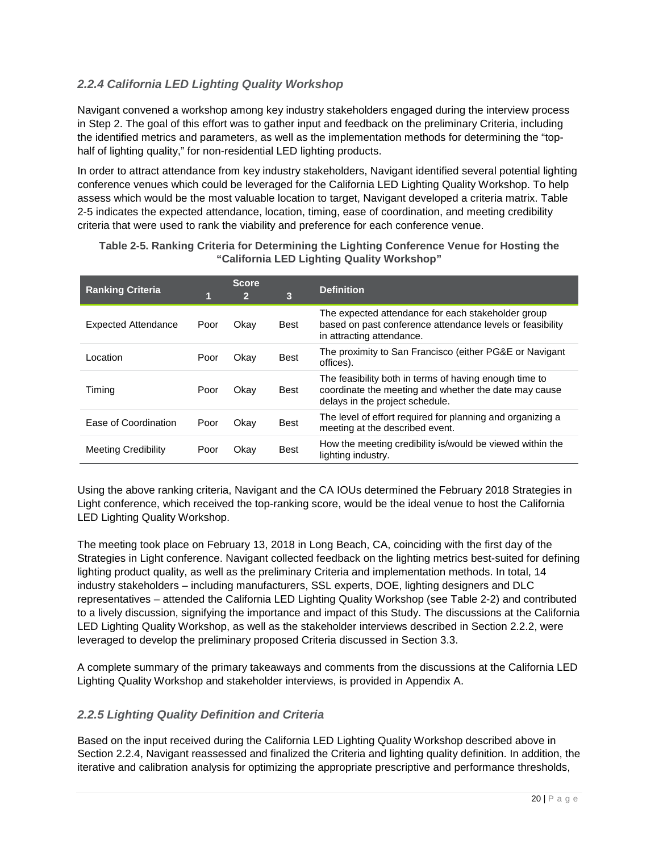# <span id="page-19-0"></span>*2.2.4 California LED Lighting Quality Workshop*

Navigant convened a workshop among key industry stakeholders engaged during the interview process in Step 2. The goal of this effort was to gather input and feedback on the preliminary Criteria, including the identified metrics and parameters, as well as the implementation methods for determining the "tophalf of lighting quality," for non-residential LED lighting products.

In order to attract attendance from key industry stakeholders, Navigant identified several potential lighting conference venues which could be leveraged for the California LED Lighting Quality Workshop. To help assess which would be the most valuable location to target, Navigant developed a criteria matrix. [Table](#page-19-2)  [2-5](#page-19-2) indicates the expected attendance, location, timing, ease of coordination, and meeting credibility criteria that were used to rank the viability and preference for each conference venue.

| <b>Ranking Criteria</b>    |      | <b>Score</b><br>$\overline{2}$ | 3           | <b>Definition</b>                                                                                                                                  |
|----------------------------|------|--------------------------------|-------------|----------------------------------------------------------------------------------------------------------------------------------------------------|
| <b>Expected Attendance</b> | Poor | Okay                           | <b>Best</b> | The expected attendance for each stakeholder group<br>based on past conference attendance levels or feasibility<br>in attracting attendance.       |
| Location                   | Poor | Okay                           | <b>Best</b> | The proximity to San Francisco (either PG&E or Navigant<br>offices).                                                                               |
| Timing                     | Poor | Okay                           | <b>Best</b> | The feasibility both in terms of having enough time to<br>coordinate the meeting and whether the date may cause<br>delays in the project schedule. |
| Ease of Coordination       | Poor | Okay                           | <b>Best</b> | The level of effort required for planning and organizing a<br>meeting at the described event.                                                      |
| <b>Meeting Credibility</b> | Poor | Okay                           | <b>Best</b> | How the meeting credibility is/would be viewed within the<br>lighting industry.                                                                    |

<span id="page-19-2"></span>**Table 2-5. Ranking Criteria for Determining the Lighting Conference Venue for Hosting the "California LED Lighting Quality Workshop"** 

Using the above ranking criteria, Navigant and the CA IOUs determined the February 2018 Strategies in Light conference, which received the top-ranking score, would be the ideal venue to host the California LED Lighting Quality Workshop.

The meeting took place on February 13, 2018 in Long Beach, CA, coinciding with the first day of the Strategies in Light conference. Navigant collected feedback on the lighting metrics best-suited for defining lighting product quality, as well as the preliminary Criteria and implementation methods. In total, 14 industry stakeholders – including manufacturers, SSL experts, DOE, lighting designers and DLC representatives – attended the California LED Lighting Quality Workshop (see [Table 2-2\)](#page-16-0) and contributed to a lively discussion, signifying the importance and impact of this Study. The discussions at the California LED Lighting Quality Workshop, as well as the stakeholder interviews described in Section [2.2.2,](#page-15-0) were leveraged to develop the preliminary proposed Criteria discussed in Section [3.3.](#page-36-0) 

A complete summary of the primary takeaways and comments from the discussions at the California LED Lighting Quality Workshop and stakeholder interviews, is provided in [Appendix A.](#page-56-0)

#### <span id="page-19-1"></span>*2.2.5 Lighting Quality Definition and Criteria*

Based on the input received during the California LED Lighting Quality Workshop described above in Section [2.2.4,](#page-19-0) Navigant reassessed and finalized the Criteria and lighting quality definition. In addition, the iterative and calibration analysis for optimizing the appropriate prescriptive and performance thresholds,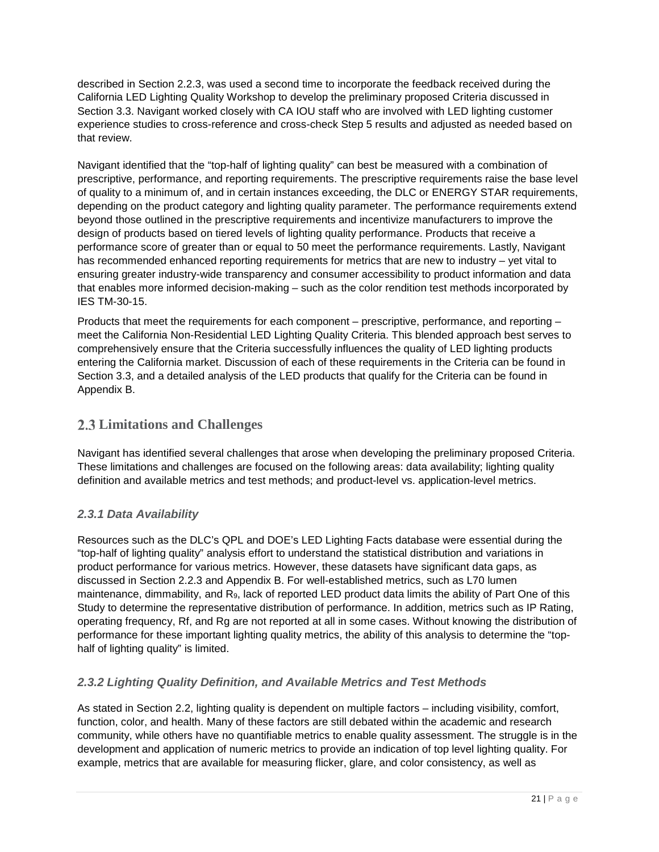described in Section [2.2.3,](#page-17-0) was used a second time to incorporate the feedback received during the California LED Lighting Quality Workshop to develop the preliminary proposed Criteria discussed in Section [3.3.](#page-36-0) Navigant worked closely with CA IOU staff who are involved with LED lighting customer experience studies to cross-reference and cross-check Step 5 results and adjusted as needed based on that review.

Navigant identified that the "top-half of lighting quality" can best be measured with a combination of prescriptive, performance, and reporting requirements. The prescriptive requirements raise the base level of quality to a minimum of, and in certain instances exceeding, the DLC or ENERGY STAR requirements, depending on the product category and lighting quality parameter. The performance requirements extend beyond those outlined in the prescriptive requirements and incentivize manufacturers to improve the design of products based on tiered levels of lighting quality performance. Products that receive a performance score of greater than or equal to 50 meet the performance requirements. Lastly, Navigant has recommended enhanced reporting requirements for metrics that are new to industry – yet vital to ensuring greater industry-wide transparency and consumer accessibility to product information and data that enables more informed decision-making – such as the color rendition test methods incorporated by IES TM-30-15.

Products that meet the requirements for each component – prescriptive, performance, and reporting – meet the California Non-Residential LED Lighting Quality Criteria. This blended approach best serves to comprehensively ensure that the Criteria successfully influences the quality of LED lighting products entering the California market. Discussion of each of these requirements in the Criteria can be found in Section [3.3,](#page-36-0) and a detailed analysis of the LED products that qualify for the Criteria can be found in [Appendix B.](#page-64-0)

# <span id="page-20-0"></span>**Limitations and Challenges**

Navigant has identified several challenges that arose when developing the preliminary proposed Criteria. These limitations and challenges are focused on the following areas: data availability; lighting quality definition and available metrics and test methods; and product-level vs. application-level metrics.

# <span id="page-20-1"></span>*2.3.1 Data Availability*

Resources such as the DLC's QPL and DOE's LED Lighting Facts database were essential during the "top-half of lighting quality" analysis effort to understand the statistical distribution and variations in product performance for various metrics. However, these datasets have significant data gaps, as discussed in Section [2.2.3](#page-17-0) and Appendix B. For well-established metrics, such as L70 lumen maintenance, dimmability, and R9, lack of reported LED product data limits the ability of Part One of this Study to determine the representative distribution of performance. In addition, metrics such as IP Rating, operating frequency, Rf, and Rg are not reported at all in some cases. Without knowing the distribution of performance for these important lighting quality metrics, the ability of this analysis to determine the "tophalf of lighting quality" is limited.

# <span id="page-20-2"></span>*2.3.2 Lighting Quality Definition, and Available Metrics and Test Methods*

As stated in Section [2.2,](#page-12-2) lighting quality is dependent on multiple factors – including visibility, comfort, function, color, and health. Many of these factors are still debated within the academic and research community, while others have no quantifiable metrics to enable quality assessment. The struggle is in the development and application of numeric metrics to provide an indication of top level lighting quality. For example, metrics that are available for measuring flicker, glare, and color consistency, as well as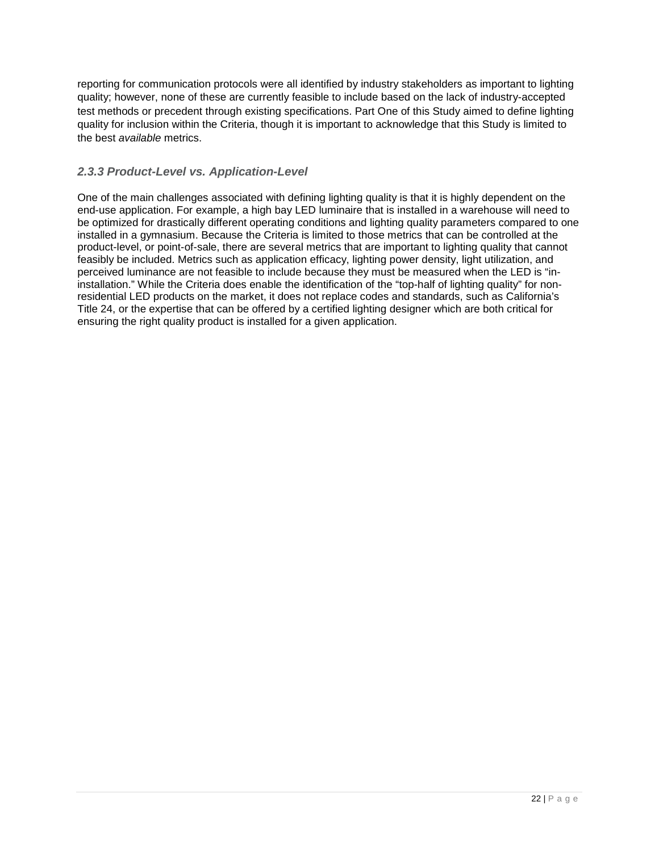reporting for communication protocols were all identified by industry stakeholders as important to lighting quality; however, none of these are currently feasible to include based on the lack of industry-accepted test methods or precedent through existing specifications. Part One of this Study aimed to define lighting quality for inclusion within the Criteria, though it is important to acknowledge that this Study is limited to the best *available* metrics.

# <span id="page-21-0"></span>*2.3.3 Product-Level vs. Application-Level*

One of the main challenges associated with defining lighting quality is that it is highly dependent on the end-use application. For example, a high bay LED luminaire that is installed in a warehouse will need to be optimized for drastically different operating conditions and lighting quality parameters compared to one installed in a gymnasium. Because the Criteria is limited to those metrics that can be controlled at the product-level, or point-of-sale, there are several metrics that are important to lighting quality that cannot feasibly be included. Metrics such as application efficacy, lighting power density, light utilization, and perceived luminance are not feasible to include because they must be measured when the LED is "ininstallation." While the Criteria does enable the identification of the "top-half of lighting quality" for nonresidential LED products on the market, it does not replace codes and standards, such as California's Title 24, or the expertise that can be offered by a certified lighting designer which are both critical for ensuring the right quality product is installed for a given application.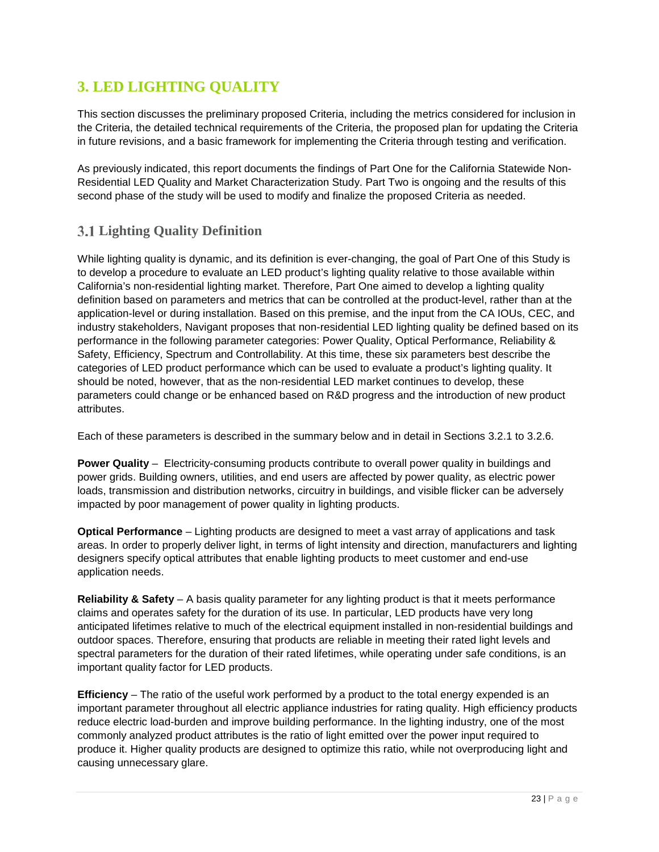# <span id="page-22-0"></span>**3. LED LIGHTING QUALITY**

This section discusses the preliminary proposed Criteria, including the metrics considered for inclusion in the Criteria, the detailed technical requirements of the Criteria, the proposed plan for updating the Criteria in future revisions, and a basic framework for implementing the Criteria through testing and verification.

As previously indicated, this report documents the findings of Part One for the California Statewide Non-Residential LED Quality and Market Characterization Study. Part Two is ongoing and the results of this second phase of the study will be used to modify and finalize the proposed Criteria as needed.

# <span id="page-22-1"></span>**Lighting Quality Definition**

While lighting quality is dynamic, and its definition is ever-changing, the goal of Part One of this Study is to develop a procedure to evaluate an LED product's lighting quality relative to those available within California's non-residential lighting market. Therefore, Part One aimed to develop a lighting quality definition based on parameters and metrics that can be controlled at the product-level, rather than at the application-level or during installation. Based on this premise, and the input from the CA IOUs, CEC, and industry stakeholders, Navigant proposes that non-residential LED lighting quality be defined based on its performance in the following parameter categories: Power Quality, Optical Performance, Reliability & Safety, Efficiency, Spectrum and Controllability. At this time, these six parameters best describe the categories of LED product performance which can be used to evaluate a product's lighting quality. It should be noted, however, that as the non-residential LED market continues to develop, these parameters could change or be enhanced based on R&D progress and the introduction of new product attributes.

Each of these parameters is described in the summary below and in detail in Sections [3.2.1](#page-25-0) to [3.2.6.](#page-34-0)

**Power Quality** – Electricity-consuming products contribute to overall power quality in buildings and power grids. Building owners, utilities, and end users are affected by power quality, as electric power loads, transmission and distribution networks, circuitry in buildings, and visible flicker can be adversely impacted by poor management of power quality in lighting products.

**Optical Performance** – Lighting products are designed to meet a vast array of applications and task areas. In order to properly deliver light, in terms of light intensity and direction, manufacturers and lighting designers specify optical attributes that enable lighting products to meet customer and end-use application needs.

**Reliability & Safety** – A basis quality parameter for any lighting product is that it meets performance claims and operates safety for the duration of its use. In particular, LED products have very long anticipated lifetimes relative to much of the electrical equipment installed in non-residential buildings and outdoor spaces. Therefore, ensuring that products are reliable in meeting their rated light levels and spectral parameters for the duration of their rated lifetimes, while operating under safe conditions, is an important quality factor for LED products.

**Efficiency** – The ratio of the useful work performed by a product to the total energy expended is an important parameter throughout all electric appliance industries for rating quality. High efficiency products reduce electric load-burden and improve building performance. In the lighting industry, one of the most commonly analyzed product attributes is the ratio of light emitted over the power input required to produce it. Higher quality products are designed to optimize this ratio, while not overproducing light and causing unnecessary glare.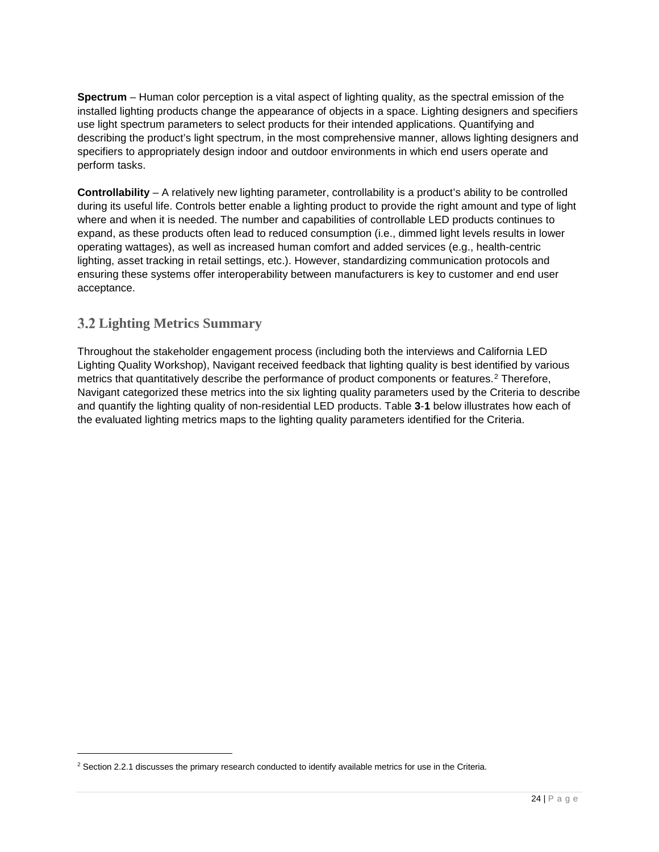**Spectrum** – Human color perception is a vital aspect of lighting quality, as the spectral emission of the installed lighting products change the appearance of objects in a space. Lighting designers and specifiers use light spectrum parameters to select products for their intended applications. Quantifying and describing the product's light spectrum, in the most comprehensive manner, allows lighting designers and specifiers to appropriately design indoor and outdoor environments in which end users operate and perform tasks.

**Controllability** – A relatively new lighting parameter, controllability is a product's ability to be controlled during its useful life. Controls better enable a lighting product to provide the right amount and type of light where and when it is needed. The number and capabilities of controllable LED products continues to expand, as these products often lead to reduced consumption (i.e., dimmed light levels results in lower operating wattages), as well as increased human comfort and added services (e.g., health-centric lighting, asset tracking in retail settings, etc.). However, standardizing communication protocols and ensuring these systems offer interoperability between manufacturers is key to customer and end user acceptance.

# <span id="page-23-0"></span>**Lighting Metrics Summary**

Throughout the stakeholder engagement process (including both the interviews and California LED Lighting Quality Workshop), Navigant received feedback that lighting quality is best identified by various metrics that quantitatively describe the performance of product components or features.<sup>[2](#page-23-1)</sup> Therefore, Navigant categorized these metrics into the six lighting quality parameters used by the Criteria to describe and quantify the lighting quality of non-residential LED products. [Table](#page-24-0) **3**-**1** below illustrates how each of the evaluated lighting metrics maps to the lighting quality parameters identified for the Criteria.

<span id="page-23-1"></span><sup>&</sup>lt;sup>2</sup> Section 2.2.1 discusses the primary research conducted to identify available metrics for use in the Criteria.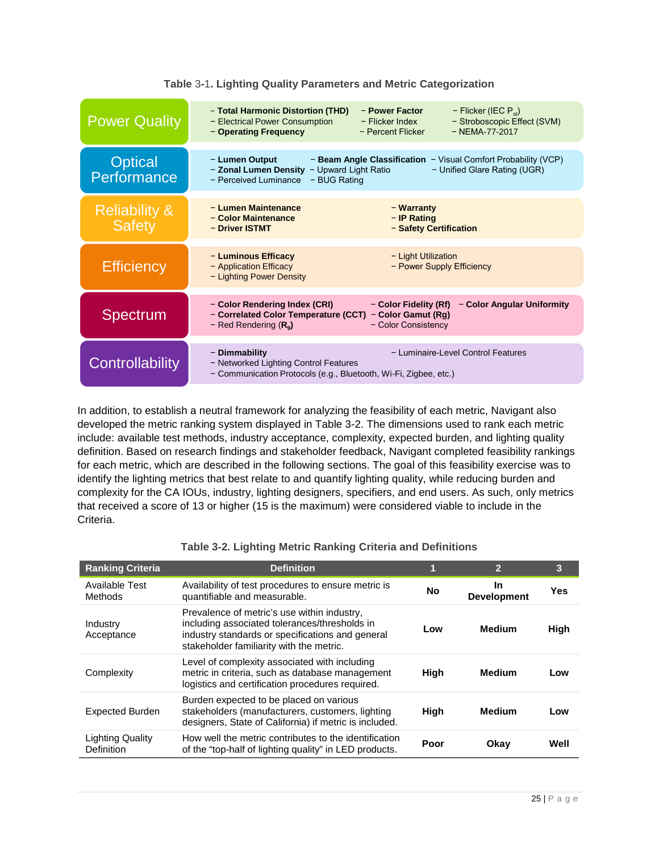<span id="page-24-0"></span>

| <b>Power Quality</b>                      | - Total Harmonic Distortion (THD)<br>- Power Factor<br>- Flicker (IEC $P_{st}$ )<br>- Electrical Power Consumption<br>- Stroboscopic Effect (SVM)<br>$-$ Flicker Index<br>$-$ NFMA-77-2017<br>- Operating Frequency<br>- Percent Flicker |
|-------------------------------------------|------------------------------------------------------------------------------------------------------------------------------------------------------------------------------------------------------------------------------------------|
| <b>Optical</b><br>Performance             | - Lumen Output<br>- Beam Angle Classification - Visual Comfort Probability (VCP)<br>- Zonal Lumen Density - Upward Light Ratio<br>- Unified Glare Rating (UGR)<br>- Perceived Luminance<br>- BUG Rating                                  |
| <b>Reliability &amp;</b><br><b>Safety</b> | - Lumen Maintenance<br>– Warranty<br>- Color Maintenance<br>- IP Rating<br>- Safety Certification<br>- Driver ISTMT                                                                                                                      |
| <b>Efficiency</b>                         | - Luminous Efficacy<br>- Light Utilization<br>- Application Efficacy<br>- Power Supply Efficiency<br>- Lighting Power Density                                                                                                            |
| <b>Spectrum</b>                           | - Color Rendering Index (CRI)<br>- Color Fidelity (Rf)<br>- Color Angular Uniformity<br>- Correlated Color Temperature (CCT)<br>- Color Gamut (Rg)<br>- Red Rendering $(R9)$<br>- Color Consistency                                      |
| Controllability                           | - Luminaire-Level Control Features<br>- Dimmability<br>- Networked Lighting Control Features<br>- Communication Protocols (e.g., Bluetooth, Wi-Fi, Zigbee, etc.)                                                                         |

#### **Table** 3**-**1**. Lighting Quality Parameters and Metric Categorization**

In addition, to establish a neutral framework for analyzing the feasibility of each metric, Navigant also developed the metric ranking system displayed in [Table 3-2.](#page-24-1) The dimensions used to rank each metric include: available test methods, industry acceptance, complexity, expected burden, and lighting quality definition. Based on research findings and stakeholder feedback, Navigant completed feasibility rankings for each metric, which are described in the following sections. The goal of this feasibility exercise was to identify the lighting metrics that best relate to and quantify lighting quality, while reducing burden and complexity for the CA IOUs, industry, lighting designers, specifiers, and end users. As such, only metrics that received a score of 13 or higher (15 is the maximum) were considered viable to include in the Criteria.

<span id="page-24-1"></span>

| <b>Ranking Criteria</b>        | <b>Definition</b>                                                                                                                                                                            |           | 2                        | 3    |
|--------------------------------|----------------------------------------------------------------------------------------------------------------------------------------------------------------------------------------------|-----------|--------------------------|------|
| Available Test<br>Methods      | Availability of test procedures to ensure metric is<br>quantifiable and measurable.                                                                                                          | <b>No</b> | In<br><b>Development</b> | Yes  |
| Industry<br>Acceptance         | Prevalence of metric's use within industry,<br>including associated tolerances/thresholds in<br>industry standards or specifications and general<br>stakeholder familiarity with the metric. | Low       | Medium                   | High |
| Complexity                     | Level of complexity associated with including<br>metric in criteria, such as database management<br>logistics and certification procedures required.                                         | High      | <b>Medium</b>            | Low  |
| <b>Expected Burden</b>         | Burden expected to be placed on various<br>stakeholders (manufacturers, customers, lighting<br>designers, State of California) if metric is included.                                        | High      | <b>Medium</b>            | Low  |
| Lighting Quality<br>Definition | How well the metric contributes to the identification<br>of the "top-half of lighting quality" in LED products.                                                                              | Poor      | Okay                     | Well |

#### **Table 3-2. Lighting Metric Ranking Criteria and Definitions**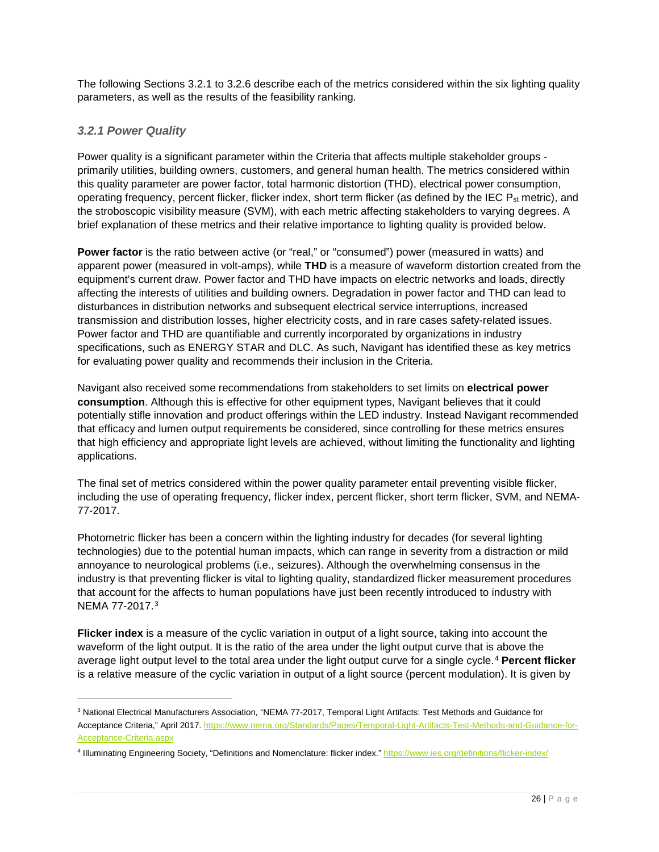The following Sections [3.2.1](#page-25-0) to [3.2.6](#page-34-0) describe each of the metrics considered within the six lighting quality parameters, as well as the results of the feasibility ranking.

# <span id="page-25-0"></span>*3.2.1 Power Quality*

Power quality is a significant parameter within the Criteria that affects multiple stakeholder groups primarily utilities, building owners, customers, and general human health. The metrics considered within this quality parameter are power factor, total harmonic distortion (THD), electrical power consumption, operating frequency, percent flicker, flicker index, short term flicker (as defined by the IEC P<sub>st</sub> metric), and the stroboscopic visibility measure (SVM), with each metric affecting stakeholders to varying degrees. A brief explanation of these metrics and their relative importance to lighting quality is provided below.

**Power factor** is the ratio between active (or "real," or "consumed") power (measured in watts) and apparent power (measured in volt-amps), while **THD** is a measure of waveform distortion created from the equipment's current draw. Power factor and THD have impacts on electric networks and loads, directly affecting the interests of utilities and building owners. Degradation in power factor and THD can lead to disturbances in distribution networks and subsequent electrical service interruptions, increased transmission and distribution losses, higher electricity costs, and in rare cases safety-related issues. Power factor and THD are quantifiable and currently incorporated by organizations in industry specifications, such as ENERGY STAR and DLC. As such, Navigant has identified these as key metrics for evaluating power quality and recommends their inclusion in the Criteria.

Navigant also received some recommendations from stakeholders to set limits on **electrical power consumption**. Although this is effective for other equipment types, Navigant believes that it could potentially stifle innovation and product offerings within the LED industry. Instead Navigant recommended that efficacy and lumen output requirements be considered, since controlling for these metrics ensures that high efficiency and appropriate light levels are achieved, without limiting the functionality and lighting applications.

The final set of metrics considered within the power quality parameter entail preventing visible flicker, including the use of operating frequency, flicker index, percent flicker, short term flicker, SVM, and NEMA-77-2017.

Photometric flicker has been a concern within the lighting industry for decades (for several lighting technologies) due to the potential human impacts, which can range in severity from a distraction or mild annoyance to neurological problems (i.e., seizures). Although the overwhelming consensus in the industry is that preventing flicker is vital to lighting quality, standardized flicker measurement procedures that account for the affects to human populations have just been recently introduced to industry with NEMA 77-2017.[3](#page-25-1)

**Flicker index** is a measure of the cyclic variation in output of a light source, taking into account the waveform of the light output. It is the ratio of the area under the light output curve that is above the average light output level to the total area under the light output curve for a single cycle.[4](#page-25-2) **Percent flicker** is a relative measure of the cyclic variation in output of a light source (percent modulation). It is given by

<span id="page-25-1"></span> <sup>3</sup> National Electrical Manufacturers Association, "NEMA 77-2017, Temporal Light Artifacts: Test Methods and Guidance for Acceptance Criteria," April 2017[. https://www.nema.org/Standards/Pages/Temporal-Light-Artifacts-Test-Methods-and-Guidance-for-](https://www.nema.org/Standards/Pages/Temporal-Light-Artifacts-Test-Methods-and-Guidance-for-Acceptance-Criteria.aspx)[Acceptance-Criteria.aspx](https://www.nema.org/Standards/Pages/Temporal-Light-Artifacts-Test-Methods-and-Guidance-for-Acceptance-Criteria.aspx)

<span id="page-25-2"></span><sup>4</sup> Illuminating Engineering Society, "Definitions and Nomenclature: flicker index.[" https://www.ies.org/definitions/flicker-index/](https://www.ies.org/definitions/flicker-index/)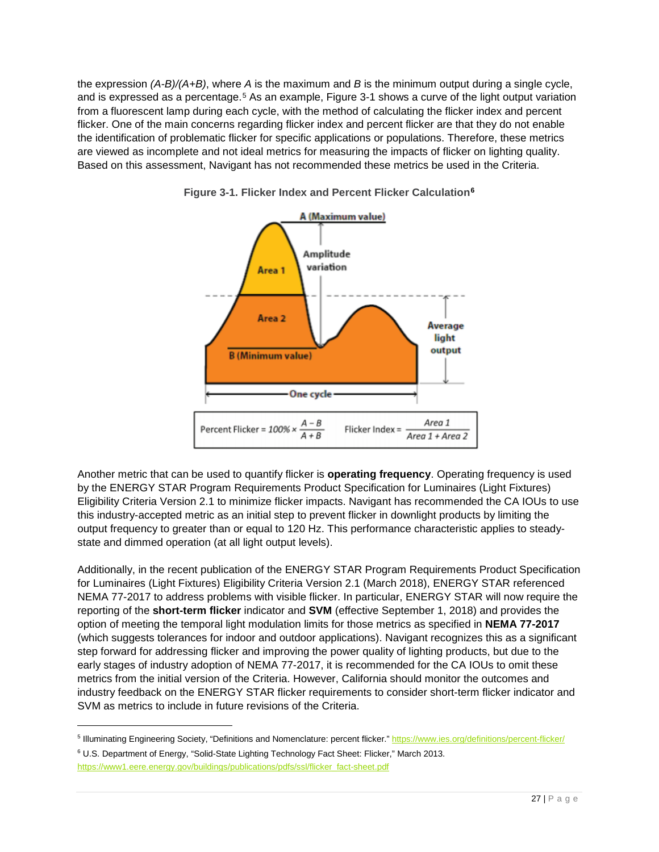the expression *(A-B)/(A+B)*, where *A* is the maximum and *B* is the minimum output during a single cycle, and is expressed as a percentage.<sup>[5](#page-26-1)</sup> As an example, [Figure 3-1](#page-26-0) shows a curve of the light output variation from a fluorescent lamp during each cycle, with the method of calculating the flicker index and percent flicker. One of the main concerns regarding flicker index and percent flicker are that they do not enable the identification of problematic flicker for specific applications or populations. Therefore, these metrics are viewed as incomplete and not ideal metrics for measuring the impacts of flicker on lighting quality. Based on this assessment, Navigant has not recommended these metrics be used in the Criteria.



<span id="page-26-0"></span>**Figure 3-1. Flicker Index and Percent Flicker Calculation[6](#page-26-2)**

Another metric that can be used to quantify flicker is **operating frequency**. Operating frequency is used by the ENERGY STAR Program Requirements Product Specification for Luminaires (Light Fixtures) Eligibility Criteria Version 2.1 to minimize flicker impacts. Navigant has recommended the CA IOUs to use this industry-accepted metric as an initial step to prevent flicker in downlight products by limiting the output frequency to greater than or equal to 120 Hz. This performance characteristic applies to steadystate and dimmed operation (at all light output levels).

Additionally, in the recent publication of the ENERGY STAR Program Requirements Product Specification for Luminaires (Light Fixtures) Eligibility Criteria Version 2.1 (March 2018), ENERGY STAR referenced NEMA 77-2017 to address problems with visible flicker. In particular, ENERGY STAR will now require the reporting of the **short-term flicker** indicator and **SVM** (effective September 1, 2018) and provides the option of meeting the temporal light modulation limits for those metrics as specified in **NEMA 77-2017** (which suggests tolerances for indoor and outdoor applications). Navigant recognizes this as a significant step forward for addressing flicker and improving the power quality of lighting products, but due to the early stages of industry adoption of NEMA 77-2017, it is recommended for the CA IOUs to omit these metrics from the initial version of the Criteria. However, California should monitor the outcomes and industry feedback on the ENERGY STAR flicker requirements to consider short-term flicker indicator and SVM as metrics to include in future revisions of the Criteria.

<span id="page-26-1"></span><sup>5</sup> Illuminating Engineering Society, "Definitions and Nomenclature: percent flicker.[" https://www.ies.org/definitions/percent-flicker/](https://www.ies.org/definitions/percent-flicker/)

<span id="page-26-2"></span><sup>6</sup> U.S. Department of Energy, "Solid-State Lighting Technology Fact Sheet: Flicker," March 2013. [https://www1.eere.energy.gov/buildings/publications/pdfs/ssl/flicker\\_fact-sheet.pdf](https://www1.eere.energy.gov/buildings/publications/pdfs/ssl/flicker_fact-sheet.pdf)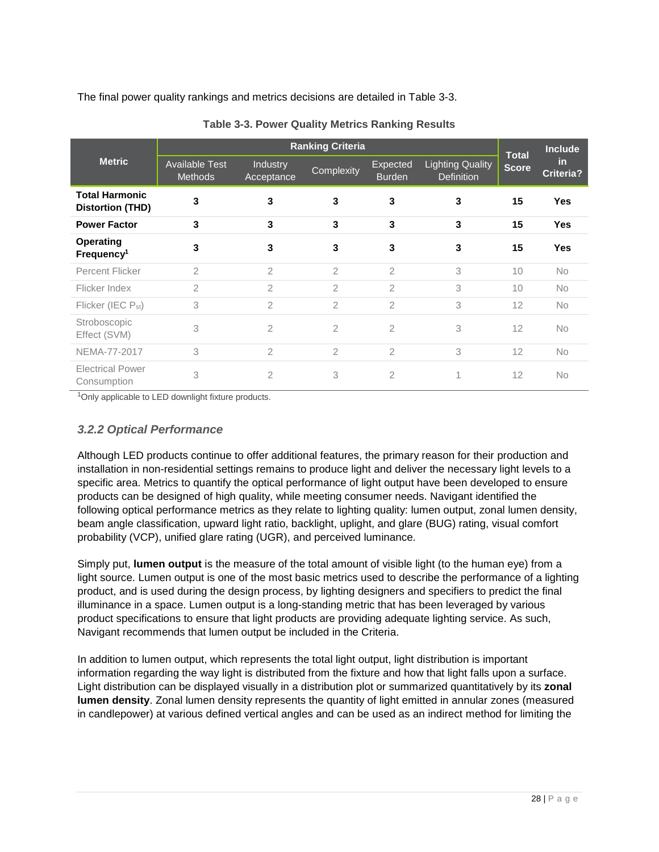The final power quality rankings and metrics decisions are detailed in [Table 3-3.](#page-27-1)

<span id="page-27-1"></span>

|                                                  | <b>Ranking Criteria</b>                 |                               |                |                           |                                              |                              | <b>Include</b>   |
|--------------------------------------------------|-----------------------------------------|-------------------------------|----------------|---------------------------|----------------------------------------------|------------------------------|------------------|
| <b>Metric</b>                                    | <b>Available Test</b><br><b>Methods</b> | <b>Industry</b><br>Acceptance | Complexity     | Expected<br><b>Burden</b> | <b>Lighting Quality</b><br><b>Definition</b> | <b>Total</b><br><b>Score</b> | in.<br>Criteria? |
| <b>Total Harmonic</b><br><b>Distortion (THD)</b> | 3                                       | 3                             | 3              | 3                         | 3                                            | 15                           | <b>Yes</b>       |
| <b>Power Factor</b>                              | 3                                       | 3                             | 3              | 3                         | 3                                            | 15                           | <b>Yes</b>       |
| <b>Operating</b><br>Frequency <sup>1</sup>       | 3                                       | 3                             | 3              | 3                         | 3                                            | 15                           | <b>Yes</b>       |
| <b>Percent Flicker</b>                           | $\mathfrak{D}$                          | $\overline{2}$                | $\overline{2}$ | $\overline{2}$            | 3                                            | 10                           | <b>No</b>        |
| Flicker Index                                    | $\overline{2}$                          | $\overline{2}$                | 2              | 2                         | 3                                            | 10                           | <b>No</b>        |
| Flicker (IEC P <sub>st</sub> )                   | 3                                       | $\overline{2}$                | $\overline{2}$ | $\overline{2}$            | 3                                            | 12                           | <b>No</b>        |
| Stroboscopic<br>Effect (SVM)                     | 3                                       | 2                             | 2              | 2                         | 3                                            | 12                           | <b>No</b>        |
| NEMA-77-2017                                     | 3                                       | $\overline{2}$                | 2              | $\overline{2}$            | 3                                            | 12                           | <b>No</b>        |
| <b>Electrical Power</b><br>Consumption           | 3                                       | 2                             | 3              | $\overline{2}$            | 1                                            | 12                           | <b>No</b>        |

|  |  |  |  |  | <b>Table 3-3. Power Quality Metrics Ranking Results</b> |  |
|--|--|--|--|--|---------------------------------------------------------|--|
|--|--|--|--|--|---------------------------------------------------------|--|

<span id="page-27-0"></span><sup>1</sup>Only applicable to LED downlight fixture products.

# *3.2.2 Optical Performance*

Although LED products continue to offer additional features, the primary reason for their production and installation in non-residential settings remains to produce light and deliver the necessary light levels to a specific area. Metrics to quantify the optical performance of light output have been developed to ensure products can be designed of high quality, while meeting consumer needs. Navigant identified the following optical performance metrics as they relate to lighting quality: lumen output, zonal lumen density, beam angle classification, upward light ratio, backlight, uplight, and glare (BUG) rating, visual comfort probability (VCP), unified glare rating (UGR), and perceived luminance.

Simply put, **lumen output** is the measure of the total amount of visible light (to the human eye) from a light source. Lumen output is one of the most basic metrics used to describe the performance of a lighting product, and is used during the design process, by lighting designers and specifiers to predict the final illuminance in a space. Lumen output is a long-standing metric that has been leveraged by various product specifications to ensure that light products are providing adequate lighting service. As such, Navigant recommends that lumen output be included in the Criteria.

In addition to lumen output, which represents the total light output, light distribution is important information regarding the way light is distributed from the fixture and how that light falls upon a surface. Light distribution can be displayed visually in a distribution plot or summarized quantitatively by its **zonal lumen density**. Zonal lumen density represents the quantity of light emitted in annular zones (measured in candlepower) at various defined vertical angles and can be used as an indirect method for limiting the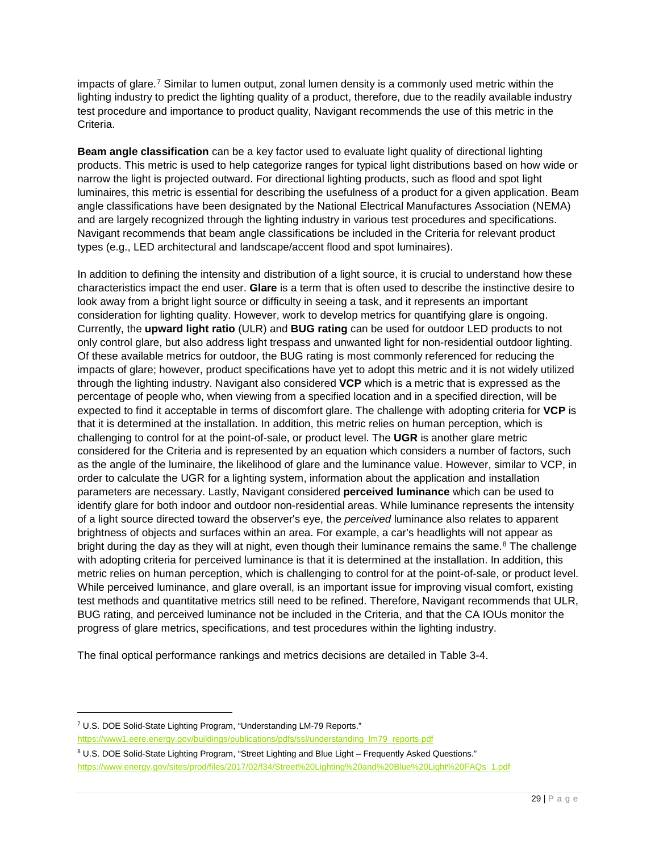impacts of glare.<sup>[7](#page-28-0)</sup> Similar to lumen output, zonal lumen density is a commonly used metric within the lighting industry to predict the lighting quality of a product, therefore, due to the readily available industry test procedure and importance to product quality, Navigant recommends the use of this metric in the Criteria.

**Beam angle classification** can be a key factor used to evaluate light quality of directional lighting products. This metric is used to help categorize ranges for typical light distributions based on how wide or narrow the light is projected outward. For directional lighting products, such as flood and spot light luminaires, this metric is essential for describing the usefulness of a product for a given application. Beam angle classifications have been designated by the National Electrical Manufactures Association (NEMA) and are largely recognized through the lighting industry in various test procedures and specifications. Navigant recommends that beam angle classifications be included in the Criteria for relevant product types (e.g., LED architectural and landscape/accent flood and spot luminaires).

In addition to defining the intensity and distribution of a light source, it is crucial to understand how these characteristics impact the end user. **Glare** is a term that is often used to describe the instinctive desire to look away from a bright light source or difficulty in seeing a task, and it represents an important consideration for lighting quality. However, work to develop metrics for quantifying glare is ongoing. Currently, the **upward light ratio** (ULR) and **BUG rating** can be used for outdoor LED products to not only control glare, but also address light trespass and unwanted light for non-residential outdoor lighting. Of these available metrics for outdoor, the BUG rating is most commonly referenced for reducing the impacts of glare; however, product specifications have yet to adopt this metric and it is not widely utilized through the lighting industry. Navigant also considered **VCP** which is a metric that is expressed as the percentage of people who, when viewing from a specified location and in a specified direction, will be expected to find it acceptable in terms of discomfort glare. The challenge with adopting criteria for **VCP** is that it is determined at the installation. In addition, this metric relies on human perception, which is challenging to control for at the point-of-sale, or product level. The **UGR** is another glare metric considered for the Criteria and is represented by an equation which considers a number of factors, such as the angle of the luminaire, the likelihood of glare and the luminance value. However, similar to VCP, in order to calculate the UGR for a lighting system, information about the application and installation parameters are necessary. Lastly, Navigant considered **perceived luminance** which can be used to identify glare for both indoor and outdoor non-residential areas. While luminance represents the intensity of a light source directed toward the observer's eye, the *perceived* luminance also relates to apparent brightness of objects and surfaces within an area. For example, a car's headlights will not appear as bright during the day as they will at night, even though their luminance remains the same.<sup>[8](#page-28-1)</sup> The challenge with adopting criteria for perceived luminance is that it is determined at the installation. In addition, this metric relies on human perception, which is challenging to control for at the point-of-sale, or product level. While perceived luminance, and glare overall, is an important issue for improving visual comfort, existing test methods and quantitative metrics still need to be refined. Therefore, Navigant recommends that ULR, BUG rating, and perceived luminance not be included in the Criteria, and that the CA IOUs monitor the progress of glare metrics, specifications, and test procedures within the lighting industry.

The final optical performance rankings and metrics decisions are detailed in [Table 3-4.](#page-29-1)

j

<span id="page-28-0"></span><sup>7</sup> U.S. DOE Solid-State Lighting Program, "Understanding LM-79 Reports."

[https://www1.eere.energy.gov/buildings/publications/pdfs/ssl/understanding\\_lm79\\_reports.pdf](https://www1.eere.energy.gov/buildings/publications/pdfs/ssl/understanding_lm79_reports.pdf)

<span id="page-28-1"></span><sup>8</sup> U.S. DOE Solid-State Lighting Program, "Street Lighting and Blue Light – Frequently Asked Questions." [https://www.energy.gov/sites/prod/files/2017/02/f34/Street%20Lighting%20and%20Blue%20Light%20FAQs\\_1.pdf](https://www.energy.gov/sites/prod/files/2017/02/f34/Street%20Lighting%20and%20Blue%20Light%20FAQs_1.pdf)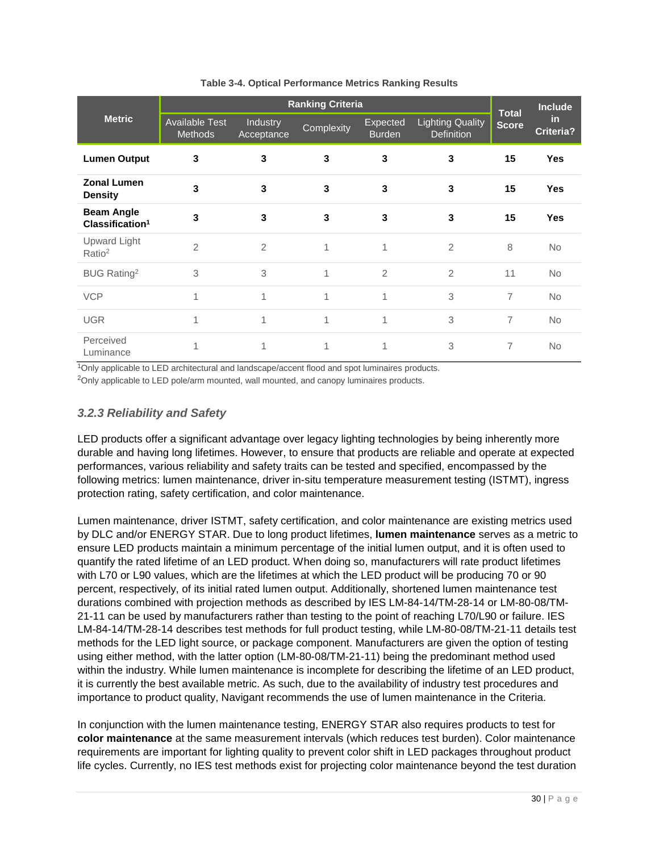<span id="page-29-1"></span>

|                                                  | <b>Ranking Criteria</b>          |                        |            |                           |                                              |                              | <b>Include</b>   |
|--------------------------------------------------|----------------------------------|------------------------|------------|---------------------------|----------------------------------------------|------------------------------|------------------|
| <b>Metric</b>                                    | <b>Available Test</b><br>Methods | Industry<br>Acceptance | Complexity | Expected<br><b>Burden</b> | <b>Lighting Quality</b><br><b>Definition</b> | <b>Total</b><br><b>Score</b> | in.<br>Criteria? |
| <b>Lumen Output</b>                              | 3                                | 3                      | 3          | 3                         | 3                                            | 15                           | <b>Yes</b>       |
| <b>Zonal Lumen</b><br><b>Density</b>             | 3                                | 3                      | 3          | 3                         | 3                                            | 15                           | <b>Yes</b>       |
| <b>Beam Angle</b><br>Classification <sup>1</sup> | 3                                | 3                      | 3          | 3                         | 3                                            | 15                           | <b>Yes</b>       |
| Upward Light<br>Ratio <sup>2</sup>               | $\overline{2}$                   | $\overline{2}$         | 1          | 1                         | $\overline{2}$                               | 8                            | No               |
| BUG Rating <sup>2</sup>                          | 3                                | 3                      | 1          | $\overline{2}$            | $\overline{2}$                               | 11                           | <b>No</b>        |
| <b>VCP</b>                                       | 1                                | 1                      | 1          | 1                         | 3                                            | 7                            | <b>No</b>        |
| <b>UGR</b>                                       | 1                                | 1                      | 1          | 1                         | 3                                            | 7                            | <b>No</b>        |
| Perceived<br>Luminance                           | 1                                | 1                      | 1          | 1                         | 3                                            | 7                            | <b>No</b>        |

#### **Table 3-4. Optical Performance Metrics Ranking Results**

<sup>1</sup>Only applicable to LED architectural and landscape/accent flood and spot luminaires products.

<span id="page-29-0"></span><sup>2</sup>Only applicable to LED pole/arm mounted, wall mounted, and canopy luminaires products.

# *3.2.3 Reliability and Safety*

LED products offer a significant advantage over legacy lighting technologies by being inherently more durable and having long lifetimes. However, to ensure that products are reliable and operate at expected performances, various reliability and safety traits can be tested and specified, encompassed by the following metrics: lumen maintenance, driver in-situ temperature measurement testing (ISTMT), ingress protection rating, safety certification, and color maintenance.

Lumen maintenance, driver ISTMT, safety certification, and color maintenance are existing metrics used by DLC and/or ENERGY STAR. Due to long product lifetimes, **lumen maintenance** serves as a metric to ensure LED products maintain a minimum percentage of the initial lumen output, and it is often used to quantify the rated lifetime of an LED product. When doing so, manufacturers will rate product lifetimes with L70 or L90 values, which are the lifetimes at which the LED product will be producing 70 or 90 percent, respectively, of its initial rated lumen output. Additionally, shortened lumen maintenance test durations combined with projection methods as described by IES LM-84-14/TM-28-14 or LM-80-08/TM-21-11 can be used by manufacturers rather than testing to the point of reaching L70/L90 or failure. IES LM-84-14/TM-28-14 describes test methods for full product testing, while LM-80-08/TM-21-11 details test methods for the LED light source, or package component. Manufacturers are given the option of testing using either method, with the latter option (LM-80-08/TM-21-11) being the predominant method used within the industry. While lumen maintenance is incomplete for describing the lifetime of an LED product, it is currently the best available metric. As such, due to the availability of industry test procedures and importance to product quality, Navigant recommends the use of lumen maintenance in the Criteria.

In conjunction with the lumen maintenance testing, ENERGY STAR also requires products to test for **color maintenance** at the same measurement intervals (which reduces test burden). Color maintenance requirements are important for lighting quality to prevent color shift in LED packages throughout product life cycles. Currently, no IES test methods exist for projecting color maintenance beyond the test duration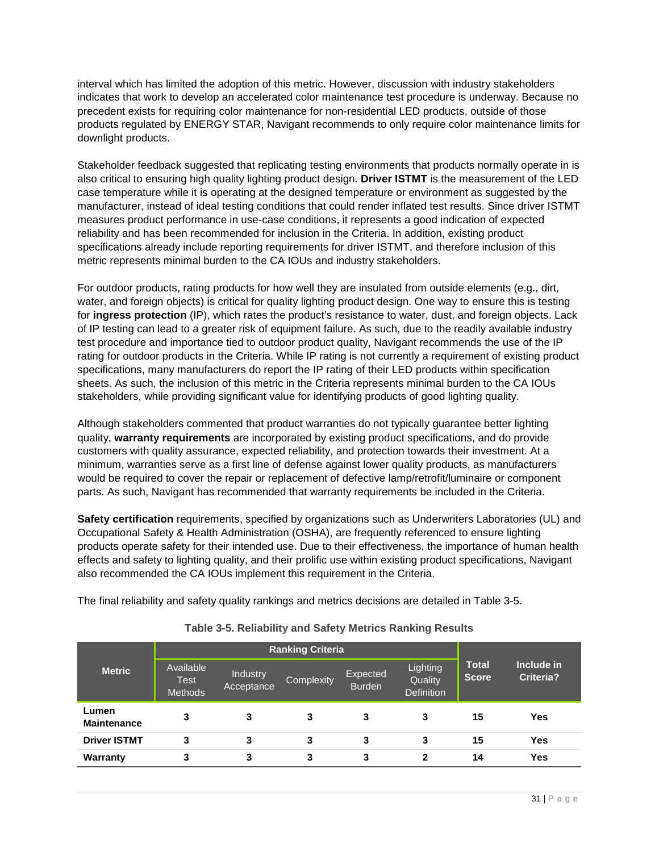interval which has limited the adoption of this metric. However, discussion with industry stakeholders indicates that work to develop an accelerated color maintenance test procedure is underway. Because no precedent exists for requiring color maintenance for non-residential LED products, outside of those products regulated by ENERGY STAR, Navigant recommends to only require color maintenance limits for downlight products.

Stakeholder feedback suggested that replicating testing environments that products normally operate in is also critical to ensuring high quality lighting product design. **Driver ISTMT** is the measurement of the LED case temperature while it is operating at the designed temperature or environment as suggested by the manufacturer, instead of ideal testing conditions that could render inflated test results. Since driver ISTMT measures product performance in use-case conditions, it represents a good indication of expected reliability and has been recommended for inclusion in the Criteria. In addition, existing product specifications already include reporting requirements for driver ISTMT, and therefore inclusion of this metric represents minimal burden to the CA IOUs and industry stakeholders.

For outdoor products, rating products for how well they are insulated from outside elements (e.g., dirt, water, and foreign objects) is critical for quality lighting product design. One way to ensure this is testing for **ingress protection** (IP), which rates the product's resistance to water, dust, and foreign objects. Lack of IP testing can lead to a greater risk of equipment failure. As such, due to the readily available industry test procedure and importance tied to outdoor product quality, Navigant recommends the use of the IP rating for outdoor products in the Criteria. While IP rating is not currently a requirement of existing product specifications, many manufacturers do report the IP rating of their LED products within specification sheets. As such, the inclusion of this metric in the Criteria represents minimal burden to the CA IOUs stakeholders, while providing significant value for identifying products of good lighting quality.

Although stakeholders commented that product warranties do not typically guarantee better lighting quality, **warranty requirements** are incorporated by existing product specifications, and do provide customers with quality assurance, expected reliability, and protection towards their investment. At a minimum, warranties serve as a first line of defense against lower quality products, as manufacturers would be required to cover the repair or replacement of defective lamp/retrofit/luminaire or component parts. As such, Navigant has recommended that warranty requirements be included in the Criteria.

**Safety certification** requirements, specified by organizations such as Underwriters Laboratories (UL) and Occupational Safety & Health Administration (OSHA), are frequently referenced to ensure lighting products operate safety for their intended use. Due to their effectiveness, the importance of human health effects and safety to lighting quality, and their prolific use within existing product specifications, Navigant also recommended the CA IOUs implement this requirement in the Criteria.

The final reliability and safety quality rankings and metrics decisions are detailed in [Table 3-5.](#page-30-0)

<span id="page-30-0"></span>

|                             |                                            | <b>Ranking Criteria</b>              |   |                           |                                          |                              |                                |
|-----------------------------|--------------------------------------------|--------------------------------------|---|---------------------------|------------------------------------------|------------------------------|--------------------------------|
| <b>Metric</b>               | Available<br><b>Test</b><br><b>Methods</b> | Industry<br>Complexity<br>Acceptance |   | Expected<br><b>Burden</b> | Lighting<br>Quality<br><b>Definition</b> | <b>Total</b><br><b>Score</b> | Include in<br><b>Criteria?</b> |
| Lumen<br><b>Maintenance</b> | 3                                          | 3                                    | 3 | 3                         | 3                                        | 15                           | Yes                            |
| <b>Driver ISTMT</b>         | 3                                          | 3                                    | 3 | 3                         | 3                                        | 15                           | Yes                            |
| Warranty                    | 3                                          | 3                                    | 3 | 3                         | $\mathbf 2$                              | 14                           | Yes                            |

#### **Table 3-5. Reliability and Safety Metrics Ranking Results**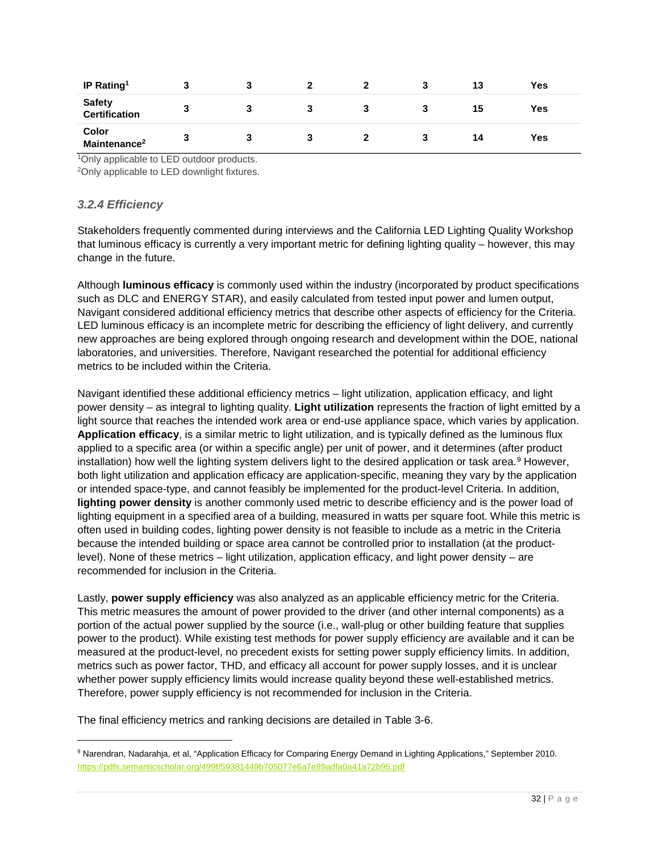| IP Rating <sup>1</sup>            |   |  |   | 3 | 13 | Yes |
|-----------------------------------|---|--|---|---|----|-----|
| Safety<br>Certification           |   |  | 3 | 3 | 15 | Yes |
| Color<br>Maintenance <sup>2</sup> | 3 |  |   | 3 | 14 | Yes |

<sup>1</sup>Only applicable to LED outdoor products.

<span id="page-31-0"></span>2Only applicable to LED downlight fixtures.

#### *3.2.4 Efficiency*

Stakeholders frequently commented during interviews and the California LED Lighting Quality Workshop that luminous efficacy is currently a very important metric for defining lighting quality – however, this may change in the future.

Although **luminous efficacy** is commonly used within the industry (incorporated by product specifications such as DLC and ENERGY STAR), and easily calculated from tested input power and lumen output, Navigant considered additional efficiency metrics that describe other aspects of efficiency for the Criteria. LED luminous efficacy is an incomplete metric for describing the efficiency of light delivery, and currently new approaches are being explored through ongoing research and development within the DOE, national laboratories, and universities. Therefore, Navigant researched the potential for additional efficiency metrics to be included within the Criteria.

Navigant identified these additional efficiency metrics – light utilization, application efficacy, and light power density – as integral to lighting quality. **Light utilization** represents the fraction of light emitted by a light source that reaches the intended work area or end-use appliance space, which varies by application. **Application efficacy**, is a similar metric to light utilization, and is typically defined as the luminous flux applied to a specific area (or within a specific angle) per unit of power, and it determines (after product installation) how well the lighting system delivers light to the desired application or task area.<sup>[9](#page-31-1)</sup> However, both light utilization and application efficacy are application-specific, meaning they vary by the application or intended space-type, and cannot feasibly be implemented for the product-level Criteria. In addition, **lighting power density** is another commonly used metric to describe efficiency and is the power load of lighting equipment in a specified area of a building, measured in watts per square foot. While this metric is often used in building codes, lighting power density is not feasible to include as a metric in the Criteria because the intended building or space area cannot be controlled prior to installation (at the productlevel). None of these metrics – light utilization, application efficacy, and light power density – are recommended for inclusion in the Criteria.

Lastly, **power supply efficiency** was also analyzed as an applicable efficiency metric for the Criteria. This metric measures the amount of power provided to the driver (and other internal components) as a portion of the actual power supplied by the source (i.e., wall-plug or other building feature that supplies power to the product). While existing test methods for power supply efficiency are available and it can be measured at the product-level, no precedent exists for setting power supply efficiency limits. In addition, metrics such as power factor, THD, and efficacy all account for power supply losses, and it is unclear whether power supply efficiency limits would increase quality beyond these well-established metrics. Therefore, power supply efficiency is not recommended for inclusion in the Criteria.

The final efficiency metrics and ranking decisions are detailed in [Table 3-6.](#page-32-1)

<span id="page-31-1"></span> <sup>9</sup> Narendran, Nadarahja, et al, "Application Efficacy for Comparing Energy Demand in Lighting Applications," September 2010. <https://pdfs.semanticscholar.org/499f/59381449b705077e6a7e89adfa0a41a72b95.pdf>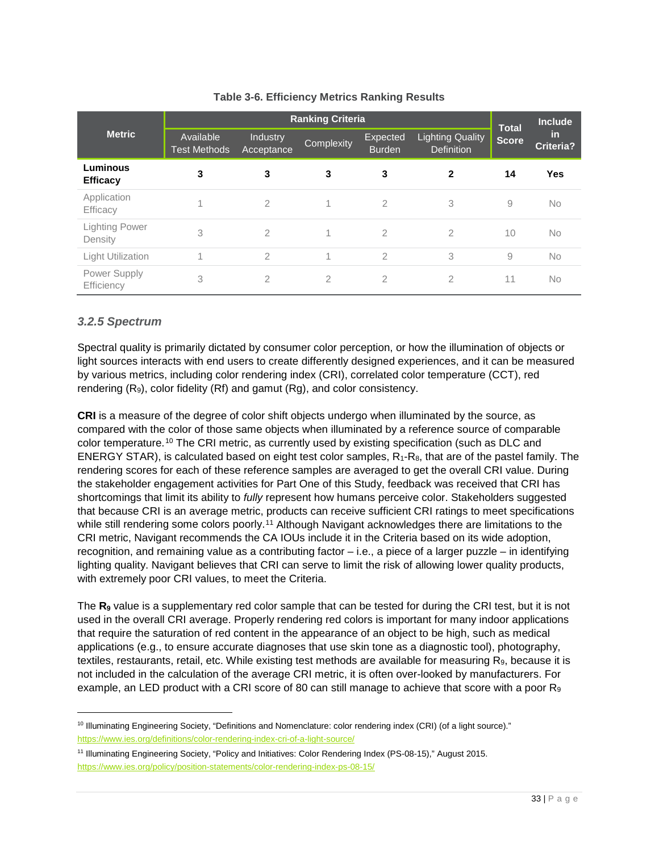<span id="page-32-1"></span>

|                                  | <b>Ranking Criteria</b>          |                        |                |                           |                                              |                              | <b>Include</b>         |
|----------------------------------|----------------------------------|------------------------|----------------|---------------------------|----------------------------------------------|------------------------------|------------------------|
| <b>Metric</b>                    | Available<br><b>Test Methods</b> | Industry<br>Acceptance | Complexity     | Expected<br><b>Burden</b> | <b>Lighting Quality</b><br><b>Definition</b> | <b>Total</b><br><b>Score</b> | <u>in</u><br>Criteria? |
| Luminous<br><b>Efficacy</b>      | 3                                | 3                      | 3              | 3                         | $\mathbf{2}$                                 | 14                           | <b>Yes</b>             |
| Application<br>Efficacy          |                                  | 2                      |                | $\overline{2}$            | 3                                            | 9                            | <b>No</b>              |
| <b>Lighting Power</b><br>Density | 3                                | $\overline{2}$         |                | $\overline{2}$            | $\overline{2}$                               | 10                           | <b>No</b>              |
| <b>Light Utilization</b>         | 1                                | $\overline{2}$         | 1              | $\overline{2}$            | 3                                            | 9                            | <b>No</b>              |
| Power Supply<br>Efficiency       | 3                                | $\overline{2}$         | $\overline{2}$ | $\overline{2}$            | $\overline{2}$                               | 11                           | <b>No</b>              |

# **Table 3-6. Efficiency Metrics Ranking Results**

# <span id="page-32-0"></span>*3.2.5 Spectrum*

j

Spectral quality is primarily dictated by consumer color perception, or how the illumination of objects or light sources interacts with end users to create differently designed experiences, and it can be measured by various metrics, including color rendering index (CRI), correlated color temperature (CCT), red rendering (R9), color fidelity (Rf) and gamut (Rg), and color consistency.

**CRI** is a measure of the degree of color shift objects undergo when illuminated by the source, as compared with the color of those same objects when illuminated by a reference source of comparable color temperature.[10](#page-32-2) The CRI metric, as currently used by existing specification (such as DLC and ENERGY STAR), is calculated based on eight test color samples, R1-R8, that are of the pastel family. The rendering scores for each of these reference samples are averaged to get the overall CRI value. During the stakeholder engagement activities for Part One of this Study, feedback was received that CRI has shortcomings that limit its ability to *fully* represent how humans perceive color. Stakeholders suggested that because CRI is an average metric, products can receive sufficient CRI ratings to meet specifications while still rendering some colors poorly.<sup>[11](#page-32-3)</sup> Although Navigant acknowledges there are limitations to the CRI metric, Navigant recommends the CA IOUs include it in the Criteria based on its wide adoption, recognition, and remaining value as a contributing factor – i.e., a piece of a larger puzzle – in identifying lighting quality. Navigant believes that CRI can serve to limit the risk of allowing lower quality products, with extremely poor CRI values, to meet the Criteria.

The **R<sub>9</sub>** value is a supplementary red color sample that can be tested for during the CRI test, but it is not used in the overall CRI average. Properly rendering red colors is important for many indoor applications that require the saturation of red content in the appearance of an object to be high, such as medical applications (e.g., to ensure accurate diagnoses that use skin tone as a diagnostic tool), photography, textiles, restaurants, retail, etc. While existing test methods are available for measuring  $R_9$ , because it is not included in the calculation of the average CRI metric, it is often over-looked by manufacturers. For example, an LED product with a CRI score of 80 can still manage to achieve that score with a poor  $R_9$ 

<span id="page-32-2"></span><sup>&</sup>lt;sup>10</sup> Illuminating Engineering Society, "Definitions and Nomenclature: color rendering index (CRI) (of a light source)." <https://www.ies.org/definitions/color-rendering-index-cri-of-a-light-source/>

<span id="page-32-3"></span><sup>11</sup> Illuminating Engineering Society, "Policy and Initiatives: Color Rendering Index (PS-08-15)," August 2015. <https://www.ies.org/policy/position-statements/color-rendering-index-ps-08-15/>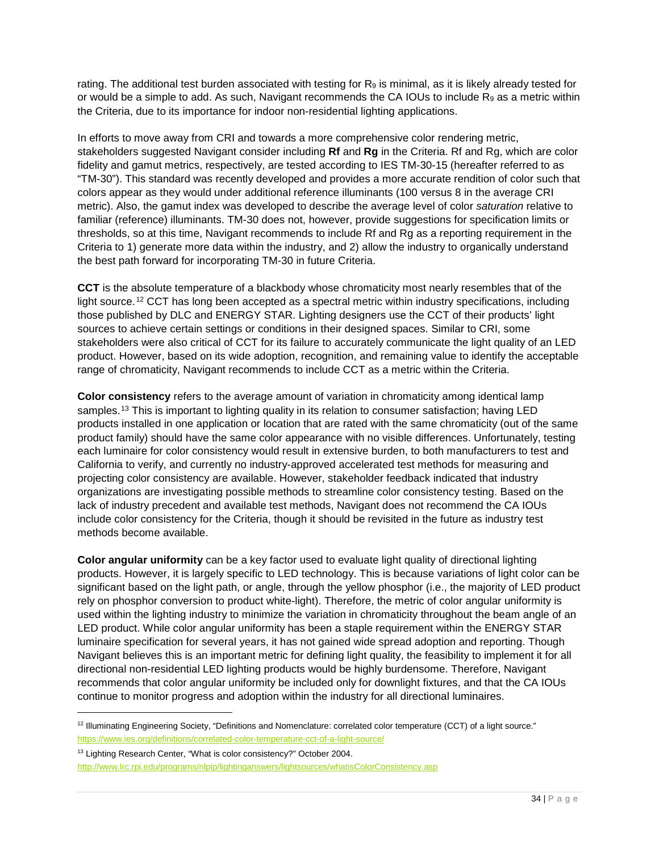rating. The additional test burden associated with testing for  $R_9$  is minimal, as it is likely already tested for or would be a simple to add. As such, Navigant recommends the CA IOUs to include  $R_9$  as a metric within the Criteria, due to its importance for indoor non-residential lighting applications.

In efforts to move away from CRI and towards a more comprehensive color rendering metric, stakeholders suggested Navigant consider including **Rf** and **Rg** in the Criteria. Rf and Rg, which are color fidelity and gamut metrics, respectively, are tested according to IES TM-30-15 (hereafter referred to as "TM-30"). This standard was recently developed and provides a more accurate rendition of color such that colors appear as they would under additional reference illuminants (100 versus 8 in the average CRI metric). Also, the gamut index was developed to describe the average level of color *saturation* relative to familiar (reference) illuminants. TM-30 does not, however, provide suggestions for specification limits or thresholds, so at this time, Navigant recommends to include Rf and Rg as a reporting requirement in the Criteria to 1) generate more data within the industry, and 2) allow the industry to organically understand the best path forward for incorporating TM-30 in future Criteria.

**CCT** is the absolute temperature of a blackbody whose chromaticity most nearly resembles that of the light source.<sup>[12](#page-33-0)</sup> CCT has long been accepted as a spectral metric within industry specifications, including those published by DLC and ENERGY STAR. Lighting designers use the CCT of their products' light sources to achieve certain settings or conditions in their designed spaces. Similar to CRI, some stakeholders were also critical of CCT for its failure to accurately communicate the light quality of an LED product. However, based on its wide adoption, recognition, and remaining value to identify the acceptable range of chromaticity, Navigant recommends to include CCT as a metric within the Criteria.

**Color consistency** refers to the average amount of variation in chromaticity among identical lamp samples.<sup>[13](#page-33-1)</sup> This is important to lighting quality in its relation to consumer satisfaction; having LED products installed in one application or location that are rated with the same chromaticity (out of the same product family) should have the same color appearance with no visible differences. Unfortunately, testing each luminaire for color consistency would result in extensive burden, to both manufacturers to test and California to verify, and currently no industry-approved accelerated test methods for measuring and projecting color consistency are available. However, stakeholder feedback indicated that industry organizations are investigating possible methods to streamline color consistency testing. Based on the lack of industry precedent and available test methods, Navigant does not recommend the CA IOUs include color consistency for the Criteria, though it should be revisited in the future as industry test methods become available.

**Color angular uniformity** can be a key factor used to evaluate light quality of directional lighting products. However, it is largely specific to LED technology. This is because variations of light color can be significant based on the light path, or angle, through the yellow phosphor (i.e., the majority of LED product rely on phosphor conversion to product white-light). Therefore, the metric of color angular uniformity is used within the lighting industry to minimize the variation in chromaticity throughout the beam angle of an LED product. While color angular uniformity has been a staple requirement within the ENERGY STAR luminaire specification for several years, it has not gained wide spread adoption and reporting. Though Navigant believes this is an important metric for defining light quality, the feasibility to implement it for all directional non-residential LED lighting products would be highly burdensome. Therefore, Navigant recommends that color angular uniformity be included only for downlight fixtures, and that the CA IOUs continue to monitor progress and adoption within the industry for all directional luminaires.

j

<span id="page-33-0"></span><sup>12</sup> Illuminating Engineering Society, "Definitions and Nomenclature: correlated color temperature (CCT) of a light source." <https://www.ies.org/definitions/correlated-color-temperature-cct-of-a-light-source/>

<span id="page-33-1"></span><sup>&</sup>lt;sup>13</sup> Lighting Research Center, "What is color consistency?" October 2004.

<http://www.lrc.rpi.edu/programs/nlpip/lightinganswers/lightsources/whatisColorConsistency.asp>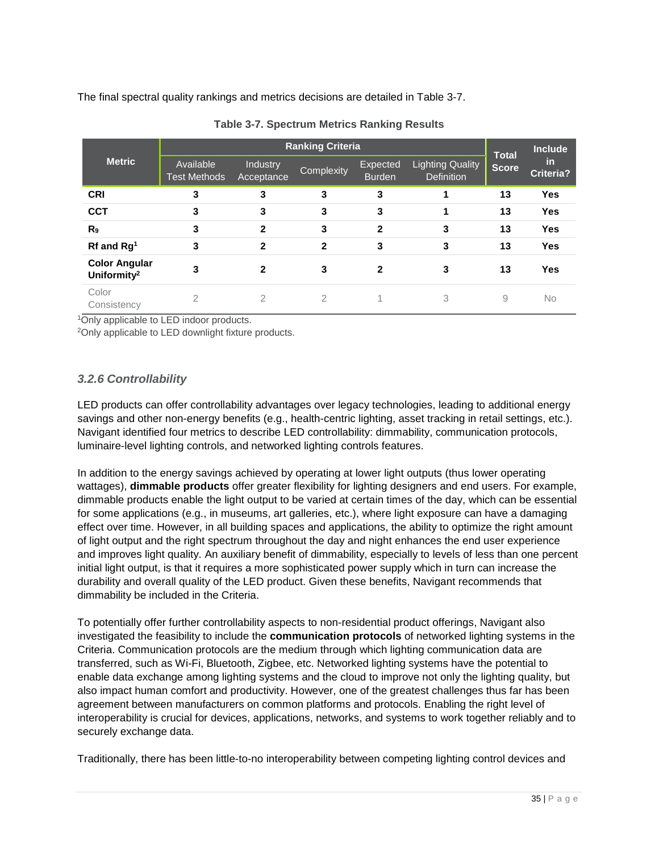The final spectral quality rankings and metrics decisions are detailed in [Table 3-7.](#page-34-1)

<span id="page-34-1"></span>

| <b>Metric</b>                                   |                                  |                        | <b>Ranking Criteria</b> |                           |                                              | <b>Total</b><br><b>Score</b> | <b>Include</b><br><b>in</b><br><b>Criteria?</b> |
|-------------------------------------------------|----------------------------------|------------------------|-------------------------|---------------------------|----------------------------------------------|------------------------------|-------------------------------------------------|
|                                                 | Available<br><b>Test Methods</b> | Industry<br>Acceptance | Complexity              | Expected<br><b>Burden</b> | <b>Lighting Quality</b><br><b>Definition</b> |                              |                                                 |
| <b>CRI</b>                                      | 3                                | 3                      | 3                       | 3                         |                                              | 13                           | <b>Yes</b>                                      |
| <b>CCT</b>                                      | 3                                | 3                      | 3                       | 3                         |                                              | 13                           | <b>Yes</b>                                      |
| R <sub>9</sub>                                  | 3                                | $\mathbf{2}$           | 3                       | 2                         | 3                                            | 13                           | <b>Yes</b>                                      |
| $Rf$ and $Rg1$                                  | 3                                | $\mathbf{2}$           | $\mathbf{2}$            | 3                         | 3                                            | 13                           | <b>Yes</b>                                      |
| <b>Color Angular</b><br>Uniformity <sup>2</sup> | 3                                | $\mathbf{2}$           | 3                       | $\mathbf{2}$              | 3                                            | 13                           | <b>Yes</b>                                      |
| Color<br>Consistency                            | $\overline{2}$                   | $\overline{2}$         | 2                       |                           | 3                                            | 9                            | No                                              |

**Table 3-7. Spectrum Metrics Ranking Results**

<sup>1</sup>Only applicable to LED indoor products.

2Only applicable to LED downlight fixture products.

# <span id="page-34-0"></span>*3.2.6 Controllability*

LED products can offer controllability advantages over legacy technologies, leading to additional energy savings and other non-energy benefits (e.g., health-centric lighting, asset tracking in retail settings, etc.). Navigant identified four metrics to describe LED controllability: dimmability, communication protocols, luminaire-level lighting controls, and networked lighting controls features.

In addition to the energy savings achieved by operating at lower light outputs (thus lower operating wattages), **dimmable products** offer greater flexibility for lighting designers and end users. For example, dimmable products enable the light output to be varied at certain times of the day, which can be essential for some applications (e.g., in museums, art galleries, etc.), where light exposure can have a damaging effect over time. However, in all building spaces and applications, the ability to optimize the right amount of light output and the right spectrum throughout the day and night enhances the end user experience and improves light quality. An auxiliary benefit of dimmability, especially to levels of less than one percent initial light output, is that it requires a more sophisticated power supply which in turn can increase the durability and overall quality of the LED product. Given these benefits, Navigant recommends that dimmability be included in the Criteria.

To potentially offer further controllability aspects to non-residential product offerings, Navigant also investigated the feasibility to include the **communication protocols** of networked lighting systems in the Criteria. Communication protocols are the medium through which lighting communication data are transferred, such as Wi-Fi, Bluetooth, Zigbee, etc. Networked lighting systems have the potential to enable data exchange among lighting systems and the cloud to improve not only the lighting quality, but also impact human comfort and productivity. However, one of the greatest challenges thus far has been agreement between manufacturers on common platforms and protocols. Enabling the right level of interoperability is crucial for devices, applications, networks, and systems to work together reliably and to securely exchange data.

Traditionally, there has been little-to-no interoperability between competing lighting control devices and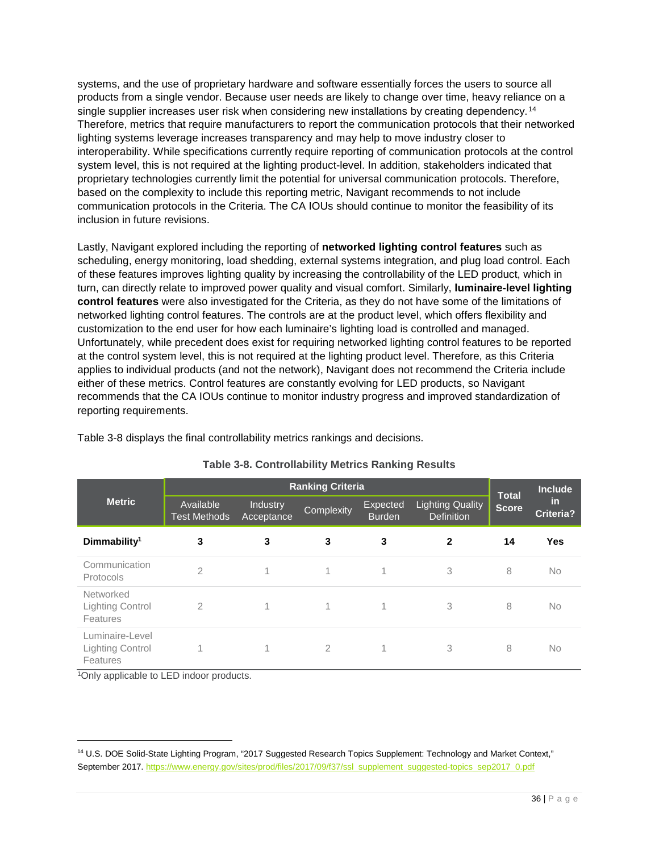systems, and the use of proprietary hardware and software essentially forces the users to source all products from a single vendor. Because user needs are likely to change over time, heavy reliance on a single supplier increases user risk when considering new installations by creating dependency.<sup>[14](#page-35-1)</sup> Therefore, metrics that require manufacturers to report the communication protocols that their networked lighting systems leverage increases transparency and may help to move industry closer to interoperability. While specifications currently require reporting of communication protocols at the control system level, this is not required at the lighting product-level. In addition, stakeholders indicated that proprietary technologies currently limit the potential for universal communication protocols. Therefore, based on the complexity to include this reporting metric, Navigant recommends to not include communication protocols in the Criteria. The CA IOUs should continue to monitor the feasibility of its inclusion in future revisions.

Lastly, Navigant explored including the reporting of **networked lighting control features** such as scheduling, energy monitoring, load shedding, external systems integration, and plug load control. Each of these features improves lighting quality by increasing the controllability of the LED product, which in turn, can directly relate to improved power quality and visual comfort. Similarly, **luminaire-level lighting control features** were also investigated for the Criteria, as they do not have some of the limitations of networked lighting control features. The controls are at the product level, which offers flexibility and customization to the end user for how each luminaire's lighting load is controlled and managed. Unfortunately, while precedent does exist for requiring networked lighting control features to be reported at the control system level, this is not required at the lighting product level. Therefore, as this Criteria applies to individual products (and not the network), Navigant does not recommend the Criteria include either of these metrics. Control features are constantly evolving for LED products, so Navigant recommends that the CA IOUs continue to monitor industry progress and improved standardization of reporting requirements.

| Table 3-8 displays the final controllability metrics rankings and decisions. |  |
|------------------------------------------------------------------------------|--|

<span id="page-35-0"></span>

|                                                        | <b>Ranking Criteria</b>          |                        |                |                           |                                              |                              | <b>Include</b>          |
|--------------------------------------------------------|----------------------------------|------------------------|----------------|---------------------------|----------------------------------------------|------------------------------|-------------------------|
| <b>Metric</b>                                          | Available<br><b>Test Methods</b> | Industry<br>Acceptance | Complexity     | Expected<br><b>Burden</b> | <b>Lighting Quality</b><br><b>Definition</b> | <b>Total</b><br><b>Score</b> | -in<br><b>Criteria?</b> |
| Dimmability <sup>1</sup>                               | 3                                | 3                      | 3              | 3                         | $\mathbf{2}$                                 | 14                           | Yes                     |
| Communication<br>Protocols                             | $\overline{2}$                   | 1                      | 1              | 1                         | 3                                            | 8                            | <b>No</b>               |
| Networked<br><b>Lighting Control</b><br>Features       | $\mathcal{P}$                    | 1                      | 1              | 1                         | 3                                            | 8                            | <b>No</b>               |
| Luminaire-Level<br><b>Lighting Control</b><br>Features | 1                                | 1                      | $\overline{2}$ | 1                         | 3                                            | 8                            | <b>No</b>               |

# **Table 3-8. Controllability Metrics Ranking Results**

<sup>1</sup>Only applicable to LED indoor products.

<span id="page-35-1"></span><sup>&</sup>lt;sup>14</sup> U.S. DOE Solid-State Lighting Program, "2017 Suggested Research Topics Supplement: Technology and Market Context," September 2017[. https://www.energy.gov/sites/prod/files/2017/09/f37/ssl\\_supplement\\_suggested-topics\\_sep2017\\_0.pdf](https://www.energy.gov/sites/prod/files/2017/09/f37/ssl_supplement_suggested-topics_sep2017_0.pdf)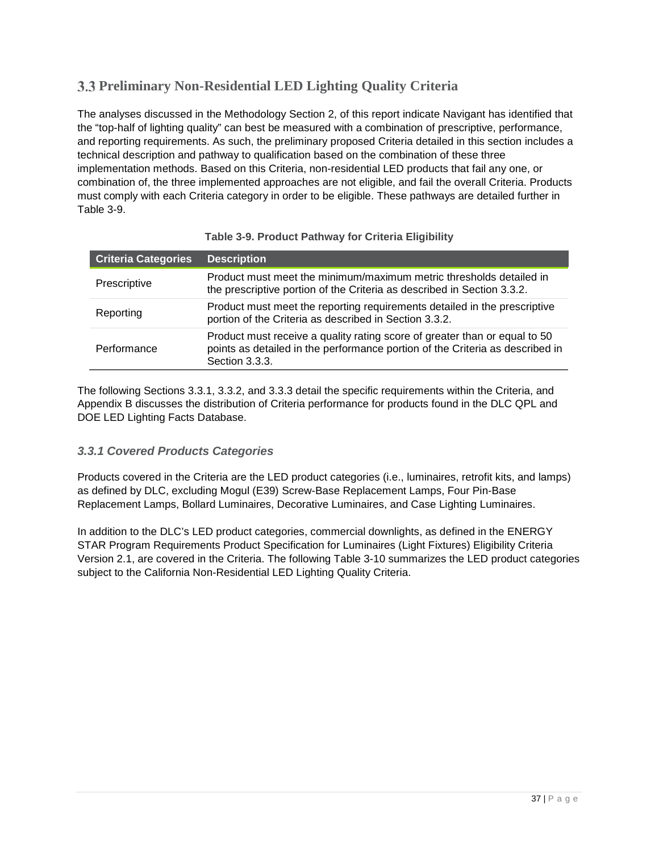# <span id="page-36-3"></span><span id="page-36-2"></span>**Preliminary Non-Residential LED Lighting Quality Criteria**

The analyses discussed in the Methodology Section [2,](#page-12-0) of this report indicate Navigant has identified that the "top-half of lighting quality" can best be measured with a combination of prescriptive, performance, and reporting requirements. As such, the preliminary proposed Criteria detailed in this section includes a technical description and pathway to qualification based on the combination of these three implementation methods. Based on this Criteria, non-residential LED products that fail any one, or combination of, the three implemented approaches are not eligible, and fail the overall Criteria. Products must comply with each Criteria category in order to be eligible. These pathways are detailed further in [Table 3-9.](#page-36-0)

<span id="page-36-0"></span>

| <b>Criteria Categories</b> | <b>Description</b>                                                                                                                                                            |
|----------------------------|-------------------------------------------------------------------------------------------------------------------------------------------------------------------------------|
| Prescriptive               | Product must meet the minimum/maximum metric thresholds detailed in<br>the prescriptive portion of the Criteria as described in Section 3.3.2.                                |
| Reporting                  | Product must meet the reporting requirements detailed in the prescriptive<br>portion of the Criteria as described in Section 3.3.2.                                           |
| Performance                | Product must receive a quality rating score of greater than or equal to 50<br>points as detailed in the performance portion of the Criteria as described in<br>Section 3.3.3. |

# **Table 3-9. Product Pathway for Criteria Eligibility**

The following Sections [3.3.1,](#page-36-1) [3.3.2,](#page-37-0) and [3.3.3](#page-42-0) detail the specific requirements within the Criteria, and [Appendix B](#page-64-0) discusses the distribution of Criteria performance for products found in the DLC QPL and DOE LED Lighting Facts Database.

# <span id="page-36-1"></span>*3.3.1 Covered Products Categories*

Products covered in the Criteria are the LED product categories (i.e., luminaires, retrofit kits, and lamps) as defined by DLC, excluding Mogul (E39) Screw-Base Replacement Lamps, Four Pin-Base Replacement Lamps, Bollard Luminaires, Decorative Luminaires, and Case Lighting Luminaires.

In addition to the DLC's LED product categories, commercial downlights, as defined in the ENERGY STAR Program Requirements Product Specification for Luminaires (Light Fixtures) Eligibility Criteria Version 2.1, are covered in the Criteria. The following [Table 3-10](#page-37-1) summarizes the LED product categories subject to the California Non-Residential LED Lighting Quality Criteria.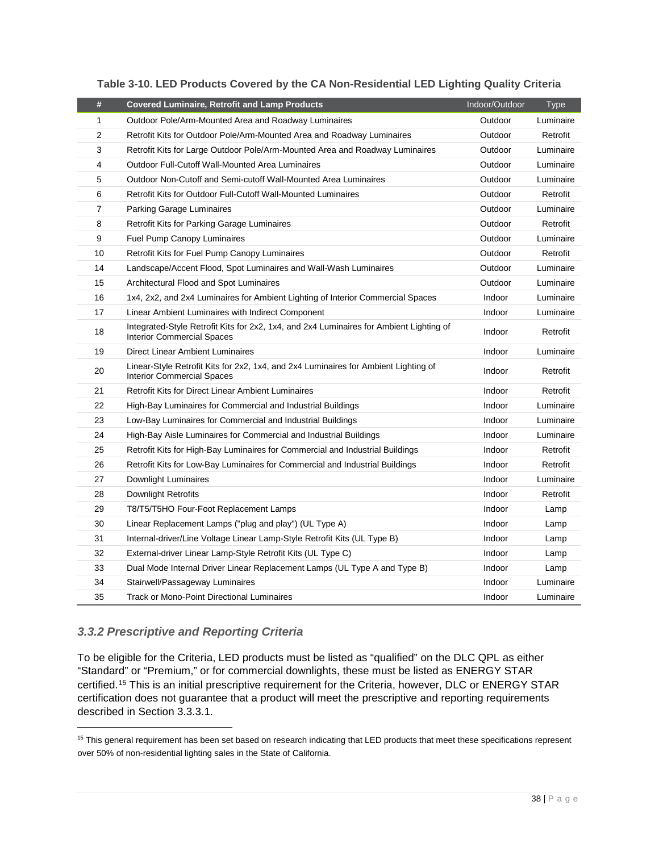<span id="page-37-1"></span>

| #              | <b>Covered Luminaire, Retrofit and Lamp Products</b>                                                                         | Indoor/Outdoor | <b>Type</b> |
|----------------|------------------------------------------------------------------------------------------------------------------------------|----------------|-------------|
| 1              | Outdoor Pole/Arm-Mounted Area and Roadway Luminaires                                                                         | Outdoor        | Luminaire   |
| $\overline{2}$ | Retrofit Kits for Outdoor Pole/Arm-Mounted Area and Roadway Luminaires                                                       | Outdoor        | Retrofit    |
| 3              | Retrofit Kits for Large Outdoor Pole/Arm-Mounted Area and Roadway Luminaires                                                 | Outdoor        | Luminaire   |
| 4              | Outdoor Full-Cutoff Wall-Mounted Area Luminaires                                                                             | Outdoor        | Luminaire   |
| 5              | Outdoor Non-Cutoff and Semi-cutoff Wall-Mounted Area Luminaires                                                              | Outdoor        | Luminaire   |
| 6              | Retrofit Kits for Outdoor Full-Cutoff Wall-Mounted Luminaires                                                                | Outdoor        | Retrofit    |
| $\overline{7}$ | <b>Parking Garage Luminaires</b>                                                                                             | Outdoor        | Luminaire   |
| 8              | Retrofit Kits for Parking Garage Luminaires                                                                                  | Outdoor        | Retrofit    |
| 9              | <b>Fuel Pump Canopy Luminaires</b>                                                                                           | Outdoor        | Luminaire   |
| 10             | Retrofit Kits for Fuel Pump Canopy Luminaires                                                                                | Outdoor        | Retrofit    |
| 14             | Landscape/Accent Flood, Spot Luminaires and Wall-Wash Luminaires                                                             | Outdoor        | Luminaire   |
| 15             | Architectural Flood and Spot Luminaires                                                                                      | Outdoor        | Luminaire   |
| 16             | 1x4, 2x2, and 2x4 Luminaires for Ambient Lighting of Interior Commercial Spaces                                              | Indoor         | Luminaire   |
| 17             | Linear Ambient Luminaires with Indirect Component                                                                            | Indoor         | Luminaire   |
| 18             | Integrated-Style Retrofit Kits for 2x2, 1x4, and 2x4 Luminaires for Ambient Lighting of<br><b>Interior Commercial Spaces</b> | Indoor         | Retrofit    |
| 19             | <b>Direct Linear Ambient Luminaires</b>                                                                                      | Indoor         | Luminaire   |
| 20             | Linear-Style Retrofit Kits for 2x2, 1x4, and 2x4 Luminaires for Ambient Lighting of<br><b>Interior Commercial Spaces</b>     | Indoor         | Retrofit    |
| 21             | <b>Retrofit Kits for Direct Linear Ambient Luminaires</b>                                                                    | Indoor         | Retrofit    |
| 22             | High-Bay Luminaires for Commercial and Industrial Buildings                                                                  | Indoor         | Luminaire   |
| 23             | Low-Bay Luminaires for Commercial and Industrial Buildings                                                                   | Indoor         | Luminaire   |
| 24             | High-Bay Aisle Luminaires for Commercial and Industrial Buildings                                                            | Indoor         | Luminaire   |
| 25             | Retrofit Kits for High-Bay Luminaires for Commercial and Industrial Buildings                                                | Indoor         | Retrofit    |
| 26             | Retrofit Kits for Low-Bay Luminaires for Commercial and Industrial Buildings                                                 | Indoor         | Retrofit    |
| 27             | Downlight Luminaires                                                                                                         | Indoor         | Luminaire   |
| 28             | Downlight Retrofits                                                                                                          | Indoor         | Retrofit    |
| 29             | T8/T5/T5HO Four-Foot Replacement Lamps                                                                                       | Indoor         | Lamp        |
| 30             | Linear Replacement Lamps ("plug and play") (UL Type A)                                                                       | Indoor         | Lamp        |
| 31             | Internal-driver/Line Voltage Linear Lamp-Style Retrofit Kits (UL Type B)                                                     | Indoor         | Lamp        |
| 32             | External-driver Linear Lamp-Style Retrofit Kits (UL Type C)                                                                  | Indoor         | Lamp        |
| 33             | Dual Mode Internal Driver Linear Replacement Lamps (UL Type A and Type B)                                                    | Indoor         | Lamp        |
| 34             | Stairwell/Passageway Luminaires                                                                                              | Indoor         | Luminaire   |
| 35             | <b>Track or Mono-Point Directional Luminaires</b>                                                                            | Indoor         | Luminaire   |

# **Table 3-10. LED Products Covered by the CA Non-Residential LED Lighting Quality Criteria**

# <span id="page-37-0"></span>*3.3.2 Prescriptive and Reporting Criteria*

To be eligible for the Criteria, LED products must be listed as "qualified" on the DLC QPL as either "Standard" or "Premium," or for commercial downlights, these must be listed as ENERGY STAR certified.[15](#page-37-2) This is an initial prescriptive requirement for the Criteria, however, DLC or ENERGY STAR certification does not guarantee that a product will meet the prescriptive and reporting requirements described in Section [3.3.3.1.](#page-43-0)

<span id="page-37-2"></span><sup>&</sup>lt;sup>15</sup> This general requirement has been set based on research indicating that LED products that meet these specifications represent over 50% of non-residential lighting sales in the State of California.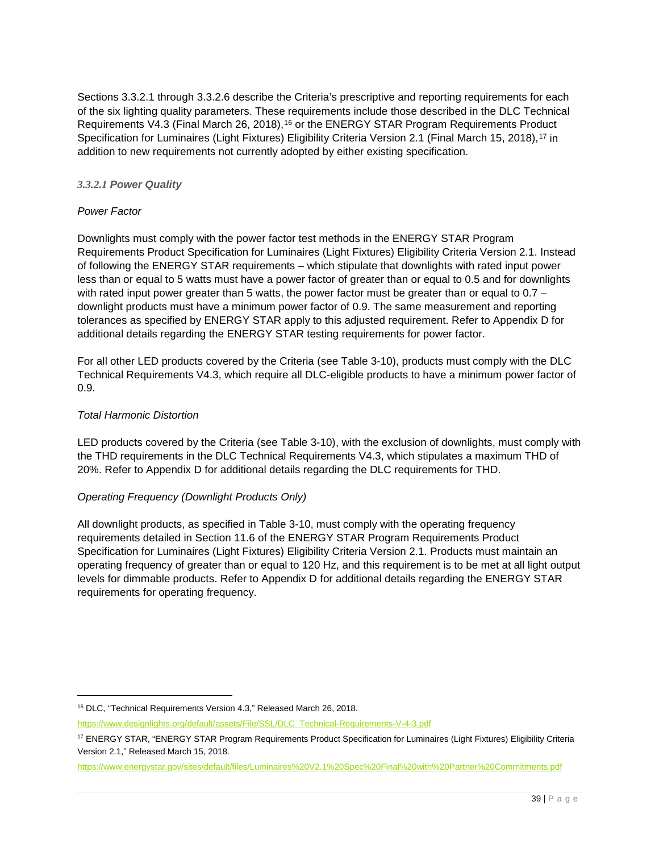Sections [3.3.2.1](#page-38-0) through [3.3.2.6](#page-42-1) describe the Criteria's prescriptive and reporting requirements for each of the six lighting quality parameters. These requirements include those described in the DLC Technical Requirements V4.3 (Final March 26, 2018),<sup>[16](#page-38-1)</sup> or the ENERGY STAR Program Requirements Product Specification for Luminaires (Light Fixtures) Eligibility Criteria Version 2.1 (Final March 15, 2018), <sup>[17](#page-38-2)</sup> in addition to new requirements not currently adopted by either existing specification.

## <span id="page-38-0"></span>*3.3.2.1 Power Quality*

## *Power Factor*

Downlights must comply with the power factor test methods in the ENERGY STAR Program Requirements Product Specification for Luminaires (Light Fixtures) Eligibility Criteria Version 2.1. Instead of following the ENERGY STAR requirements – which stipulate that downlights with rated input power less than or equal to 5 watts must have a power factor of greater than or equal to 0.5 and for downlights with rated input power greater than 5 watts, the power factor must be greater than or equal to 0.7 – downlight products must have a minimum power factor of 0.9. The same measurement and reporting tolerances as specified by ENERGY STAR apply to this adjusted requirement. Refer to [Appendix D](#page-72-0) for additional details regarding the ENERGY STAR testing requirements for power factor.

For all other LED products covered by the Criteria (see [Table 3-10\)](#page-37-1), products must comply with the DLC Technical Requirements V4.3, which require all DLC-eligible products to have a minimum power factor of 0.9.

## *Total Harmonic Distortion*

LED products covered by the Criteria (see [Table 3-10\)](#page-37-1), with the exclusion of downlights, must comply with the THD requirements in the DLC Technical Requirements V4.3, which stipulates a maximum THD of 20%. Refer to [Appendix](#page-72-0) D for additional details regarding the DLC requirements for THD.

## *Operating Frequency (Downlight Products Only)*

All downlight products, as specified in [Table 3-10,](#page-37-1) must comply with the operating frequency requirements detailed in Section 11.6 of the ENERGY STAR Program Requirements Product Specification for Luminaires (Light Fixtures) Eligibility Criteria Version 2.1. Products must maintain an operating frequency of greater than or equal to 120 Hz, and this requirement is to be met at all light output levels for dimmable products. Refer to [Appendix D](#page-72-0) for additional details regarding the ENERGY STAR requirements for operating frequency.

<span id="page-38-1"></span> <sup>16</sup> DLC, "Technical Requirements Version 4.3," Released March 26, 2018.

[https://www.designlights.org/default/assets/File/SSL/DLC\\_Technical-Requirements-V-4-3.pdf](https://www.designlights.org/default/assets/File/SSL/DLC_Technical-Requirements-V-4-3.pdf)

<span id="page-38-2"></span><sup>17</sup> ENERGY STAR, "ENERGY STAR Program Requirements Product Specification for Luminaires (Light Fixtures) Eligibility Criteria Version 2.1," Released March 15, 2018.

<https://www.energystar.gov/sites/default/files/Luminaires%20V2.1%20Spec%20Final%20with%20Partner%20Commitments.pdf>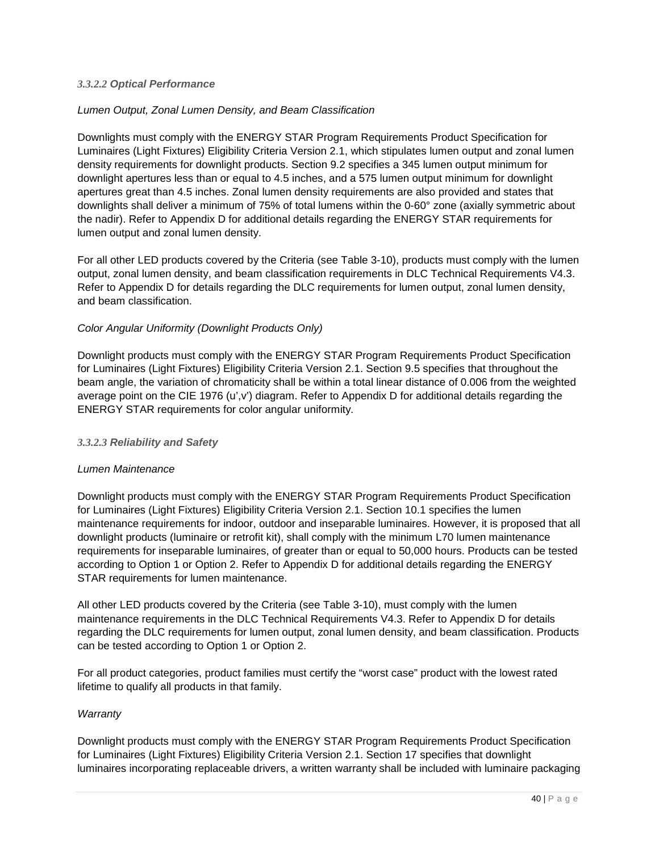#### *3.3.2.2 Optical Performance*

#### *Lumen Output, Zonal Lumen Density, and Beam Classification*

Downlights must comply with the ENERGY STAR Program Requirements Product Specification for Luminaires (Light Fixtures) Eligibility Criteria Version 2.1, which stipulates lumen output and zonal lumen density requirements for downlight products. Section 9.2 specifies a 345 lumen output minimum for downlight apertures less than or equal to 4.5 inches, and a 575 lumen output minimum for downlight apertures great than 4.5 inches. Zonal lumen density requirements are also provided and states that downlights shall deliver a minimum of 75% of total lumens within the 0-60° zone (axially symmetric about the nadir). Refer to [Appendix D](#page-72-0) for additional details regarding the ENERGY STAR requirements for lumen output and zonal lumen density.

For all other LED products covered by the Criteria (see [Table 3-10\)](#page-37-1), products must comply with the lumen output, zonal lumen density, and beam classification requirements in DLC Technical Requirements V4.3. Refer to [Appendix D](#page-72-0) for details regarding the DLC requirements for lumen output, zonal lumen density, and beam classification.

#### *Color Angular Uniformity (Downlight Products Only)*

Downlight products must comply with the ENERGY STAR Program Requirements Product Specification for Luminaires (Light Fixtures) Eligibility Criteria Version 2.1. Section 9.5 specifies that throughout the beam angle, the variation of chromaticity shall be within a total linear distance of 0.006 from the weighted average point on the CIE 1976 (u',v') diagram. Refer to [Appendix D](#page-72-0) for additional details regarding the ENERGY STAR requirements for color angular uniformity.

#### <span id="page-39-0"></span>*3.3.2.3 Reliability and Safety*

#### *Lumen Maintenance*

Downlight products must comply with the ENERGY STAR Program Requirements Product Specification for Luminaires (Light Fixtures) Eligibility Criteria Version 2.1. Section 10.1 specifies the lumen maintenance requirements for indoor, outdoor and inseparable luminaires. However, it is proposed that all downlight products (luminaire or retrofit kit), shall comply with the minimum L70 lumen maintenance requirements for inseparable luminaires, of greater than or equal to 50,000 hours. Products can be tested according to Option 1 or Option 2. Refer to [Appendix D](#page-72-0) for additional details regarding the ENERGY STAR requirements for lumen maintenance.

All other LED products covered by the Criteria (see [Table 3-10\)](#page-37-1), must comply with the lumen maintenance requirements in the DLC Technical Requirements V4.3. Refer to [Appendix D](#page-72-0) for details regarding the DLC requirements for lumen output, zonal lumen density, and beam classification. Products can be tested according to Option 1 or Option 2.

For all product categories, product families must certify the "worst case" product with the lowest rated lifetime to qualify all products in that family.

#### *Warranty*

Downlight products must comply with the ENERGY STAR Program Requirements Product Specification for Luminaires (Light Fixtures) Eligibility Criteria Version 2.1. Section 17 specifies that downlight luminaires incorporating replaceable drivers, a written warranty shall be included with luminaire packaging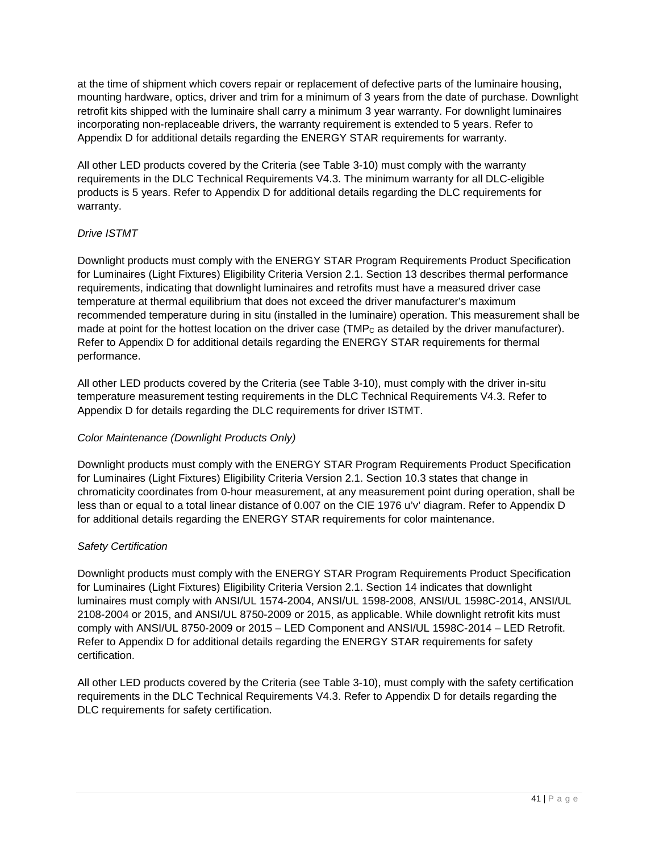at the time of shipment which covers repair or replacement of defective parts of the luminaire housing, mounting hardware, optics, driver and trim for a minimum of 3 years from the date of purchase. Downlight retrofit kits shipped with the luminaire shall carry a minimum 3 year warranty. For downlight luminaires incorporating non-replaceable drivers, the warranty requirement is extended to 5 years. Refer to [Appendix D](#page-72-0) for additional details regarding the ENERGY STAR requirements for warranty.

All other LED products covered by the Criteria (see [Table 3-10\)](#page-37-1) must comply with the warranty requirements in the DLC Technical Requirements V4.3. The minimum warranty for all DLC-eligible products is 5 years. Refer to [Appendix D](#page-72-0) for additional details regarding the DLC requirements for warranty.

# *Drive ISTMT*

Downlight products must comply with the ENERGY STAR Program Requirements Product Specification for Luminaires (Light Fixtures) Eligibility Criteria Version 2.1. Section 13 describes thermal performance requirements, indicating that downlight luminaires and retrofits must have a measured driver case temperature at thermal equilibrium that does not exceed the driver manufacturer's maximum recommended temperature during in situ (installed in the luminaire) operation. This measurement shall be made at point for the hottest location on the driver case (TMP<sub>c</sub> as detailed by the driver manufacturer). Refer to [Appendix D](#page-72-0) for additional details regarding the ENERGY STAR requirements for thermal performance.

All other LED products covered by the Criteria (see [Table 3-10\)](#page-37-1), must comply with the driver in-situ temperature measurement testing requirements in the DLC Technical Requirements V4.3. Refer to [Appendix D](#page-72-0) for details regarding the DLC requirements for driver ISTMT.

## *Color Maintenance (Downlight Products Only)*

Downlight products must comply with the ENERGY STAR Program Requirements Product Specification for Luminaires (Light Fixtures) Eligibility Criteria Version 2.1. Section 10.3 states that change in chromaticity coordinates from 0-hour measurement, at any measurement point during operation, shall be less than or equal to a total linear distance of 0.007 on the CIE 1976 u'v' diagram. Refer to [Appendix D](#page-72-0) for additional details regarding the ENERGY STAR requirements for color maintenance.

## *Safety Certification*

Downlight products must comply with the ENERGY STAR Program Requirements Product Specification for Luminaires (Light Fixtures) Eligibility Criteria Version 2.1. Section 14 indicates that downlight luminaires must comply with ANSI/UL 1574-2004, ANSI/UL 1598-2008, ANSI/UL 1598C-2014, ANSI/UL 2108-2004 or 2015, and ANSI/UL 8750-2009 or 2015, as applicable. While downlight retrofit kits must comply with ANSI/UL 8750-2009 or 2015 – LED Component and ANSI/UL 1598C-2014 – LED Retrofit. Refer to [Appendix D](#page-72-0) for additional details regarding the ENERGY STAR requirements for safety certification.

All other LED products covered by the Criteria (see [Table 3-10\)](#page-37-1), must comply with the safety certification requirements in the DLC Technical Requirements V4.3. Refer to [Appendix D](#page-72-0) for details regarding the DLC requirements for safety certification.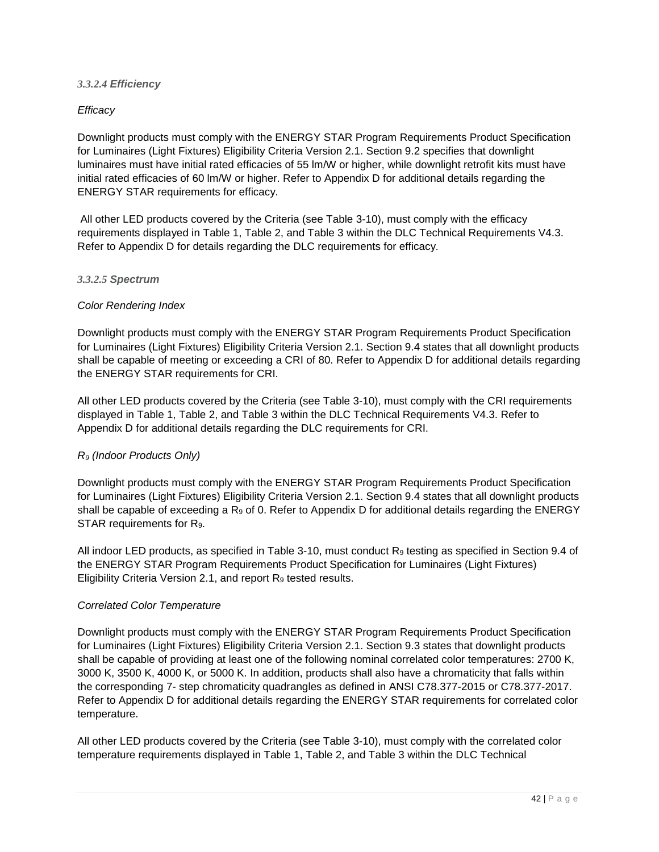#### *3.3.2.4 Efficiency*

#### *Efficacy*

Downlight products must comply with the ENERGY STAR Program Requirements Product Specification for Luminaires (Light Fixtures) Eligibility Criteria Version 2.1. Section 9.2 specifies that downlight luminaires must have initial rated efficacies of 55 lm/W or higher, while downlight retrofit kits must have initial rated efficacies of 60 lm/W or higher. Refer to [Appendix D](#page-72-0) for additional details regarding the ENERGY STAR requirements for efficacy.

All other LED products covered by the Criteria (see [Table 3-10\)](#page-37-1), must comply with the efficacy requirements displayed in Table 1, Table 2, and Table 3 within the DLC Technical Requirements V4.3. Refer to [Appendix D](#page-72-0) for details regarding the DLC requirements for efficacy.

#### <span id="page-41-0"></span>*3.3.2.5 Spectrum*

#### *Color Rendering Index*

Downlight products must comply with the ENERGY STAR Program Requirements Product Specification for Luminaires (Light Fixtures) Eligibility Criteria Version 2.1. Section 9.4 states that all downlight products shall be capable of meeting or exceeding a CRI of 80. Refer to [Appendix D](#page-72-0) for additional details regarding the ENERGY STAR requirements for CRI.

All other LED products covered by the Criteria (see [Table 3-10\)](#page-37-1), must comply with the CRI requirements displayed in Table 1, Table 2, and Table 3 within the DLC Technical Requirements V4.3. Refer to [Appendix D](#page-72-0) for additional details regarding the DLC requirements for CRI.

## *R9 (Indoor Products Only)*

Downlight products must comply with the ENERGY STAR Program Requirements Product Specification for Luminaires (Light Fixtures) Eligibility Criteria Version 2.1. Section 9.4 states that all downlight products shall be capable of exceeding a  $R_9$  of 0. Refer to [Appendix D](#page-72-0) for additional details regarding the ENERGY STAR requirements for R9.

All indoor LED products, as specified in [Table 3-10,](#page-37-1) must conduct R<sub>9</sub> testing as specified in Section 9.4 of the ENERGY STAR Program Requirements Product Specification for Luminaires (Light Fixtures) Eligibility Criteria Version 2.1, and report R<sub>9</sub> tested results.

#### *Correlated Color Temperature*

Downlight products must comply with the ENERGY STAR Program Requirements Product Specification for Luminaires (Light Fixtures) Eligibility Criteria Version 2.1. Section 9.3 states that downlight products shall be capable of providing at least one of the following nominal correlated color temperatures: 2700 K, 3000 K, 3500 K, 4000 K, or 5000 K. In addition, products shall also have a chromaticity that falls within the corresponding 7- step chromaticity quadrangles as defined in ANSI C78.377-2015 or C78.377-2017. Refer to [Appendix D](#page-72-0) for additional details regarding the ENERGY STAR requirements for correlated color temperature.

All other LED products covered by the Criteria (see [Table 3-10\)](#page-37-1), must comply with the correlated color temperature requirements displayed in Table 1, Table 2, and Table 3 within the DLC Technical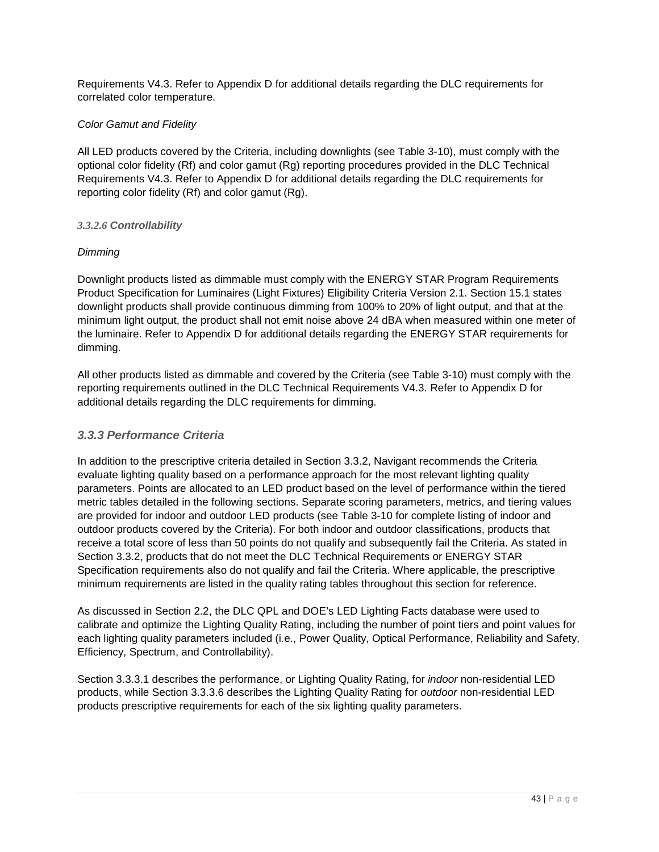Requirements V4.3. Refer to [Appendix D](#page-72-0) for additional details regarding the DLC requirements for correlated color temperature.

# *Color Gamut and Fidelity*

All LED products covered by the Criteria, including downlights (see [Table 3-10\)](#page-37-1), must comply with the optional color fidelity (Rf) and color gamut (Rg) reporting procedures provided in the DLC Technical Requirements V4.3. Refer to [Appendix D](#page-72-0) for additional details regarding the DLC requirements for reporting color fidelity (Rf) and color gamut (Rg).

# <span id="page-42-1"></span>*3.3.2.6 Controllability*

# *Dimming*

Downlight products listed as dimmable must comply with the ENERGY STAR Program Requirements Product Specification for Luminaires (Light Fixtures) Eligibility Criteria Version 2.1. Section 15.1 states downlight products shall provide continuous dimming from 100% to 20% of light output, and that at the minimum light output, the product shall not emit noise above 24 dBA when measured within one meter of the luminaire. Refer to [Appendix D](#page-72-0) for additional details regarding the ENERGY STAR requirements for dimming.

All other products listed as dimmable and covered by the Criteria (see [Table 3-10\)](#page-37-1) must comply with the reporting requirements outlined in the DLC Technical Requirements V4.3. Refer to [Appendix D](#page-72-0) for additional details regarding the DLC requirements for dimming.

# <span id="page-42-0"></span>*3.3.3 Performance Criteria*

In addition to the prescriptive criteria detailed in Section [3.3.2,](#page-37-0) Navigant recommends the Criteria evaluate lighting quality based on a performance approach for the most relevant lighting quality parameters. Points are allocated to an LED product based on the level of performance within the tiered metric tables detailed in the following sections. Separate scoring parameters, metrics, and tiering values are provided for indoor and outdoor LED products (see [Table 3-10](#page-37-1) for complete listing of indoor and outdoor products covered by the Criteria). For both indoor and outdoor classifications, products that receive a total score of less than 50 points do not qualify and subsequently fail the Criteria. As stated in Section [3.3.2,](#page-37-0) products that do not meet the DLC Technical Requirements or ENERGY STAR Specification requirements also do not qualify and fail the Criteria. Where applicable, the prescriptive minimum requirements are listed in the quality rating tables throughout this section for reference.

As discussed in Section [2.2,](#page-12-1) the DLC QPL and DOE's LED Lighting Facts database were used to calibrate and optimize the Lighting Quality Rating, including the number of point tiers and point values for each lighting quality parameters included (i.e., Power Quality, Optical Performance, Reliability and Safety, Efficiency, Spectrum, and Controllability).

Section [3.3.3.1](#page-43-0) describes the performance, or Lighting Quality Rating, for *indoor* non-residential LED products, while Section [3.3.3.6](#page-47-0) describes the Lighting Quality Rating for *outdoor* non-residential LED products prescriptive requirements for each of the six lighting quality parameters.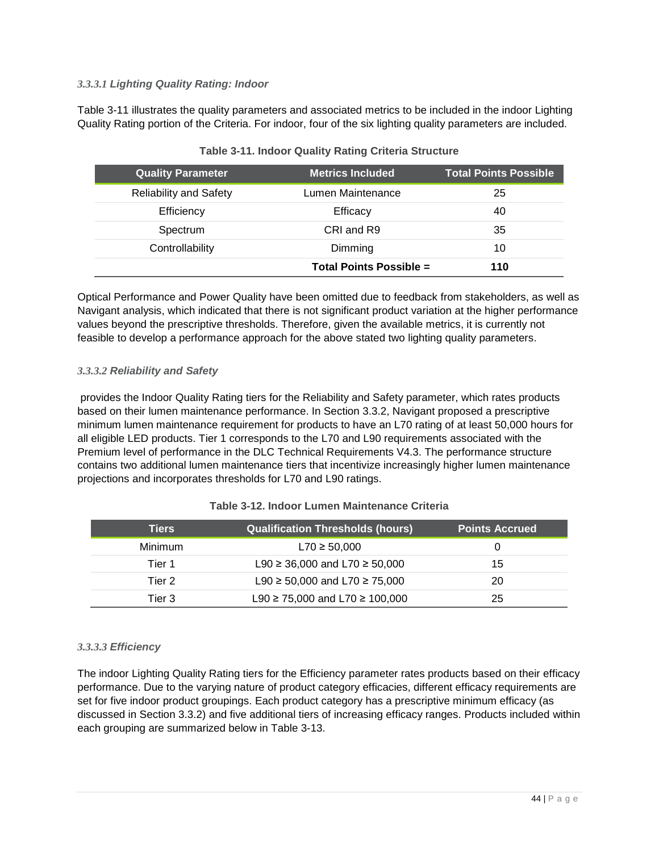# <span id="page-43-0"></span>*3.3.3.1 Lighting Quality Rating: Indoor*

[Table 3-11](#page-43-1) illustrates the quality parameters and associated metrics to be included in the indoor Lighting Quality Rating portion of the Criteria. For indoor, four of the six lighting quality parameters are included.

<span id="page-43-1"></span>

| <b>Quality Parameter</b>      | <b>Metrics Included</b>        | <b>Total Points Possible</b> |
|-------------------------------|--------------------------------|------------------------------|
| <b>Reliability and Safety</b> | Lumen Maintenance              | 25                           |
| Efficiency                    | Efficacy                       | 40                           |
| Spectrum                      | CRI and R9                     | 35                           |
| Controllability               | Dimming                        | 10                           |
|                               | <b>Total Points Possible =</b> | 110                          |

# **Table 3-11. Indoor Quality Rating Criteria Structure**

Optical Performance and Power Quality have been omitted due to feedback from stakeholders, as well as Navigant analysis, which indicated that there is not significant product variation at the higher performance values beyond the prescriptive thresholds. Therefore, given the available metrics, it is currently not feasible to develop a performance approach for the above stated two lighting quality parameters.

## *3.3.3.2 Reliability and Safety*

provides the Indoor Quality Rating tiers for the Reliability and Safety parameter, which rates products based on their lumen maintenance performance. In Section [3.3.2,](#page-37-0) Navigant proposed a prescriptive minimum lumen maintenance requirement for products to have an L70 rating of at least 50,000 hours for all eligible LED products. Tier 1 corresponds to the L70 and L90 requirements associated with the Premium level of performance in the DLC Technical Requirements V4.3. The performance structure contains two additional lumen maintenance tiers that incentivize increasingly higher lumen maintenance projections and incorporates thresholds for L70 and L90 ratings.

| <b>Tiers</b> | <b>Qualification Thresholds (hours)</b>  | <b>Points Accrued</b> |
|--------------|------------------------------------------|-----------------------|
| Minimum      | $L70 \ge 50,000$                         |                       |
| Tier 1       | L90 $\geq$ 36,000 and L70 $\geq$ 50,000  | 15                    |
| Tier 2       | L90 $\geq$ 50,000 and L70 $\geq$ 75,000  | 20                    |
| Tier 3       | L90 $\geq$ 75,000 and L70 $\geq$ 100,000 | 25                    |

## **Table 3-12. Indoor Lumen Maintenance Criteria**

#### *3.3.3.3 Efficiency*

The indoor Lighting Quality Rating tiers for the Efficiency parameter rates products based on their efficacy performance. Due to the varying nature of product category efficacies, different efficacy requirements are set for five indoor product groupings. Each product category has a prescriptive minimum efficacy (as discussed in Section [3.3.2\)](#page-37-0) and five additional tiers of increasing efficacy ranges. Products included within each grouping are summarized below in [Table 3-13.](#page-44-0)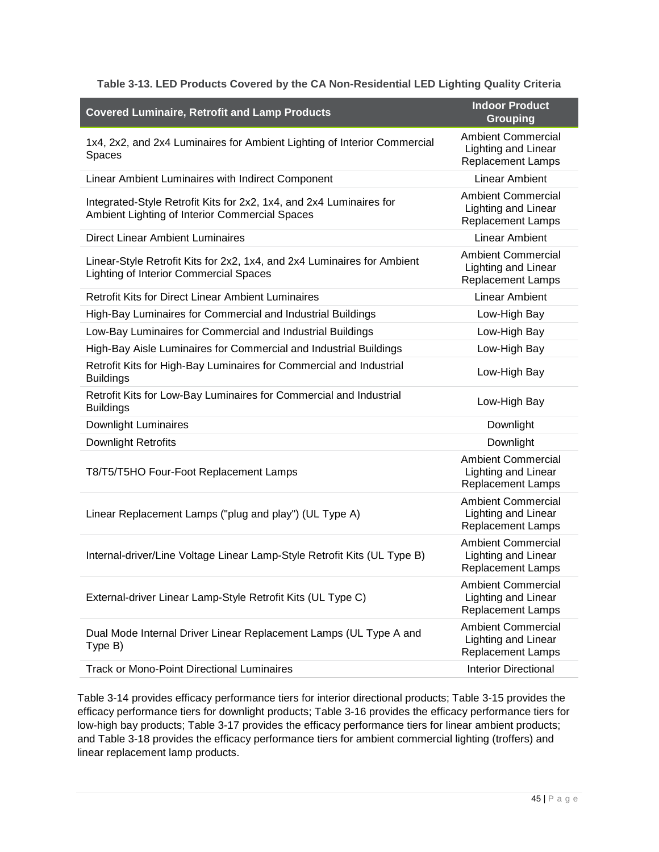| Table 3-13. LED Products Covered by the CA Non-Residential LED Lighting Quality Criteria |  |  |  |
|------------------------------------------------------------------------------------------|--|--|--|
|                                                                                          |  |  |  |

<span id="page-44-0"></span>

| <b>Covered Luminaire, Retrofit and Lamp Products</b>                                                                     | <b>Indoor Product</b><br><b>Grouping</b>                                            |
|--------------------------------------------------------------------------------------------------------------------------|-------------------------------------------------------------------------------------|
| 1x4, 2x2, and 2x4 Luminaires for Ambient Lighting of Interior Commercial<br>Spaces                                       | <b>Ambient Commercial</b><br>Lighting and Linear<br><b>Replacement Lamps</b>        |
| Linear Ambient Luminaires with Indirect Component                                                                        | <b>Linear Ambient</b>                                                               |
| Integrated-Style Retrofit Kits for 2x2, 1x4, and 2x4 Luminaires for<br>Ambient Lighting of Interior Commercial Spaces    | <b>Ambient Commercial</b><br>Lighting and Linear<br><b>Replacement Lamps</b>        |
| Direct Linear Ambient Luminaires                                                                                         | <b>Linear Ambient</b>                                                               |
| Linear-Style Retrofit Kits for 2x2, 1x4, and 2x4 Luminaires for Ambient<br><b>Lighting of Interior Commercial Spaces</b> | <b>Ambient Commercial</b><br><b>Lighting and Linear</b><br><b>Replacement Lamps</b> |
| <b>Retrofit Kits for Direct Linear Ambient Luminaires</b>                                                                | <b>Linear Ambient</b>                                                               |
| High-Bay Luminaires for Commercial and Industrial Buildings                                                              | Low-High Bay                                                                        |
| Low-Bay Luminaires for Commercial and Industrial Buildings                                                               | Low-High Bay                                                                        |
| High-Bay Aisle Luminaires for Commercial and Industrial Buildings                                                        | Low-High Bay                                                                        |
| Retrofit Kits for High-Bay Luminaires for Commercial and Industrial<br><b>Buildings</b>                                  | Low-High Bay                                                                        |
| Retrofit Kits for Low-Bay Luminaires for Commercial and Industrial<br><b>Buildings</b>                                   | Low-High Bay                                                                        |
| <b>Downlight Luminaires</b>                                                                                              | Downlight                                                                           |
| Downlight Retrofits                                                                                                      | Downlight                                                                           |
| T8/T5/T5HO Four-Foot Replacement Lamps                                                                                   | <b>Ambient Commercial</b><br>Lighting and Linear<br><b>Replacement Lamps</b>        |
| Linear Replacement Lamps ("plug and play") (UL Type A)                                                                   | <b>Ambient Commercial</b><br>Lighting and Linear<br><b>Replacement Lamps</b>        |
| Internal-driver/Line Voltage Linear Lamp-Style Retrofit Kits (UL Type B)                                                 | <b>Ambient Commercial</b><br>Lighting and Linear<br><b>Replacement Lamps</b>        |
| External-driver Linear Lamp-Style Retrofit Kits (UL Type C)                                                              | <b>Ambient Commercial</b><br>Lighting and Linear<br><b>Replacement Lamps</b>        |
| Dual Mode Internal Driver Linear Replacement Lamps (UL Type A and<br>Type B)                                             | <b>Ambient Commercial</b><br><b>Lighting and Linear</b><br><b>Replacement Lamps</b> |
| <b>Track or Mono-Point Directional Luminaires</b>                                                                        | <b>Interior Directional</b>                                                         |

[Table 3-14](#page-45-0) provides efficacy performance tiers for interior directional products; [Table 3-15](#page-45-1) provides the efficacy performance tiers for downlight products; [Table 3-16](#page-45-2) provides the efficacy performance tiers for low-high bay products; [Table 3-17](#page-45-3) provides the efficacy performance tiers for linear ambient products; and [Table 3-18](#page-46-0) provides the efficacy performance tiers for ambient commercial lighting (troffers) and linear replacement lamp products.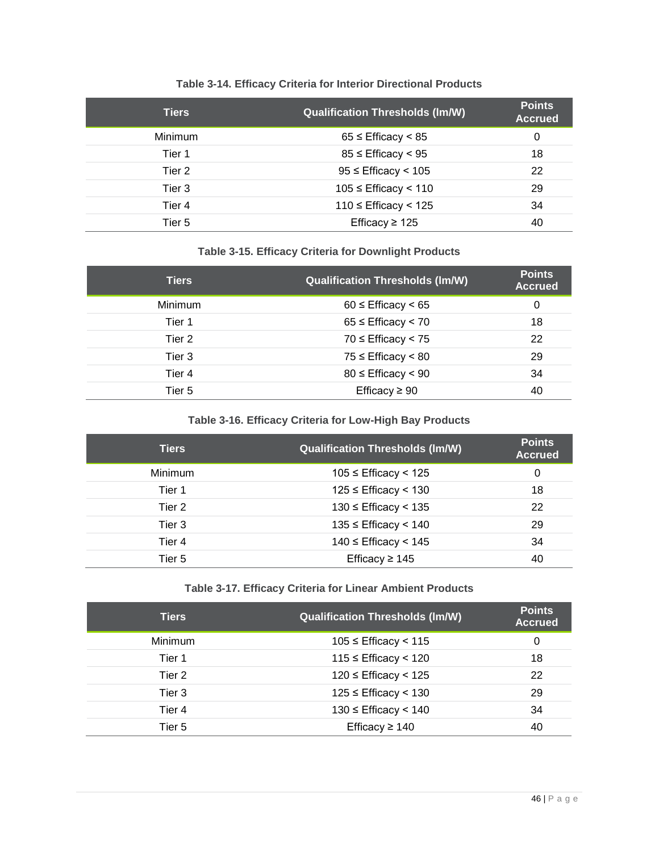<span id="page-45-0"></span>

| <b>Tiers</b>   | <b>Qualification Thresholds (Im/W)</b> | <b>Points</b><br><b>Accrued</b> |
|----------------|----------------------------------------|---------------------------------|
| <b>Minimum</b> | $65 \leq$ Efficacy $\leq 85$           | 0                               |
| Tier 1         | $85 \leq$ Efficacy < 95                | 18                              |
| Tier 2         | $95 \leq$ Efficacy < 105               | 22                              |
| Tier 3         | $105 \leq$ Efficacy < 110              | 29                              |
| Tier 4         | $110 \leq$ Efficacy < 125              | 34                              |
| Tier 5         | Efficacy $\geq$ 125                    | 40                              |

# **Table 3-14. Efficacy Criteria for Interior Directional Products**

# **Table 3-15. Efficacy Criteria for Downlight Products**

<span id="page-45-1"></span>

| <b>Tiers</b>   | <b>Qualification Thresholds (Im/W)</b> | <b>Points</b><br><b>Accrued</b> |
|----------------|----------------------------------------|---------------------------------|
| <b>Minimum</b> | $60 \leq$ Efficacy $\leq 65$           | 0                               |
| Tier 1         | $65 \leq$ Efficacy < 70                | 18                              |
| Tier 2         | $70 \leq$ Efficacy < 75                | 22                              |
| Tier 3         | $75 \leq$ Efficacy < 80                | 29                              |
| Tier 4         | $80 \leq$ Efficacy < 90                | 34                              |
| Tier 5         | Efficacy $\geq 90$                     | 40                              |

# **Table 3-16. Efficacy Criteria for Low-High Bay Products**

<span id="page-45-2"></span>

| <b>Tiers</b> | <b>Qualification Thresholds (Im/W)</b> | <b>Points</b><br><b>Accrued</b> |
|--------------|----------------------------------------|---------------------------------|
| Minimum      | $105 \leq$ Efficacy < 125              | 0                               |
| Tier 1       | $125 \leq$ Efficacy < 130              | 18                              |
| Tier 2       | $130 \leq$ Efficacy < 135              | 22                              |
| Tier 3       | $135 \leq$ Efficacy < 140              | 29                              |
| Tier 4       | $140 \leq$ Efficacy < 145              | 34                              |
| Tier 5       | Efficacy $\geq 145$                    | 40                              |

# **Table 3-17. Efficacy Criteria for Linear Ambient Products**

<span id="page-45-3"></span>

| <b>Tiers</b> | <b>Qualification Thresholds (Im/W)</b> | <b>Points</b><br><b>Accrued</b> |
|--------------|----------------------------------------|---------------------------------|
| Minimum      | $105 \leq$ Efficacy < 115              | 0                               |
| Tier 1       | $115 \leq$ Efficacy < 120              | 18                              |
| Tier 2       | $120 \leq$ Efficacy < 125              | 22                              |
| Tier 3       | $125 \leq$ Efficacy < 130              | 29                              |
| Tier 4       | $130 \leq$ Efficacy < 140              | 34                              |
| Tier 5       | Efficacy $\geq 140$                    | 40                              |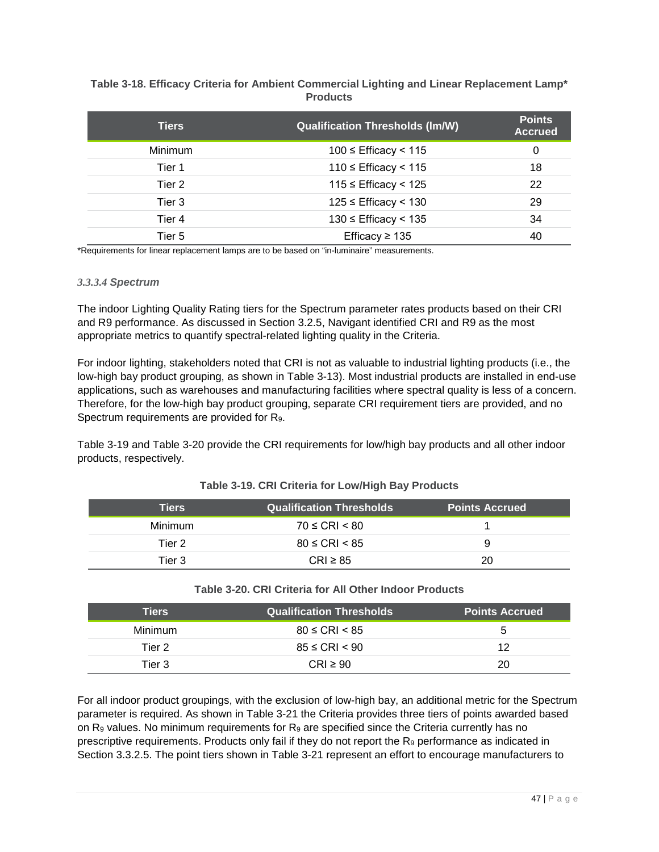## <span id="page-46-0"></span>**Table 3-18. Efficacy Criteria for Ambient Commercial Lighting and Linear Replacement Lamp\* Products**

| <b>Tiers</b>   | <b>Qualification Thresholds (Im/W)</b> | <b>Points</b><br><b>Accrued</b> |
|----------------|----------------------------------------|---------------------------------|
| <b>Minimum</b> | $100 \leq$ Efficacy < 115              | 0                               |
| Tier 1         | $110 \leq$ Efficacy < 115              | 18                              |
| Tier 2         | $115$ ≤ Efficacy < 125                 | 22                              |
| Tier 3         | $125$ ≤ Efficacy < 130                 | 29                              |
| Tier 4         | $130 \leq$ Efficacy < 135              | 34                              |
| Tier 5         | Efficacy $\geq 135$                    | 40                              |

\*Requirements for linear replacement lamps are to be based on "in-luminaire" measurements.

#### *3.3.3.4 Spectrum*

The indoor Lighting Quality Rating tiers for the Spectrum parameter rates products based on their CRI and R9 performance. As discussed in Section [3.2.5,](#page-32-0) Navigant identified CRI and R9 as the most appropriate metrics to quantify spectral-related lighting quality in the Criteria.

For indoor lighting, stakeholders noted that CRI is not as valuable to industrial lighting products (i.e., the low-high bay product grouping, as shown in [Table 3-13\)](#page-44-0). Most industrial products are installed in end-use applications, such as warehouses and manufacturing facilities where spectral quality is less of a concern. Therefore, for the low-high bay product grouping, separate CRI requirement tiers are provided, and no Spectrum requirements are provided for R9.

[Table 3-19](#page-46-1) and [Table 3-20](#page-46-2) provide the CRI requirements for low/high bay products and all other indoor products, respectively.

<span id="page-46-1"></span>

| <b>Tiers</b> | <b>Qualification Thresholds</b> | <b>Points Accrued</b> |
|--------------|---------------------------------|-----------------------|
| Minimum      | $70 \leq CRI \leq 80$           |                       |
| Tier 2       | $80 \leq CRI < 85$              | 9                     |
| Tier 3       | $CRI \geq 85$                   | 20                    |

#### **Table 3-19. CRI Criteria for Low/High Bay Products**

#### **Table 3-20. CRI Criteria for All Other Indoor Products**

<span id="page-46-2"></span>

| Tiers   | <b>Qualification Thresholds</b> | <b>Points Accrued</b> |
|---------|---------------------------------|-----------------------|
| Minimum | $80 \leq CRI < 85$              | b                     |
| Tier 2  | $85 \leq CRI < 90$              | 12                    |
| Tier 3  | $CRI \geq 90$                   | 20                    |

For all indoor product groupings, with the exclusion of low-high bay, an additional metric for the Spectrum parameter is required. As shown in [Table 3-21](#page-47-1) the Criteria provides three tiers of points awarded based on  $R_9$  values. No minimum requirements for  $R_9$  are specified since the Criteria currently has no prescriptive requirements. Products only fail if they do not report the  $R<sub>9</sub>$  performance as indicated in Section [3.3.2.5.](#page-41-0) The point tiers shown in [Table 3-21](#page-47-1) represent an effort to encourage manufacturers to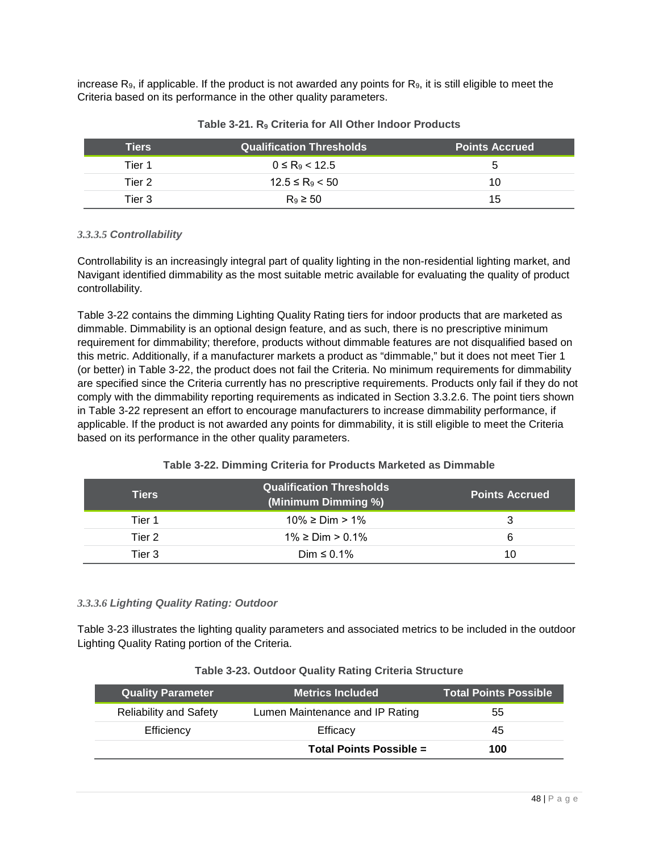increase  $R_{9}$ , if applicable. If the product is not awarded any points for  $R_{9}$ , it is still eligible to meet the Criteria based on its performance in the other quality parameters.

<span id="page-47-1"></span>

| <b>Tiers</b> | <b>Qualification Thresholds</b> | <b>Points Accrued</b> |
|--------------|---------------------------------|-----------------------|
| Tier 1       | $0 \le R_9 < 12.5$              |                       |
| Tier 2       | $12.5 \leq R_9 < 50$            | 10                    |
| Tier 3       | $R_9 \geq 50$                   | 15                    |

| Table 3-21. $R_9$ Criteria for All Other Indoor Products |  |  |  |  |  |  |  |
|----------------------------------------------------------|--|--|--|--|--|--|--|
|----------------------------------------------------------|--|--|--|--|--|--|--|

# *3.3.3.5 Controllability*

Controllability is an increasingly integral part of quality lighting in the non-residential lighting market, and Navigant identified dimmability as the most suitable metric available for evaluating the quality of product controllability.

[Table 3-22](#page-47-2) contains the dimming Lighting Quality Rating tiers for indoor products that are marketed as dimmable. Dimmability is an optional design feature, and as such, there is no prescriptive minimum requirement for dimmability; therefore, products without dimmable features are not disqualified based on this metric. Additionally, if a manufacturer markets a product as "dimmable," but it does not meet Tier 1 (or better) in [Table 3-22,](#page-47-2) the product does not fail the Criteria. No minimum requirements for dimmability are specified since the Criteria currently has no prescriptive requirements. Products only fail if they do not comply with the dimmability reporting requirements as indicated in Section [3.3.2.6.](#page-42-1) The point tiers shown in [Table 3-22](#page-47-2) represent an effort to encourage manufacturers to increase dimmability performance, if applicable. If the product is not awarded any points for dimmability, it is still eligible to meet the Criteria based on its performance in the other quality parameters.

# **Table 3-22. Dimming Criteria for Products Marketed as Dimmable**

<span id="page-47-2"></span>

| <b>Tiers</b> | <b>Qualification Thresholds</b><br>(Minimum Dimming %) | <b>Points Accrued</b> |
|--------------|--------------------------------------------------------|-----------------------|
| Tier 1       | $10\%$ ≥ Dim > 1%                                      |                       |
| Tier 2       | $1\% \geq \text{Dim} > 0.1\%$                          |                       |
| Tier 3       | Dim $\leq 0.1\%$                                       | 10                    |

## <span id="page-47-0"></span>*3.3.3.6 Lighting Quality Rating: Outdoor*

[Table 3-23](#page-47-3) illustrates the lighting quality parameters and associated metrics to be included in the outdoor Lighting Quality Rating portion of the Criteria.

| Table 3-23. Outdoor Quality Rating Criteria Structure |  |  |  |  |  |
|-------------------------------------------------------|--|--|--|--|--|
|-------------------------------------------------------|--|--|--|--|--|

<span id="page-47-3"></span>

| Quality Parameter <sup>'</sup> | <b>Metrics Included</b>         | <b>Total Points Possible</b> |
|--------------------------------|---------------------------------|------------------------------|
| <b>Reliability and Safety</b>  | Lumen Maintenance and IP Rating | 55                           |
| Efficiency                     | Efficacy                        | 45                           |
|                                | Total Points Possible =         | 100                          |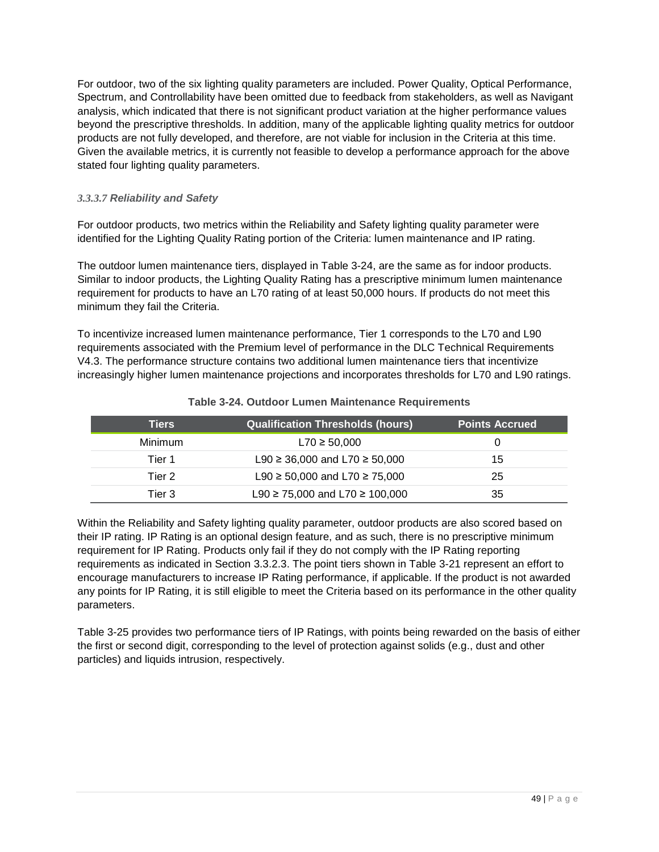For outdoor, two of the six lighting quality parameters are included. Power Quality, Optical Performance, Spectrum, and Controllability have been omitted due to feedback from stakeholders, as well as Navigant analysis, which indicated that there is not significant product variation at the higher performance values beyond the prescriptive thresholds. In addition, many of the applicable lighting quality metrics for outdoor products are not fully developed, and therefore, are not viable for inclusion in the Criteria at this time. Given the available metrics, it is currently not feasible to develop a performance approach for the above stated four lighting quality parameters.

# *3.3.3.7 Reliability and Safety*

For outdoor products, two metrics within the Reliability and Safety lighting quality parameter were identified for the Lighting Quality Rating portion of the Criteria: lumen maintenance and IP rating.

The outdoor lumen maintenance tiers, displayed in [Table 3-24,](#page-48-0) are the same as for indoor products. Similar to indoor products, the Lighting Quality Rating has a prescriptive minimum lumen maintenance requirement for products to have an L70 rating of at least 50,000 hours. If products do not meet this minimum they fail the Criteria.

To incentivize increased lumen maintenance performance, Tier 1 corresponds to the L70 and L90 requirements associated with the Premium level of performance in the DLC Technical Requirements V4.3. The performance structure contains two additional lumen maintenance tiers that incentivize increasingly higher lumen maintenance projections and incorporates thresholds for L70 and L90 ratings.

<span id="page-48-0"></span>

| <b>Tiers</b>   | <b>Qualification Thresholds (hours)</b>  | <b>Points Accrued</b> |
|----------------|------------------------------------------|-----------------------|
| <b>Minimum</b> | $L70 \ge 50,000$                         |                       |
| Tier 1         | L90 $\geq$ 36,000 and L70 $\geq$ 50,000  | 15                    |
| Tier 2         | L90 $\geq$ 50,000 and L70 $\geq$ 75,000  | 25                    |
| Tier 3.        | L90 $\geq$ 75,000 and L70 $\geq$ 100,000 | 35                    |

#### **Table 3-24. Outdoor Lumen Maintenance Requirements**

Within the Reliability and Safety lighting quality parameter, outdoor products are also scored based on their IP rating. IP Rating is an optional design feature, and as such, there is no prescriptive minimum requirement for IP Rating. Products only fail if they do not comply with the IP Rating reporting requirements as indicated in Section [3.3.2.3.](#page-39-0) The point tiers shown in [Table 3-21](#page-47-1) represent an effort to encourage manufacturers to increase IP Rating performance, if applicable. If the product is not awarded any points for IP Rating, it is still eligible to meet the Criteria based on its performance in the other quality parameters.

[Table 3-25](#page-49-0) provides two performance tiers of IP Ratings, with points being rewarded on the basis of either the first or second digit, corresponding to the level of protection against solids (e.g., dust and other particles) and liquids intrusion, respectively.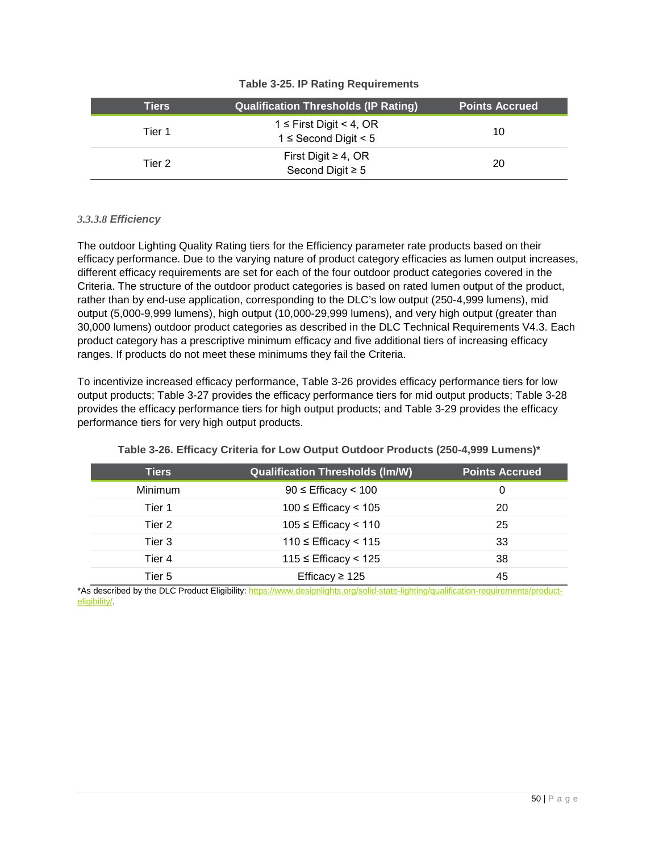<span id="page-49-0"></span>

| Tiers  | <b>Qualification Thresholds (IP Rating)</b>               | <b>Points Accrued</b> |
|--------|-----------------------------------------------------------|-----------------------|
| Tier 1 | $1 \leq$ First Digit < 4, OR<br>$1 \leq$ Second Digit < 5 | 10                    |
| Tier 2 | First Digit $\geq 4$ , OR<br>Second Digit $\geq 5$        | 20                    |

# **Table 3-25. IP Rating Requirements**

# *3.3.3.8 Efficiency*

The outdoor Lighting Quality Rating tiers for the Efficiency parameter rate products based on their efficacy performance. Due to the varying nature of product category efficacies as lumen output increases, different efficacy requirements are set for each of the four outdoor product categories covered in the Criteria. The structure of the outdoor product categories is based on rated lumen output of the product, rather than by end-use application, corresponding to the DLC's low output (250-4,999 lumens), mid output (5,000-9,999 lumens), high output (10,000-29,999 lumens), and very high output (greater than 30,000 lumens) outdoor product categories as described in the DLC Technical Requirements V4.3. Each product category has a prescriptive minimum efficacy and five additional tiers of increasing efficacy ranges. If products do not meet these minimums they fail the Criteria.

To incentivize increased efficacy performance, [Table 3-26](#page-49-1) provides efficacy performance tiers for low output products; [Table 3-27](#page-50-0) provides the efficacy performance tiers for mid output products; [Table 3-28](#page-50-1) provides the efficacy performance tiers for high output products; and [Table 3-29](#page-50-2) provides the efficacy performance tiers for very high output products.

<span id="page-49-1"></span>

| <b>Tiers</b> | <b>Qualification Thresholds (Im/W)</b> | <b>Points Accrued</b> |
|--------------|----------------------------------------|-----------------------|
| Minimum      | $90 \leq$ Efficacy < 100               | O                     |
| Tier 1       | $100 \leq$ Efficacy < 105              | -20                   |
| Tier 2       | $105 \leq$ Efficacy < 110              | 25                    |
| Tier 3       | $110 ≤$ Efficacy < 115                 | 33                    |
| Tier 4       | $115 \leq$ Efficacy < 125              | 38                    |
| Tier 5       | Efficacy $\geq$ 125                    | 45                    |

**Table 3-26. Efficacy Criteria for Low Output Outdoor Products (250-4,999 Lumens)\***

\*As described by the DLC Product Eligibility[: https://www.designlights.org/solid-state-lighting/qualification-requirements/product](https://www.designlights.org/solid-state-lighting/qualification-requirements/product-eligibility/)[eligibility/.](https://www.designlights.org/solid-state-lighting/qualification-requirements/product-eligibility/)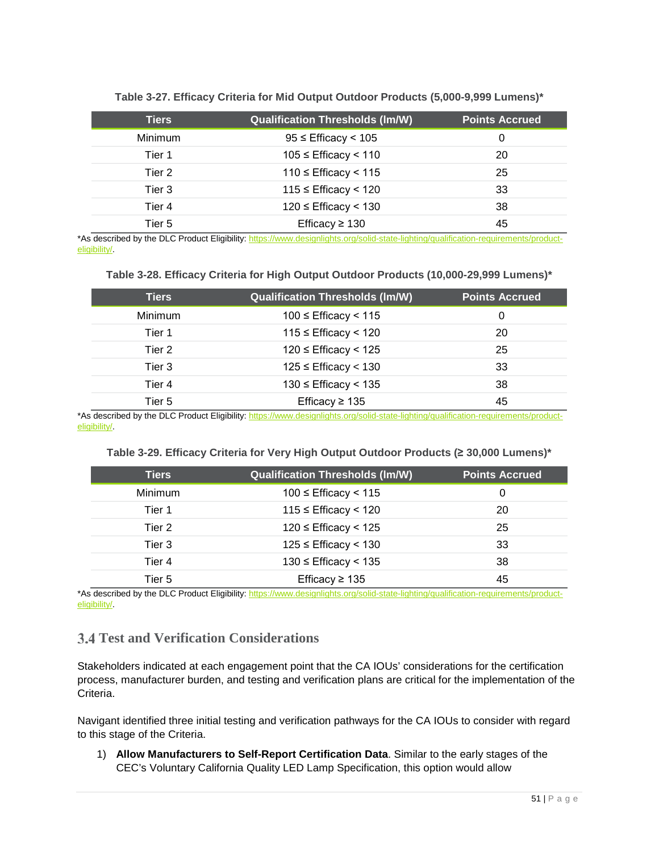<span id="page-50-0"></span>

| <b>Tiers</b> | <b>Qualification Thresholds (Im/W)</b> | <b>Points Accrued</b> |
|--------------|----------------------------------------|-----------------------|
| Minimum      | $95 \leq$ Efficacy < 105               | 0                     |
| Tier 1       | $105 \leq$ Efficacy < 110              | 20                    |
| Tier 2       | $110 ≤$ Efficacy < 115                 | 25                    |
| Tier 3       | $115$ ≤ Efficacy < 120                 | 33                    |
| Tier 4       | $120 \leq$ Efficacy < 130              | 38                    |
| Tier 5       | Efficacy $\geq$ 130                    | 45                    |

**Table 3-27. Efficacy Criteria for Mid Output Outdoor Products (5,000-9,999 Lumens)\***

\*As described by the DLC Product Eligibility[: https://www.designlights.org/solid-state-lighting/qualification-requirements/product](https://www.designlights.org/solid-state-lighting/qualification-requirements/product-eligibility/)[eligibility/.](https://www.designlights.org/solid-state-lighting/qualification-requirements/product-eligibility/)

#### **Table 3-28. Efficacy Criteria for High Output Outdoor Products (10,000-29,999 Lumens)\***

<span id="page-50-1"></span>

| <b>Tiers</b>   | <b>Qualification Thresholds (Im/W)</b> | <b>Points Accrued</b> |
|----------------|----------------------------------------|-----------------------|
| <b>Minimum</b> | $100 \leq$ Efficacy < 115              | 0                     |
| Tier 1         | $115$ ≤ Efficacy < 120                 | 20                    |
| Tier 2         | $120 \leq$ Efficacy < 125              | 25                    |
| Tier 3         | $125 \leq$ Efficacy $< 130$            | 33                    |
| Tier 4         | $130 \leq$ Efficacy < 135              | 38                    |
| Tier 5         | Efficacy $\geq 135$                    | 45                    |

\*As described by the DLC Product Eligibility[: https://www.designlights.org/solid-state-lighting/qualification-requirements/product](https://www.designlights.org/solid-state-lighting/qualification-requirements/product-eligibility/)[eligibility/.](https://www.designlights.org/solid-state-lighting/qualification-requirements/product-eligibility/)

#### **Table 3-29. Efficacy Criteria for Very High Output Outdoor Products (≥ 30,000 Lumens)\***

<span id="page-50-2"></span>

| <b>Tiers</b> | <b>Qualification Thresholds (Im/W)</b> | <b>Points Accrued</b> |
|--------------|----------------------------------------|-----------------------|
| Minimum      | $100 \leq$ Efficacy < 115              | 0                     |
| Tier 1       | $115 \leq$ Efficacy < 120              | 20                    |
| Tier 2       | $120 \leq$ Efficacy < 125              | 25                    |
| Tier 3       | $125$ ≤ Efficacy < 130                 | 33                    |
| Tier 4       | $130 \leq$ Efficacy < 135              | 38                    |
| Tier 5       | Efficacy $\geq 135$                    | 45                    |

\*As described by the DLC Product Eligibility[: https://www.designlights.org/solid-state-lighting/qualification-requirements/product](https://www.designlights.org/solid-state-lighting/qualification-requirements/product-eligibility/)[eligibility/.](https://www.designlights.org/solid-state-lighting/qualification-requirements/product-eligibility/)

# **Test and Verification Considerations**

Stakeholders indicated at each engagement point that the CA IOUs' considerations for the certification process, manufacturer burden, and testing and verification plans are critical for the implementation of the Criteria.

Navigant identified three initial testing and verification pathways for the CA IOUs to consider with regard to this stage of the Criteria.

1) **Allow Manufacturers to Self-Report Certification Data**. Similar to the early stages of the CEC's Voluntary California Quality LED Lamp Specification, this option would allow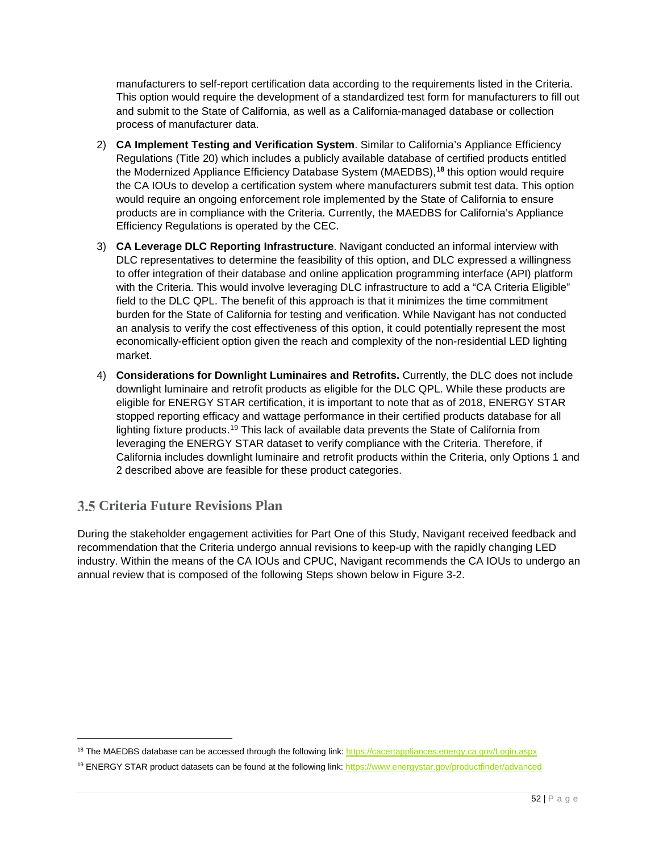manufacturers to self-report certification data according to the requirements listed in the Criteria. This option would require the development of a standardized test form for manufacturers to fill out and submit to the State of California, as well as a California-managed database or collection process of manufacturer data.

- 2) **CA Implement Testing and Verification System**. Similar to California's Appliance Efficiency Regulations (Title 20) which includes a publicly available database of certified products entitled the Modernized Appliance Efficiency Database System (MAEDBS),**[18](#page-51-0)** this option would require the CA IOUs to develop a certification system where manufacturers submit test data. This option would require an ongoing enforcement role implemented by the State of California to ensure products are in compliance with the Criteria. Currently, the MAEDBS for California's Appliance Efficiency Regulations is operated by the CEC.
- <span id="page-51-3"></span>3) **CA Leverage DLC Reporting Infrastructure**. Navigant conducted an informal interview with DLC representatives to determine the feasibility of this option, and DLC expressed a willingness to offer integration of their database and online application programming interface (API) platform with the Criteria. This would involve leveraging DLC infrastructure to add a "CA Criteria Eligible" field to the DLC QPL. The benefit of this approach is that it minimizes the time commitment burden for the State of California for testing and verification. While Navigant has not conducted an analysis to verify the cost effectiveness of this option, it could potentially represent the most economically-efficient option given the reach and complexity of the non-residential LED lighting market.
- 4) **Considerations for Downlight Luminaires and Retrofits.** Currently, the DLC does not include downlight luminaire and retrofit products as eligible for the DLC QPL. While these products are eligible for ENERGY STAR certification, it is important to note that as of 2018, ENERGY STAR stopped reporting efficacy and wattage performance in their certified products database for all lighting fixture products.[19](#page-51-1) This lack of available data prevents the State of California from leveraging the ENERGY STAR dataset to verify compliance with the Criteria. Therefore, if California includes downlight luminaire and retrofit products within the Criteria, only Options 1 and 2 described above are feasible for these product categories.

# <span id="page-51-2"></span>**Criteria Future Revisions Plan**

j

During the stakeholder engagement activities for Part One of this Study, Navigant received feedback and recommendation that the Criteria undergo annual revisions to keep-up with the rapidly changing LED industry. Within the means of the CA IOUs and CPUC, Navigant recommends the CA IOUs to undergo an annual review that is composed of the following Steps shown below in [Figure 3-2.](#page-52-0)

<span id="page-51-0"></span><sup>&</sup>lt;sup>18</sup> The MAEDBS database can be accessed through the following link[: https://cacertappliances.energy.ca.gov/Login.aspx](https://cacertappliances.energy.ca.gov/Login.aspx)

<span id="page-51-1"></span><sup>&</sup>lt;sup>19</sup> ENERGY STAR product datasets can be found at the following link[: https://www.energystar.gov/productfinder/advanced](https://www.energystar.gov/productfinder/advanced)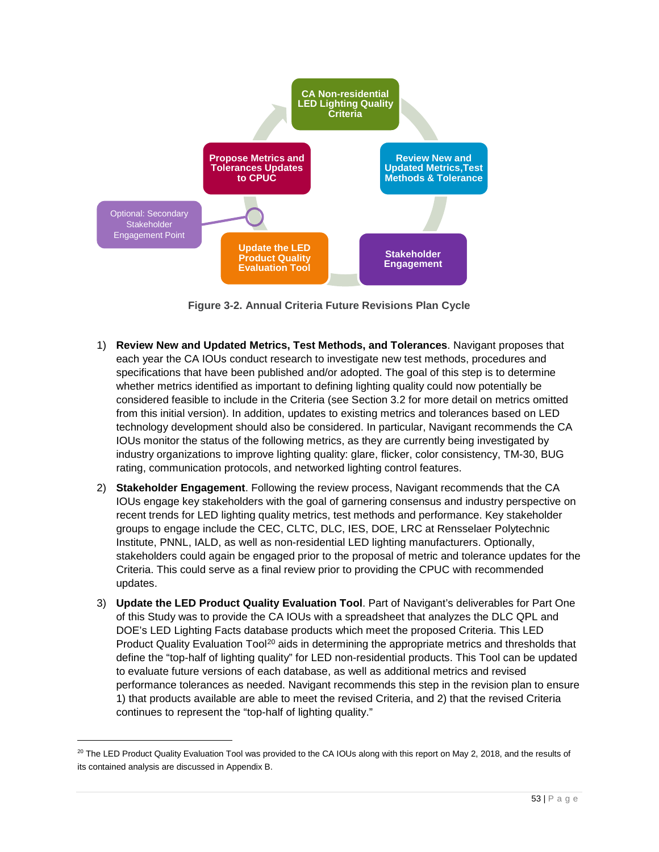

**Figure 3-2. Annual Criteria Future Revisions Plan Cycle**

- <span id="page-52-0"></span>1) **Review New and Updated Metrics, Test Methods, and Tolerances**. Navigant proposes that each year the CA IOUs conduct research to investigate new test methods, procedures and specifications that have been published and/or adopted. The goal of this step is to determine whether metrics identified as important to defining lighting quality could now potentially be considered feasible to include in the Criteria (see Section [3.2](#page-23-0) for more detail on metrics omitted from this initial version). In addition, updates to existing metrics and tolerances based on LED technology development should also be considered. In particular, Navigant recommends the CA IOUs monitor the status of the following metrics, as they are currently being investigated by industry organizations to improve lighting quality: glare, flicker, color consistency, TM-30, BUG rating, communication protocols, and networked lighting control features.
- 2) **Stakeholder Engagement**. Following the review process, Navigant recommends that the CA IOUs engage key stakeholders with the goal of garnering consensus and industry perspective on recent trends for LED lighting quality metrics, test methods and performance. Key stakeholder groups to engage include the CEC, CLTC, DLC, IES, DOE, LRC at Rensselaer Polytechnic Institute, PNNL, IALD, as well as non-residential LED lighting manufacturers. Optionally, stakeholders could again be engaged prior to the proposal of metric and tolerance updates for the Criteria. This could serve as a final review prior to providing the CPUC with recommended updates.
- 3) **Update the LED Product Quality Evaluation Tool**. Part of Navigant's deliverables for Part One of this Study was to provide the CA IOUs with a spreadsheet that analyzes the DLC QPL and DOE's LED Lighting Facts database products which meet the proposed Criteria. This LED Product Quality Evaluation Tool<sup>[20](#page-52-1)</sup> aids in determining the appropriate metrics and thresholds that define the "top-half of lighting quality" for LED non-residential products. This Tool can be updated to evaluate future versions of each database, as well as additional metrics and revised performance tolerances as needed. Navigant recommends this step in the revision plan to ensure 1) that products available are able to meet the revised Criteria, and 2) that the revised Criteria continues to represent the "top-half of lighting quality."

<span id="page-52-1"></span> $20$  The LED Product Quality Evaluation Tool was provided to the CA IOUs along with this report on May 2, 2018, and the results of its contained analysis are discussed i[n Appendix B.](#page-64-0)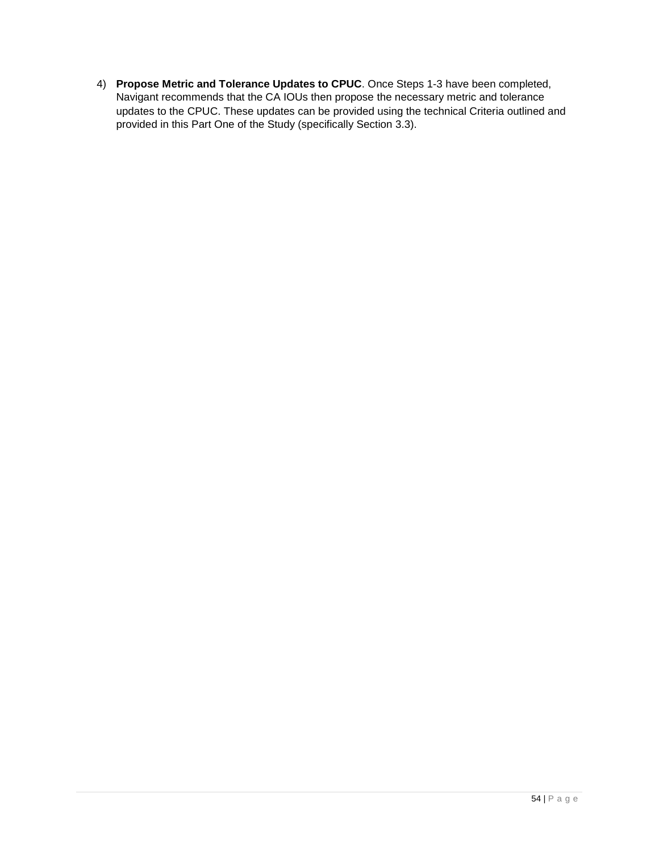4) **Propose Metric and Tolerance Updates to CPUC**. Once Steps 1-3 have been completed, Navigant recommends that the CA IOUs then propose the necessary metric and tolerance updates to the CPUC. These updates can be provided using the technical Criteria outlined and provided in this Part One of the Study (specifically Section [3.3\)](#page-36-2).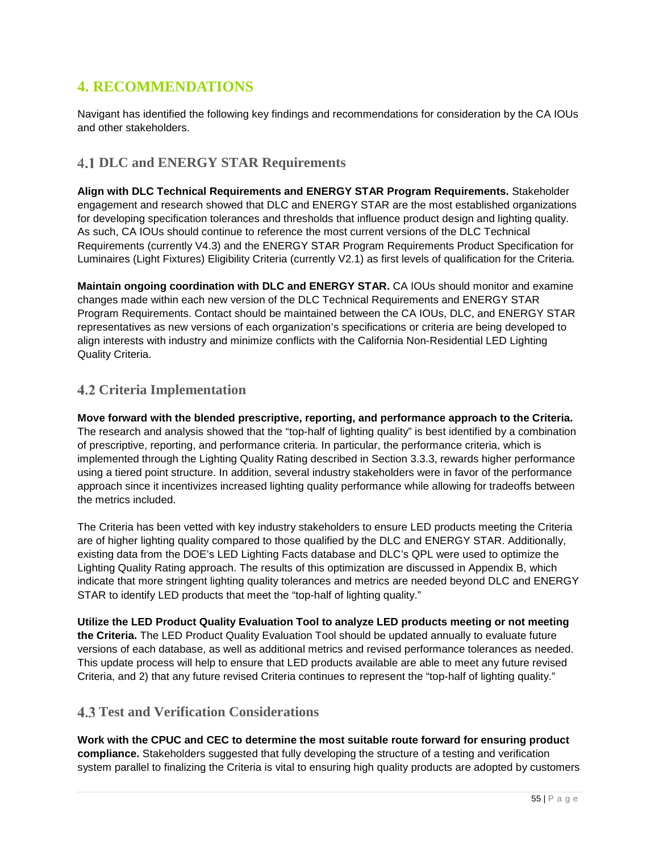# **4. RECOMMENDATIONS**

Navigant has identified the following key findings and recommendations for consideration by the CA IOUs and other stakeholders.

# **DLC and ENERGY STAR Requirements**

**Align with DLC Technical Requirements and ENERGY STAR Program Requirements.** Stakeholder engagement and research showed that DLC and ENERGY STAR are the most established organizations for developing specification tolerances and thresholds that influence product design and lighting quality. As such, CA IOUs should continue to reference the most current versions of the DLC Technical Requirements (currently V4.3) and the ENERGY STAR Program Requirements Product Specification for Luminaires (Light Fixtures) Eligibility Criteria (currently V2.1) as first levels of qualification for the Criteria.

**Maintain ongoing coordination with DLC and ENERGY STAR.** CA IOUs should monitor and examine changes made within each new version of the DLC Technical Requirements and ENERGY STAR Program Requirements. Contact should be maintained between the CA IOUs, DLC, and ENERGY STAR representatives as new versions of each organization's specifications or criteria are being developed to align interests with industry and minimize conflicts with the California Non-Residential LED Lighting Quality Criteria.

# **Criteria Implementation**

**Move forward with the blended prescriptive, reporting, and performance approach to the Criteria.**  The research and analysis showed that the "top-half of lighting quality" is best identified by a combination of prescriptive, reporting, and performance criteria. In particular, the performance criteria, which is implemented through the Lighting Quality Rating described in Section [3.3.3,](#page-42-0) rewards higher performance using a tiered point structure. In addition, several industry stakeholders were in favor of the performance approach since it incentivizes increased lighting quality performance while allowing for tradeoffs between the metrics included.

<span id="page-54-0"></span>The Criteria has been vetted with key industry stakeholders to ensure LED products meeting the Criteria are of higher lighting quality compared to those qualified by the DLC and ENERGY STAR. Additionally, existing data from the DOE's LED Lighting Facts database and DLC's QPL were used to optimize the Lighting Quality Rating approach. The results of this optimization are discussed in [Appendix B,](#page-64-0) which indicate that more stringent lighting quality tolerances and metrics are needed beyond DLC and ENERGY STAR to identify LED products that meet the "top-half of lighting quality."

**Utilize the LED Product Quality Evaluation Tool to analyze LED products meeting or not meeting the Criteria.** The LED Product Quality Evaluation Tool should be updated annually to evaluate future versions of each database, as well as additional metrics and revised performance tolerances as needed. This update process will help to ensure that LED products available are able to meet any future revised Criteria, and 2) that any future revised Criteria continues to represent the "top-half of lighting quality."

# **Test and Verification Considerations**

**Work with the CPUC and CEC to determine the most suitable route forward for ensuring product compliance.** Stakeholders suggested that fully developing the structure of a testing and verification system parallel to finalizing the Criteria is vital to ensuring high quality products are adopted by customers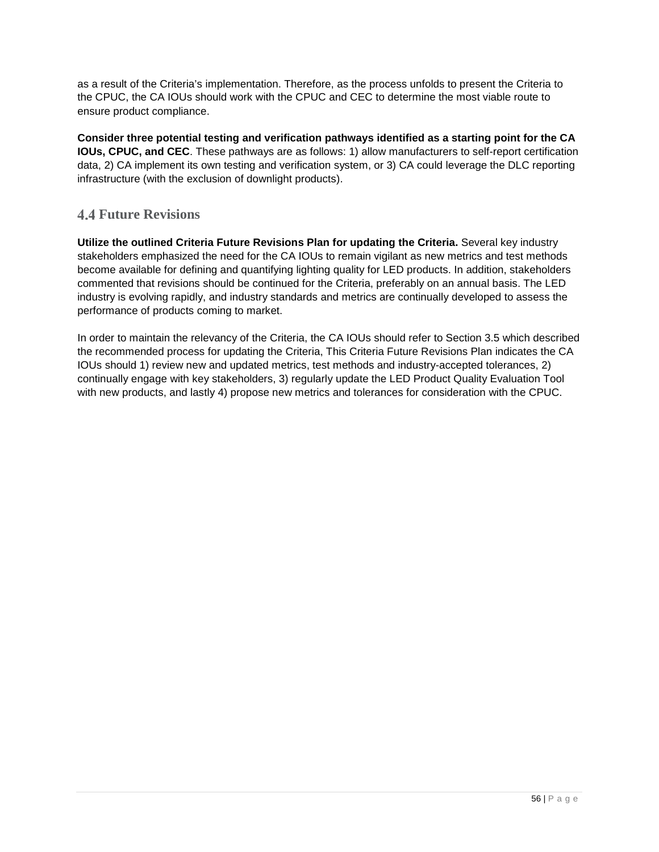as a result of the Criteria's implementation. Therefore, as the process unfolds to present the Criteria to the CPUC, the CA IOUs should work with the CPUC and CEC to determine the most viable route to ensure product compliance.

**Consider three potential testing and verification pathways identified as a starting point for the CA IOUs, CPUC, and CEC**. These pathways are as follows: 1) allow manufacturers to self-report certification data, 2) CA implement its own testing and verification system, or 3) CA could leverage the DLC reporting infrastructure (with the exclusion of downlight products).

# **Future Revisions**

**Utilize the outlined Criteria Future Revisions Plan for updating the Criteria.** Several key industry stakeholders emphasized the need for the CA IOUs to remain vigilant as new metrics and test methods become available for defining and quantifying lighting quality for LED products. In addition, stakeholders commented that revisions should be continued for the Criteria, preferably on an annual basis. The LED industry is evolving rapidly, and industry standards and metrics are continually developed to assess the performance of products coming to market.

In order to maintain the relevancy of the Criteria, the CA IOUs should refer to Section [3.5](#page-51-2) which described the recommended process for updating the Criteria, This Criteria Future Revisions Plan indicates the CA IOUs should 1) review new and updated metrics, test methods and industry-accepted tolerances, 2) continually engage with key stakeholders, 3) regularly update the LED Product Quality Evaluation Tool with new products, and lastly 4) propose new metrics and tolerances for consideration with the CPUC.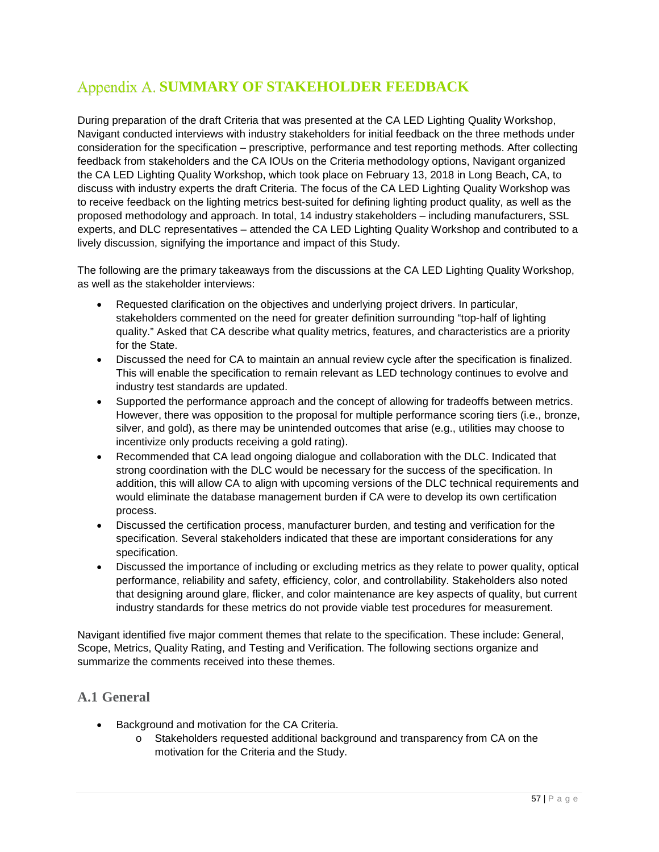# <span id="page-56-0"></span>**Appendix A. SUMMARY OF STAKEHOLDER FEEDBACK**

During preparation of the draft Criteria that was presented at the CA LED Lighting Quality Workshop, Navigant conducted interviews with industry stakeholders for initial feedback on the three methods under consideration for the specification – prescriptive, performance and test reporting methods. After collecting feedback from stakeholders and the CA IOUs on the Criteria methodology options, Navigant organized the CA LED Lighting Quality Workshop, which took place on February 13, 2018 in Long Beach, CA, to discuss with industry experts the draft Criteria. The focus of the CA LED Lighting Quality Workshop was to receive feedback on the lighting metrics best-suited for defining lighting product quality, as well as the proposed methodology and approach. In total, 14 industry stakeholders – including manufacturers, SSL experts, and DLC representatives – attended the CA LED Lighting Quality Workshop and contributed to a lively discussion, signifying the importance and impact of this Study.

The following are the primary takeaways from the discussions at the CA LED Lighting Quality Workshop, as well as the stakeholder interviews:

- Requested clarification on the objectives and underlying project drivers. In particular, stakeholders commented on the need for greater definition surrounding "top-half of lighting quality." Asked that CA describe what quality metrics, features, and characteristics are a priority for the State.
- Discussed the need for CA to maintain an annual review cycle after the specification is finalized. This will enable the specification to remain relevant as LED technology continues to evolve and industry test standards are updated.
- Supported the performance approach and the concept of allowing for tradeoffs between metrics. However, there was opposition to the proposal for multiple performance scoring tiers (i.e., bronze, silver, and gold), as there may be unintended outcomes that arise (e.g., utilities may choose to incentivize only products receiving a gold rating).
- Recommended that CA lead ongoing dialogue and collaboration with the DLC. Indicated that strong coordination with the DLC would be necessary for the success of the specification. In addition, this will allow CA to align with upcoming versions of the DLC technical requirements and would eliminate the database management burden if CA were to develop its own certification process.
- Discussed the certification process, manufacturer burden, and testing and verification for the specification. Several stakeholders indicated that these are important considerations for any specification.
- Discussed the importance of including or excluding metrics as they relate to power quality, optical performance, reliability and safety, efficiency, color, and controllability. Stakeholders also noted that designing around glare, flicker, and color maintenance are key aspects of quality, but current industry standards for these metrics do not provide viable test procedures for measurement.

Navigant identified five major comment themes that relate to the specification. These include: General, Scope, Metrics, Quality Rating, and Testing and Verification. The following sections organize and summarize the comments received into these themes.

# **A.1 General**

- Background and motivation for the CA Criteria.
	- o Stakeholders requested additional background and transparency from CA on the motivation for the Criteria and the Study.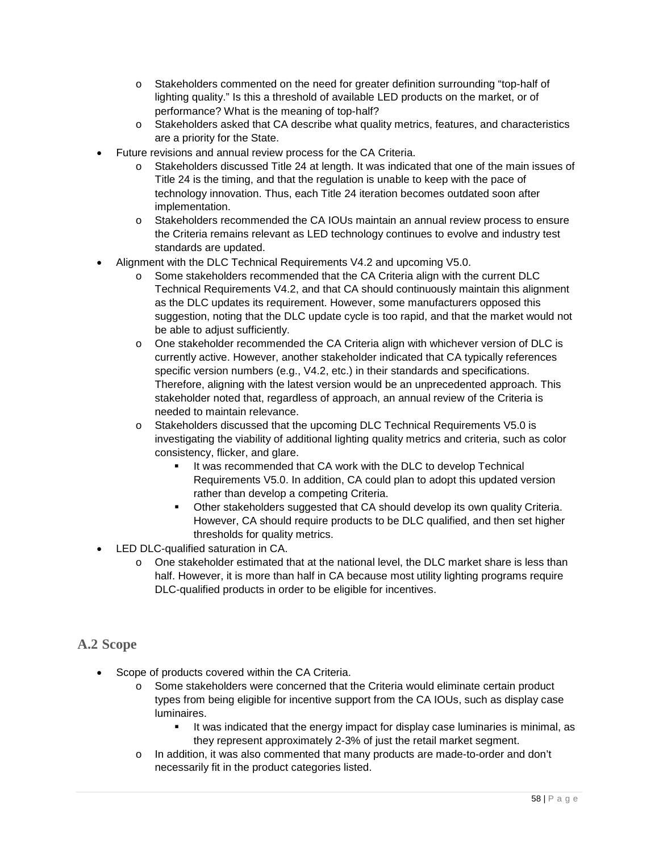- o Stakeholders commented on the need for greater definition surrounding "top-half of lighting quality." Is this a threshold of available LED products on the market, or of performance? What is the meaning of top-half?
- o Stakeholders asked that CA describe what quality metrics, features, and characteristics are a priority for the State.
- Future revisions and annual review process for the CA Criteria.
	- o Stakeholders discussed Title 24 at length. It was indicated that one of the main issues of Title 24 is the timing, and that the regulation is unable to keep with the pace of technology innovation. Thus, each Title 24 iteration becomes outdated soon after implementation.
	- o Stakeholders recommended the CA IOUs maintain an annual review process to ensure the Criteria remains relevant as LED technology continues to evolve and industry test standards are updated.
- Alignment with the DLC Technical Requirements V4.2 and upcoming V5.0.
	- $\circ$  Some stakeholders recommended that the CA Criteria align with the current DLC Technical Requirements V4.2, and that CA should continuously maintain this alignment as the DLC updates its requirement. However, some manufacturers opposed this suggestion, noting that the DLC update cycle is too rapid, and that the market would not be able to adjust sufficiently.
	- o One stakeholder recommended the CA Criteria align with whichever version of DLC is currently active. However, another stakeholder indicated that CA typically references specific version numbers (e.g., V4.2, etc.) in their standards and specifications. Therefore, aligning with the latest version would be an unprecedented approach. This stakeholder noted that, regardless of approach, an annual review of the Criteria is needed to maintain relevance.
	- o Stakeholders discussed that the upcoming DLC Technical Requirements V5.0 is investigating the viability of additional lighting quality metrics and criteria, such as color consistency, flicker, and glare.
		- It was recommended that CA work with the DLC to develop Technical Requirements V5.0. In addition, CA could plan to adopt this updated version rather than develop a competing Criteria.
		- Other stakeholders suggested that CA should develop its own quality Criteria. However, CA should require products to be DLC qualified, and then set higher thresholds for quality metrics.
- LED DLC-qualified saturation in CA.
	- o One stakeholder estimated that at the national level, the DLC market share is less than half. However, it is more than half in CA because most utility lighting programs require DLC-qualified products in order to be eligible for incentives.

# **A.2 Scope**

- Scope of products covered within the CA Criteria.
	- o Some stakeholders were concerned that the Criteria would eliminate certain product types from being eligible for incentive support from the CA IOUs, such as display case luminaires.
		- It was indicated that the energy impact for display case luminaries is minimal, as they represent approximately 2-3% of just the retail market segment.
	- o In addition, it was also commented that many products are made-to-order and don't necessarily fit in the product categories listed.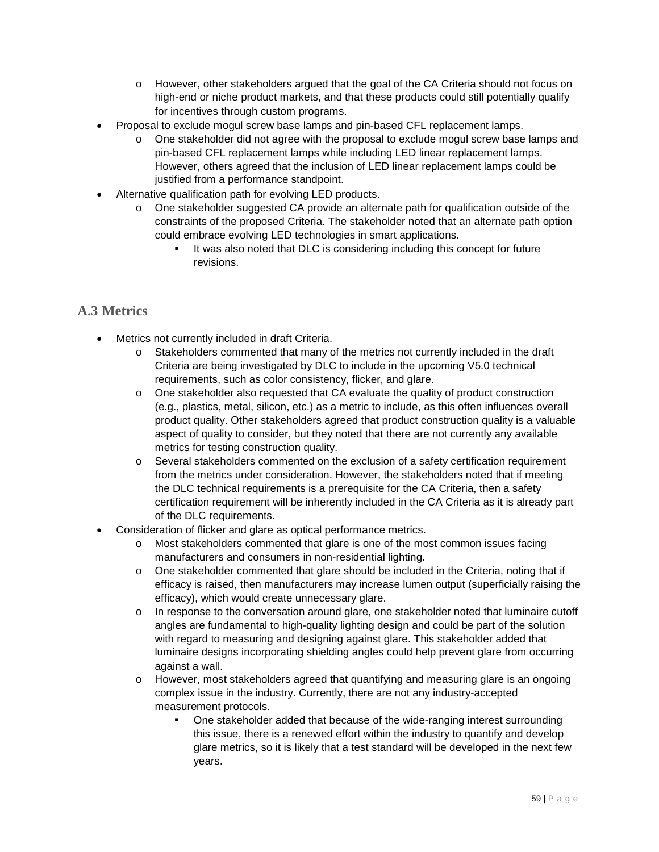- o However, other stakeholders argued that the goal of the CA Criteria should not focus on high-end or niche product markets, and that these products could still potentially qualify for incentives through custom programs.
- Proposal to exclude mogul screw base lamps and pin-based CFL replacement lamps.
	- $\circ$  One stakeholder did not agree with the proposal to exclude mogul screw base lamps and pin-based CFL replacement lamps while including LED linear replacement lamps. However, others agreed that the inclusion of LED linear replacement lamps could be justified from a performance standpoint.
- Alternative qualification path for evolving LED products.
	- o One stakeholder suggested CA provide an alternate path for qualification outside of the constraints of the proposed Criteria. The stakeholder noted that an alternate path option could embrace evolving LED technologies in smart applications.
		- It was also noted that DLC is considering including this concept for future revisions.

# **A.3 Metrics**

- Metrics not currently included in draft Criteria.
	- o Stakeholders commented that many of the metrics not currently included in the draft Criteria are being investigated by DLC to include in the upcoming V5.0 technical requirements, such as color consistency, flicker, and glare.
	- o One stakeholder also requested that CA evaluate the quality of product construction (e.g., plastics, metal, silicon, etc.) as a metric to include, as this often influences overall product quality. Other stakeholders agreed that product construction quality is a valuable aspect of quality to consider, but they noted that there are not currently any available metrics for testing construction quality.
	- o Several stakeholders commented on the exclusion of a safety certification requirement from the metrics under consideration. However, the stakeholders noted that if meeting the DLC technical requirements is a prerequisite for the CA Criteria, then a safety certification requirement will be inherently included in the CA Criteria as it is already part of the DLC requirements.
- Consideration of flicker and glare as optical performance metrics.
	- o Most stakeholders commented that glare is one of the most common issues facing manufacturers and consumers in non-residential lighting.
	- o One stakeholder commented that glare should be included in the Criteria, noting that if efficacy is raised, then manufacturers may increase lumen output (superficially raising the efficacy), which would create unnecessary glare.
	- o In response to the conversation around glare, one stakeholder noted that luminaire cutoff angles are fundamental to high-quality lighting design and could be part of the solution with regard to measuring and designing against glare. This stakeholder added that luminaire designs incorporating shielding angles could help prevent glare from occurring against a wall.
	- o However, most stakeholders agreed that quantifying and measuring glare is an ongoing complex issue in the industry. Currently, there are not any industry-accepted measurement protocols.
		- One stakeholder added that because of the wide-ranging interest surrounding this issue, there is a renewed effort within the industry to quantify and develop glare metrics, so it is likely that a test standard will be developed in the next few years.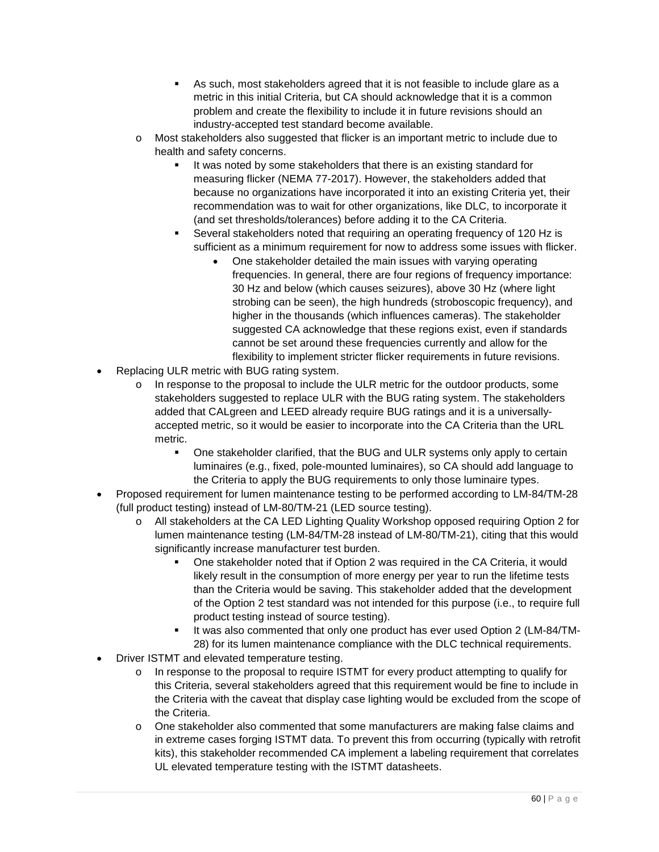- As such, most stakeholders agreed that it is not feasible to include glare as a metric in this initial Criteria, but CA should acknowledge that it is a common problem and create the flexibility to include it in future revisions should an industry-accepted test standard become available.
- o Most stakeholders also suggested that flicker is an important metric to include due to health and safety concerns.
	- It was noted by some stakeholders that there is an existing standard for measuring flicker (NEMA 77-2017). However, the stakeholders added that because no organizations have incorporated it into an existing Criteria yet, their recommendation was to wait for other organizations, like DLC, to incorporate it (and set thresholds/tolerances) before adding it to the CA Criteria.
	- Several stakeholders noted that requiring an operating frequency of 120 Hz is sufficient as a minimum requirement for now to address some issues with flicker.
		- One stakeholder detailed the main issues with varying operating frequencies. In general, there are four regions of frequency importance: 30 Hz and below (which causes seizures), above 30 Hz (where light strobing can be seen), the high hundreds (stroboscopic frequency), and higher in the thousands (which influences cameras). The stakeholder suggested CA acknowledge that these regions exist, even if standards cannot be set around these frequencies currently and allow for the flexibility to implement stricter flicker requirements in future revisions.
- Replacing ULR metric with BUG rating system.
	- o In response to the proposal to include the ULR metric for the outdoor products, some stakeholders suggested to replace ULR with the BUG rating system. The stakeholders added that CALgreen and LEED already require BUG ratings and it is a universallyaccepted metric, so it would be easier to incorporate into the CA Criteria than the URL metric.
		- One stakeholder clarified, that the BUG and ULR systems only apply to certain luminaires (e.g., fixed, pole-mounted luminaires), so CA should add language to the Criteria to apply the BUG requirements to only those luminaire types.
- Proposed requirement for lumen maintenance testing to be performed according to LM-84/TM-28 (full product testing) instead of LM-80/TM-21 (LED source testing).
	- o All stakeholders at the CA LED Lighting Quality Workshop opposed requiring Option 2 for lumen maintenance testing (LM-84/TM-28 instead of LM-80/TM-21), citing that this would significantly increase manufacturer test burden.
		- One stakeholder noted that if Option 2 was required in the CA Criteria, it would likely result in the consumption of more energy per year to run the lifetime tests than the Criteria would be saving. This stakeholder added that the development of the Option 2 test standard was not intended for this purpose (i.e., to require full product testing instead of source testing).
		- It was also commented that only one product has ever used Option 2 (LM-84/TM-28) for its lumen maintenance compliance with the DLC technical requirements.
- Driver ISTMT and elevated temperature testing.
	- o In response to the proposal to require ISTMT for every product attempting to qualify for this Criteria, several stakeholders agreed that this requirement would be fine to include in the Criteria with the caveat that display case lighting would be excluded from the scope of the Criteria.
	- o One stakeholder also commented that some manufacturers are making false claims and in extreme cases forging ISTMT data. To prevent this from occurring (typically with retrofit kits), this stakeholder recommended CA implement a labeling requirement that correlates UL elevated temperature testing with the ISTMT datasheets.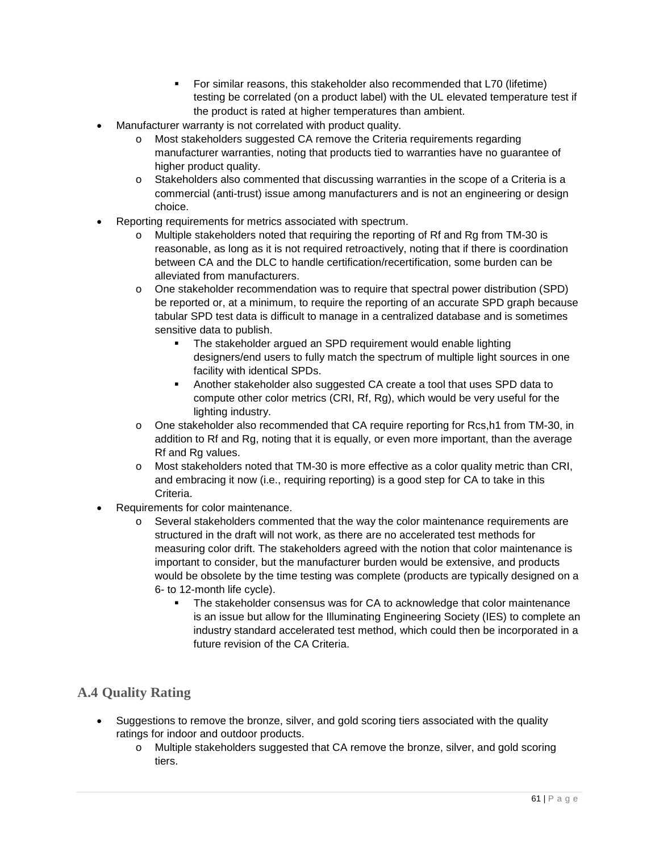- For similar reasons, this stakeholder also recommended that L70 (lifetime) testing be correlated (on a product label) with the UL elevated temperature test if the product is rated at higher temperatures than ambient.
- Manufacturer warranty is not correlated with product quality.
	- o Most stakeholders suggested CA remove the Criteria requirements regarding manufacturer warranties, noting that products tied to warranties have no guarantee of higher product quality.
	- o Stakeholders also commented that discussing warranties in the scope of a Criteria is a commercial (anti-trust) issue among manufacturers and is not an engineering or design choice.
- Reporting requirements for metrics associated with spectrum.
	- Multiple stakeholders noted that requiring the reporting of Rf and Rg from TM-30 is reasonable, as long as it is not required retroactively, noting that if there is coordination between CA and the DLC to handle certification/recertification, some burden can be alleviated from manufacturers.
	- o One stakeholder recommendation was to require that spectral power distribution (SPD) be reported or, at a minimum, to require the reporting of an accurate SPD graph because tabular SPD test data is difficult to manage in a centralized database and is sometimes sensitive data to publish.
		- The stakeholder argued an SPD requirement would enable lighting designers/end users to fully match the spectrum of multiple light sources in one facility with identical SPDs.
		- Another stakeholder also suggested CA create a tool that uses SPD data to compute other color metrics (CRI, Rf, Rg), which would be very useful for the lighting industry.
	- o One stakeholder also recommended that CA require reporting for Rcs,h1 from TM-30, in addition to Rf and Rg, noting that it is equally, or even more important, than the average Rf and Rg values.
	- o Most stakeholders noted that TM-30 is more effective as a color quality metric than CRI, and embracing it now (i.e., requiring reporting) is a good step for CA to take in this Criteria.
- Requirements for color maintenance.
	- o Several stakeholders commented that the way the color maintenance requirements are structured in the draft will not work, as there are no accelerated test methods for measuring color drift. The stakeholders agreed with the notion that color maintenance is important to consider, but the manufacturer burden would be extensive, and products would be obsolete by the time testing was complete (products are typically designed on a 6- to 12-month life cycle).
		- The stakeholder consensus was for CA to acknowledge that color maintenance is an issue but allow for the Illuminating Engineering Society (IES) to complete an industry standard accelerated test method, which could then be incorporated in a future revision of the CA Criteria.

# **A.4 Quality Rating**

- Suggestions to remove the bronze, silver, and gold scoring tiers associated with the quality ratings for indoor and outdoor products.
	- o Multiple stakeholders suggested that CA remove the bronze, silver, and gold scoring tiers.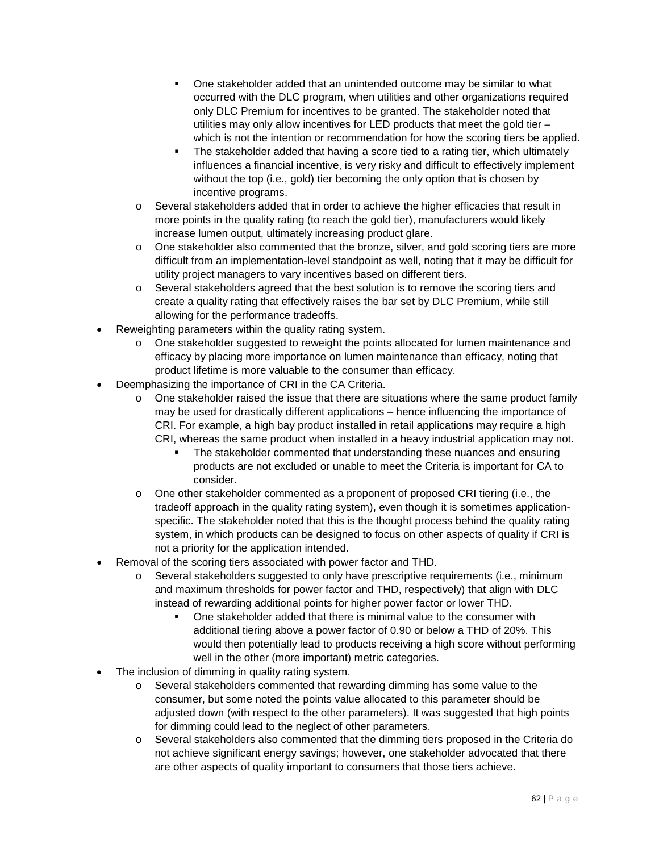- **•** One stakeholder added that an unintended outcome may be similar to what occurred with the DLC program, when utilities and other organizations required only DLC Premium for incentives to be granted. The stakeholder noted that utilities may only allow incentives for LED products that meet the gold tier – which is not the intention or recommendation for how the scoring tiers be applied.
- The stakeholder added that having a score tied to a rating tier, which ultimately influences a financial incentive, is very risky and difficult to effectively implement without the top (i.e., gold) tier becoming the only option that is chosen by incentive programs.
- o Several stakeholders added that in order to achieve the higher efficacies that result in more points in the quality rating (to reach the gold tier), manufacturers would likely increase lumen output, ultimately increasing product glare.
- o One stakeholder also commented that the bronze, silver, and gold scoring tiers are more difficult from an implementation-level standpoint as well, noting that it may be difficult for utility project managers to vary incentives based on different tiers.
- o Several stakeholders agreed that the best solution is to remove the scoring tiers and create a quality rating that effectively raises the bar set by DLC Premium, while still allowing for the performance tradeoffs.
- Reweighting parameters within the quality rating system.
	- o One stakeholder suggested to reweight the points allocated for lumen maintenance and efficacy by placing more importance on lumen maintenance than efficacy, noting that product lifetime is more valuable to the consumer than efficacy.
- Deemphasizing the importance of CRI in the CA Criteria.
	- $\circ$  One stakeholder raised the issue that there are situations where the same product family may be used for drastically different applications – hence influencing the importance of CRI. For example, a high bay product installed in retail applications may require a high CRI, whereas the same product when installed in a heavy industrial application may not.
		- The stakeholder commented that understanding these nuances and ensuring products are not excluded or unable to meet the Criteria is important for CA to consider.
	- $\circ$  One other stakeholder commented as a proponent of proposed CRI tiering (i.e., the tradeoff approach in the quality rating system), even though it is sometimes applicationspecific. The stakeholder noted that this is the thought process behind the quality rating system, in which products can be designed to focus on other aspects of quality if CRI is not a priority for the application intended.
- Removal of the scoring tiers associated with power factor and THD.
	- o Several stakeholders suggested to only have prescriptive requirements (i.e., minimum and maximum thresholds for power factor and THD, respectively) that align with DLC instead of rewarding additional points for higher power factor or lower THD.
		- One stakeholder added that there is minimal value to the consumer with additional tiering above a power factor of 0.90 or below a THD of 20%. This would then potentially lead to products receiving a high score without performing well in the other (more important) metric categories.
- The inclusion of dimming in quality rating system.
	- o Several stakeholders commented that rewarding dimming has some value to the consumer, but some noted the points value allocated to this parameter should be adjusted down (with respect to the other parameters). It was suggested that high points for dimming could lead to the neglect of other parameters.
	- o Several stakeholders also commented that the dimming tiers proposed in the Criteria do not achieve significant energy savings; however, one stakeholder advocated that there are other aspects of quality important to consumers that those tiers achieve.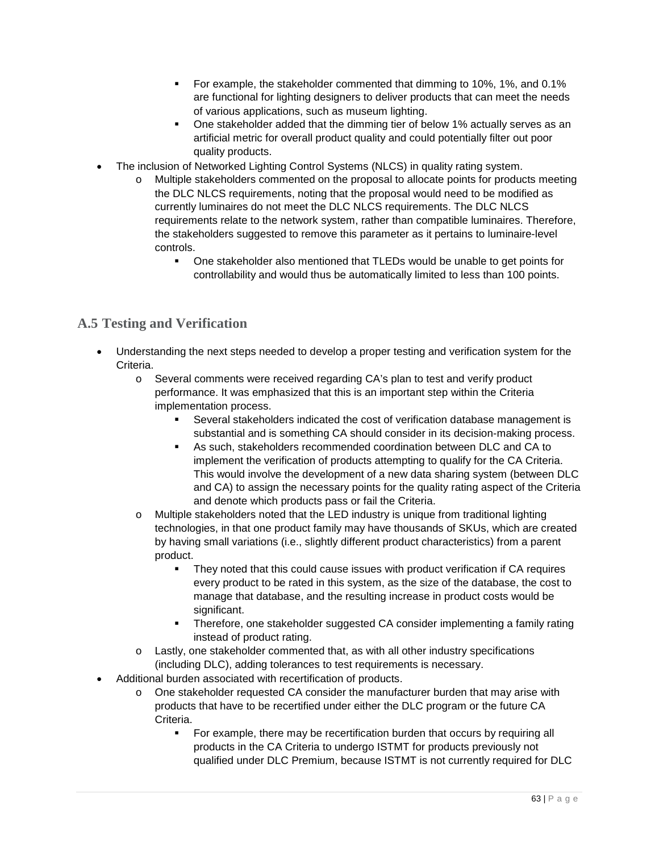- **For example, the stakeholder commented that dimming to 10%, 1%, and 0.1%** are functional for lighting designers to deliver products that can meet the needs of various applications, such as museum lighting.
- One stakeholder added that the dimming tier of below 1% actually serves as an artificial metric for overall product quality and could potentially filter out poor quality products.
- The inclusion of Networked Lighting Control Systems (NLCS) in quality rating system.
	- o Multiple stakeholders commented on the proposal to allocate points for products meeting the DLC NLCS requirements, noting that the proposal would need to be modified as currently luminaires do not meet the DLC NLCS requirements. The DLC NLCS requirements relate to the network system, rather than compatible luminaires. Therefore, the stakeholders suggested to remove this parameter as it pertains to luminaire-level controls.
		- One stakeholder also mentioned that TLEDs would be unable to get points for controllability and would thus be automatically limited to less than 100 points.

# **A.5 Testing and Verification**

- Understanding the next steps needed to develop a proper testing and verification system for the Criteria.
	- o Several comments were received regarding CA's plan to test and verify product performance. It was emphasized that this is an important step within the Criteria implementation process.
		- Several stakeholders indicated the cost of verification database management is substantial and is something CA should consider in its decision-making process.
		- As such, stakeholders recommended coordination between DLC and CA to implement the verification of products attempting to qualify for the CA Criteria. This would involve the development of a new data sharing system (between DLC and CA) to assign the necessary points for the quality rating aspect of the Criteria and denote which products pass or fail the Criteria.
	- o Multiple stakeholders noted that the LED industry is unique from traditional lighting technologies, in that one product family may have thousands of SKUs, which are created by having small variations (i.e., slightly different product characteristics) from a parent product.
		- They noted that this could cause issues with product verification if CA requires every product to be rated in this system, as the size of the database, the cost to manage that database, and the resulting increase in product costs would be significant.
		- Therefore, one stakeholder suggested CA consider implementing a family rating instead of product rating.
	- o Lastly, one stakeholder commented that, as with all other industry specifications (including DLC), adding tolerances to test requirements is necessary.
- Additional burden associated with recertification of products.
	- o One stakeholder requested CA consider the manufacturer burden that may arise with products that have to be recertified under either the DLC program or the future CA Criteria.
		- For example, there may be recertification burden that occurs by requiring all products in the CA Criteria to undergo ISTMT for products previously not qualified under DLC Premium, because ISTMT is not currently required for DLC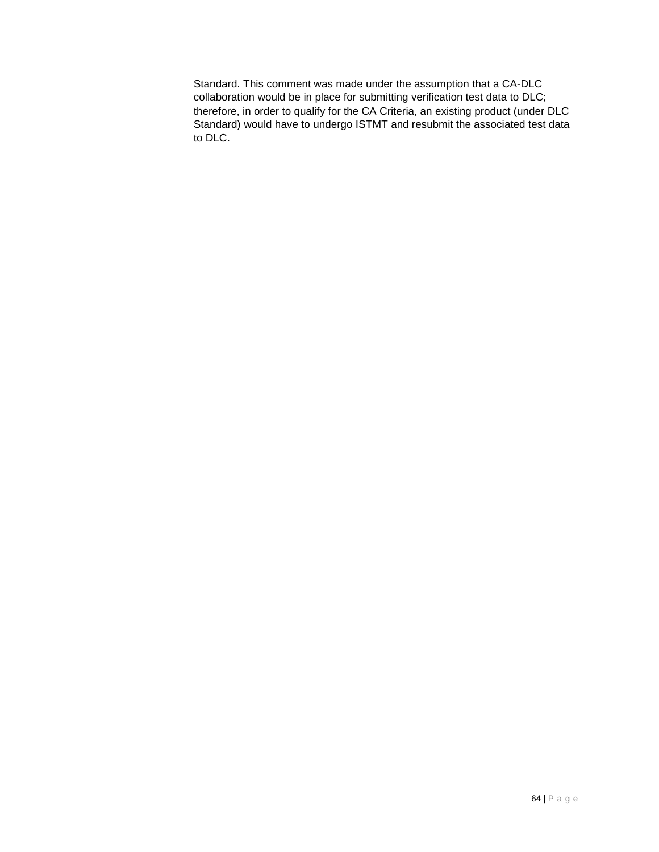Standard. This comment was made under the assumption that a CA-DLC collaboration would be in place for submitting verification test data to DLC; therefore, in order to qualify for the CA Criteria, an existing product (under DLC Standard) would have to undergo ISTMT and resubmit the associated test data to DLC.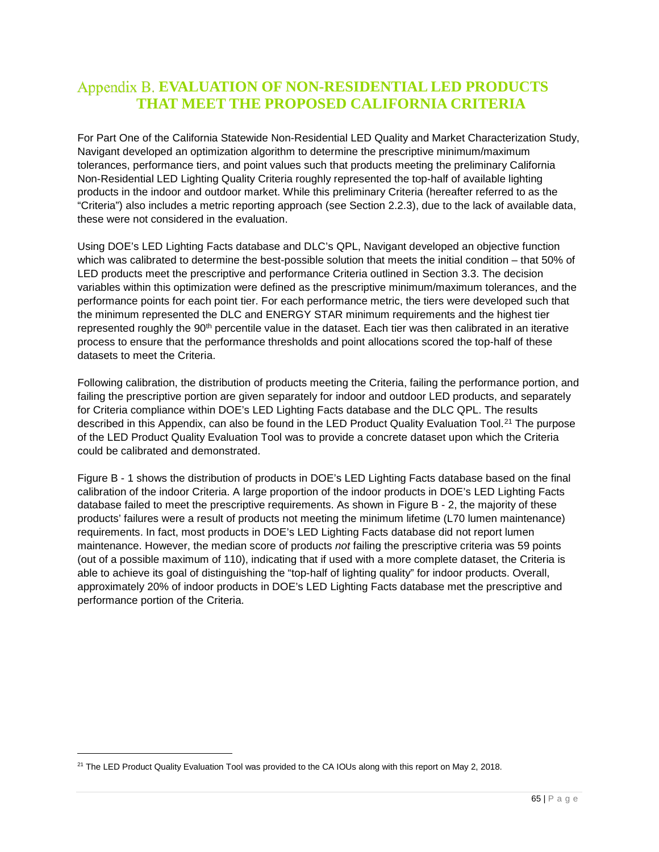# <span id="page-64-0"></span>**EVALUATION OF NON-RESIDENTIAL LED PRODUCTS THAT MEET THE PROPOSED CALIFORNIA CRITERIA**

For Part One of the California Statewide Non-Residential LED Quality and Market Characterization Study, Navigant developed an optimization algorithm to determine the prescriptive minimum/maximum tolerances, performance tiers, and point values such that products meeting the preliminary California Non-Residential LED Lighting Quality Criteria roughly represented the top-half of available lighting products in the indoor and outdoor market. While this preliminary Criteria (hereafter referred to as the "Criteria") also includes a metric reporting approach (see Section [2.2.3\)](#page-17-0), due to the lack of available data, these were not considered in the evaluation.

Using DOE's LED Lighting Facts database and DLC's QPL, Navigant developed an objective function which was calibrated to determine the best-possible solution that meets the initial condition – that 50% of LED products meet the prescriptive and performance Criteria outlined in Section [3.3.](#page-36-2) The decision variables within this optimization were defined as the prescriptive minimum/maximum tolerances, and the performance points for each point tier. For each performance metric, the tiers were developed such that the minimum represented the DLC and ENERGY STAR minimum requirements and the highest tier represented roughly the 90<sup>th</sup> percentile value in the dataset. Each tier was then calibrated in an iterative process to ensure that the performance thresholds and point allocations scored the top-half of these datasets to meet the Criteria.

Following calibration, the distribution of products meeting the Criteria, failing the performance portion, and failing the prescriptive portion are given separately for indoor and outdoor LED products, and separately for Criteria compliance within DOE's LED Lighting Facts database and the DLC QPL. The results described in this Appendix, can also be found in the LED Product Quality Evaluation Tool.[21](#page-64-1) The purpose of the LED Product Quality Evaluation Tool was to provide a concrete dataset upon which the Criteria could be calibrated and demonstrated.

[Figure B -](#page-65-0) 1 shows the distribution of products in DOE's LED Lighting Facts database based on the final calibration of the indoor Criteria. A large proportion of the indoor products in DOE's LED Lighting Facts database failed to meet the prescriptive requirements. As shown in [Figure B -](#page-65-1) 2, the majority of these products' failures were a result of products not meeting the minimum lifetime (L70 lumen maintenance) requirements. In fact, most products in DOE's LED Lighting Facts database did not report lumen maintenance. However, the median score of products *not* failing the prescriptive criteria was 59 points (out of a possible maximum of 110), indicating that if used with a more complete dataset, the Criteria is able to achieve its goal of distinguishing the "top-half of lighting quality" for indoor products. Overall, approximately 20% of indoor products in DOE's LED Lighting Facts database met the prescriptive and performance portion of the Criteria.

<span id="page-64-1"></span><sup>&</sup>lt;sup>21</sup> The LED Product Quality Evaluation Tool was provided to the CA IOUs along with this report on May 2, 2018.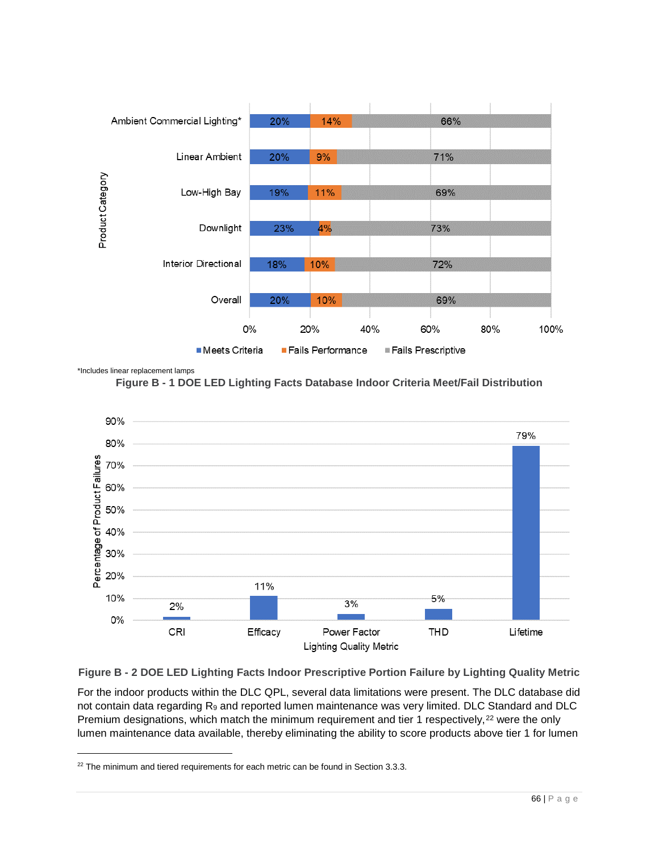

<span id="page-65-0"></span>\*Includes linear replacement lamps





<span id="page-65-1"></span>**Figure B - 2 DOE LED Lighting Facts Indoor Prescriptive Portion Failure by Lighting Quality Metric**

For the indoor products within the DLC QPL, several data limitations were present. The DLC database did not contain data regarding R<sub>9</sub> and reported lumen maintenance was very limited. DLC Standard and DLC Premium designations, which match the minimum requirement and tier 1 respectively,<sup>[22](#page-65-2)</sup> were the only lumen maintenance data available, thereby eliminating the ability to score products above tier 1 for lumen

<span id="page-65-2"></span> $22$  The minimum and tiered requirements for each metric can be found in Sectio[n 3.3.3.](#page-42-0)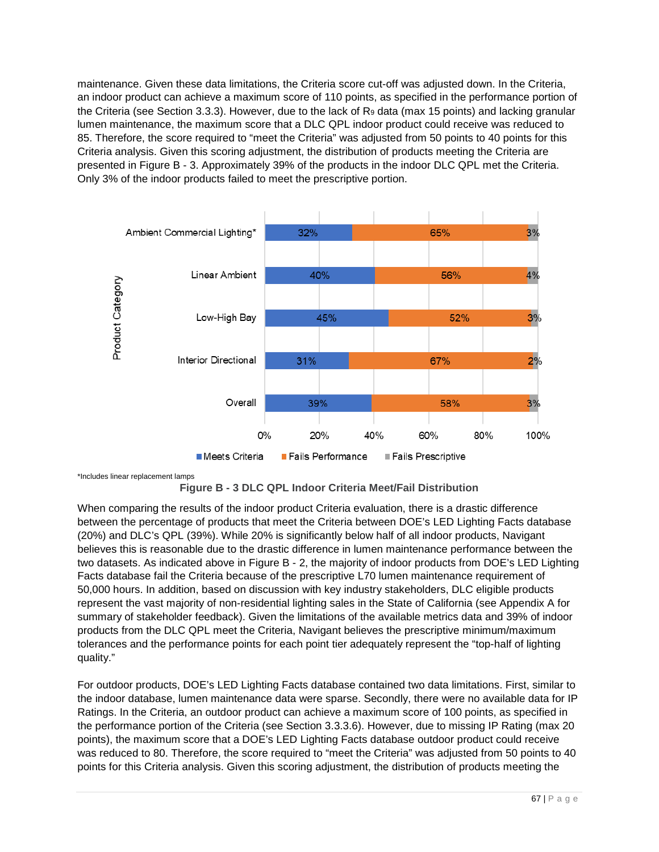maintenance. Given these data limitations, the Criteria score cut-off was adjusted down. In the Criteria, an indoor product can achieve a maximum score of 110 points, as specified in the performance portion of the Criteria (see Section [3.3.3\)](#page-42-0). However, due to the lack of  $R_9$  data (max 15 points) and lacking granular lumen maintenance, the maximum score that a DLC QPL indoor product could receive was reduced to 85. Therefore, the score required to "meet the Criteria" was adjusted from 50 points to 40 points for this Criteria analysis. Given this scoring adjustment, the distribution of products meeting the Criteria are presented in [Figure B -](#page-66-0) 3. Approximately 39% of the products in the indoor DLC QPL met the Criteria. Only 3% of the indoor products failed to meet the prescriptive portion.



<span id="page-66-0"></span>\*Includes linear replacement lamps



When comparing the results of the indoor product Criteria evaluation, there is a drastic difference between the percentage of products that meet the Criteria between DOE's LED Lighting Facts database (20%) and DLC's QPL (39%). While 20% is significantly below half of all indoor products, Navigant believes this is reasonable due to the drastic difference in lumen maintenance performance between the two datasets. As indicated above in [Figure B -](#page-65-1) 2, the majority of indoor products from DOE's LED Lighting Facts database fail the Criteria because of the prescriptive L70 lumen maintenance requirement of 50,000 hours. In addition, based on discussion with key industry stakeholders, DLC eligible products represent the vast majority of non-residential lighting sales in the State of California (see [Appendix A](#page-56-0) for summary of stakeholder feedback). Given the limitations of the available metrics data and 39% of indoor products from the DLC QPL meet the Criteria, Navigant believes the prescriptive minimum/maximum tolerances and the performance points for each point tier adequately represent the "top-half of lighting quality."

For outdoor products, DOE's LED Lighting Facts database contained two data limitations. First, similar to the indoor database, lumen maintenance data were sparse. Secondly, there were no available data for IP Ratings. In the Criteria, an outdoor product can achieve a maximum score of 100 points, as specified in the performance portion of the Criteria (see Section [3.3.3.6\)](#page-47-0). However, due to missing IP Rating (max 20 points), the maximum score that a DOE's LED Lighting Facts database outdoor product could receive was reduced to 80. Therefore, the score required to "meet the Criteria" was adjusted from 50 points to 40 points for this Criteria analysis. Given this scoring adjustment, the distribution of products meeting the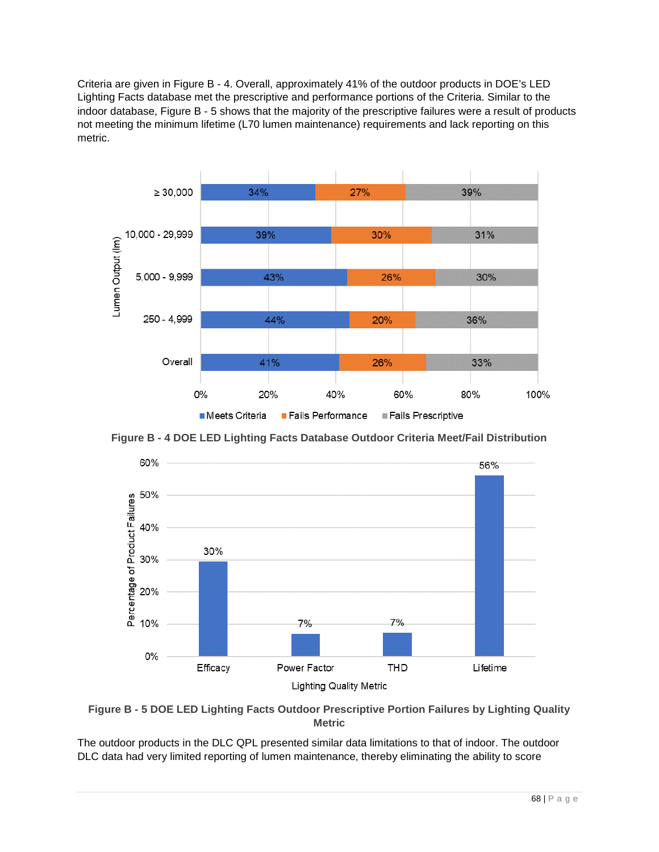Criteria are given in [Figure B -](#page-67-0) 4. Overall, approximately 41% of the outdoor products in DOE's LED Lighting Facts database met the prescriptive and performance portions of the Criteria. Similar to the indoor database, [Figure B -](#page-67-1) 5 shows that the majority of the prescriptive failures were a result of products not meeting the minimum lifetime (L70 lumen maintenance) requirements and lack reporting on this metric.



<span id="page-67-0"></span>**Figure B - 4 DOE LED Lighting Facts Database Outdoor Criteria Meet/Fail Distribution**



<span id="page-67-1"></span>**Figure B - 5 DOE LED Lighting Facts Outdoor Prescriptive Portion Failures by Lighting Quality Metric**

The outdoor products in the DLC QPL presented similar data limitations to that of indoor. The outdoor DLC data had very limited reporting of lumen maintenance, thereby eliminating the ability to score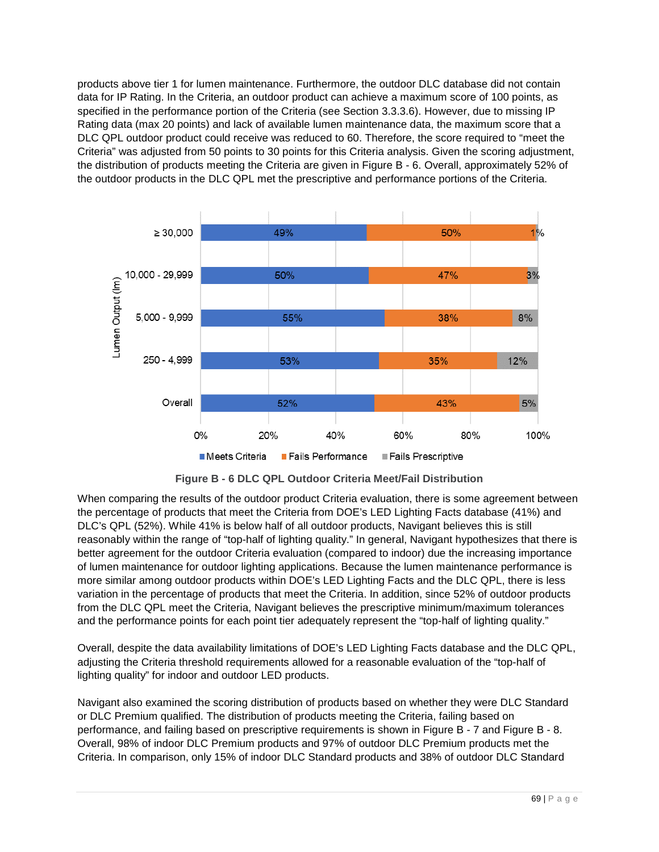products above tier 1 for lumen maintenance. Furthermore, the outdoor DLC database did not contain data for IP Rating. In the Criteria, an outdoor product can achieve a maximum score of 100 points, as specified in the performance portion of the Criteria (see Section [3.3.3.6\)](#page-47-0). However, due to missing IP Rating data (max 20 points) and lack of available lumen maintenance data, the maximum score that a DLC QPL outdoor product could receive was reduced to 60. Therefore, the score required to "meet the Criteria" was adjusted from 50 points to 30 points for this Criteria analysis. Given the scoring adjustment, the distribution of products meeting the Criteria are given in [Figure B -](#page-68-0) 6. Overall, approximately 52% of the outdoor products in the DLC QPL met the prescriptive and performance portions of the Criteria.



**Figure B - 6 DLC QPL Outdoor Criteria Meet/Fail Distribution**

<span id="page-68-0"></span>When comparing the results of the outdoor product Criteria evaluation, there is some agreement between the percentage of products that meet the Criteria from DOE's LED Lighting Facts database (41%) and DLC's QPL (52%). While 41% is below half of all outdoor products, Navigant believes this is still reasonably within the range of "top-half of lighting quality." In general, Navigant hypothesizes that there is better agreement for the outdoor Criteria evaluation (compared to indoor) due the increasing importance of lumen maintenance for outdoor lighting applications. Because the lumen maintenance performance is more similar among outdoor products within DOE's LED Lighting Facts and the DLC QPL, there is less variation in the percentage of products that meet the Criteria. In addition, since 52% of outdoor products from the DLC QPL meet the Criteria, Navigant believes the prescriptive minimum/maximum tolerances and the performance points for each point tier adequately represent the "top-half of lighting quality."

Overall, despite the data availability limitations of DOE's LED Lighting Facts database and the DLC QPL, adjusting the Criteria threshold requirements allowed for a reasonable evaluation of the "top-half of lighting quality" for indoor and outdoor LED products.

Navigant also examined the scoring distribution of products based on whether they were DLC Standard or DLC Premium qualified. The distribution of products meeting the Criteria, failing based on performance, and failing based on prescriptive requirements is shown in [Figure B -](#page-69-0) 7 and [Figure B -](#page-69-1) 8. Overall, 98% of indoor DLC Premium products and 97% of outdoor DLC Premium products met the Criteria. In comparison, only 15% of indoor DLC Standard products and 38% of outdoor DLC Standard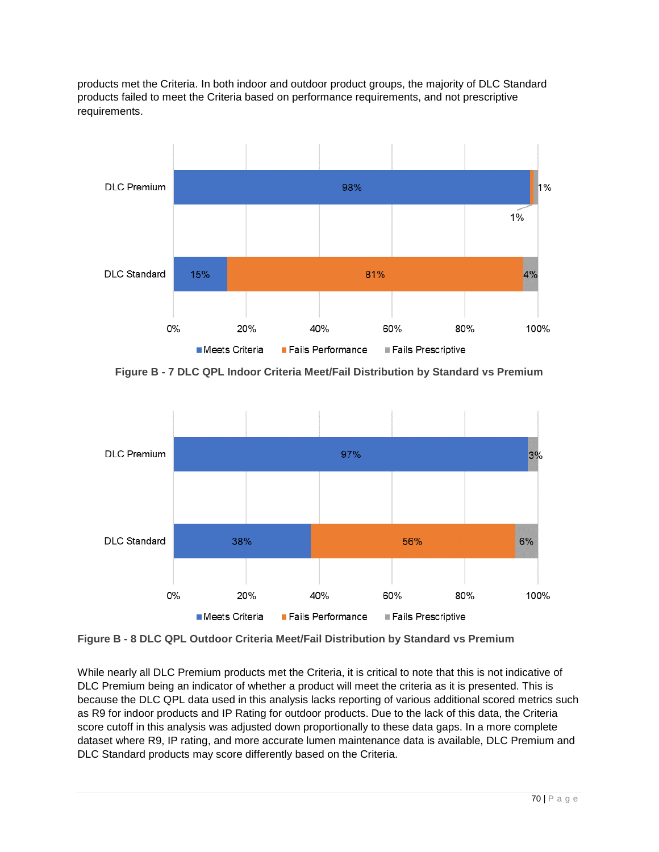products met the Criteria. In both indoor and outdoor product groups, the majority of DLC Standard products failed to meet the Criteria based on performance requirements, and not prescriptive requirements.



<span id="page-69-0"></span>**Figure B - 7 DLC QPL Indoor Criteria Meet/Fail Distribution by Standard vs Premium**



<span id="page-69-1"></span>**Figure B - 8 DLC QPL Outdoor Criteria Meet/Fail Distribution by Standard vs Premium**

While nearly all DLC Premium products met the Criteria, it is critical to note that this is not indicative of DLC Premium being an indicator of whether a product will meet the criteria as it is presented. This is because the DLC QPL data used in this analysis lacks reporting of various additional scored metrics such as R9 for indoor products and IP Rating for outdoor products. Due to the lack of this data, the Criteria score cutoff in this analysis was adjusted down proportionally to these data gaps. In a more complete dataset where R9, IP rating, and more accurate lumen maintenance data is available, DLC Premium and DLC Standard products may score differently based on the Criteria.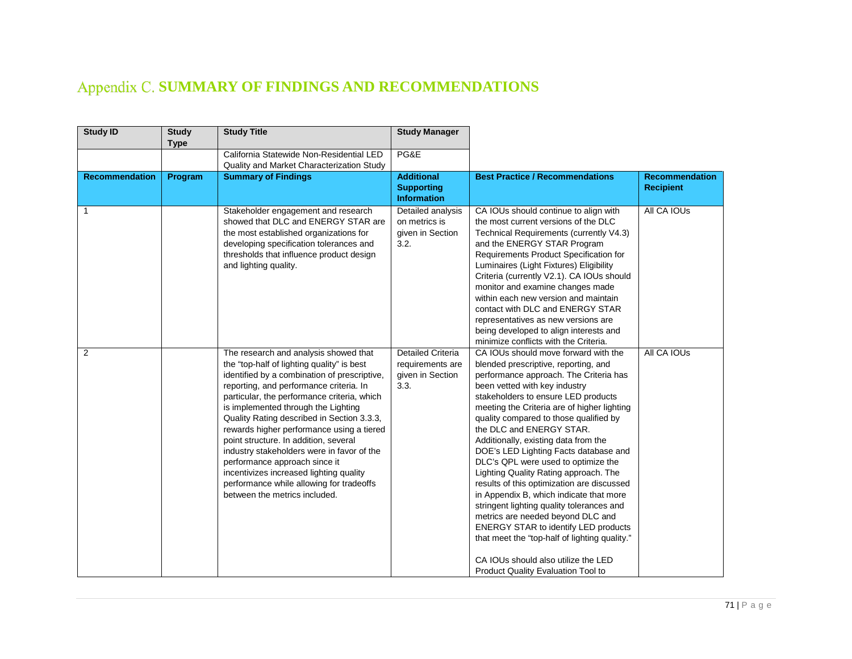# Appendix C. SUMMARY OF FINDINGS AND RECOMMENDATIONS

| <b>Study ID</b>       | <b>Study</b><br><b>Type</b> | <b>Study Title</b>                                                                                                                                                                                                                                                                                                                                                                                                                                                                                                                                                                                              | <b>Study Manager</b>                                                     |                                                                                                                                                                                                                                                                                                                                                                                                                                                                                                                                                                                                                                                                                                                                                                                                                                              |                                           |
|-----------------------|-----------------------------|-----------------------------------------------------------------------------------------------------------------------------------------------------------------------------------------------------------------------------------------------------------------------------------------------------------------------------------------------------------------------------------------------------------------------------------------------------------------------------------------------------------------------------------------------------------------------------------------------------------------|--------------------------------------------------------------------------|----------------------------------------------------------------------------------------------------------------------------------------------------------------------------------------------------------------------------------------------------------------------------------------------------------------------------------------------------------------------------------------------------------------------------------------------------------------------------------------------------------------------------------------------------------------------------------------------------------------------------------------------------------------------------------------------------------------------------------------------------------------------------------------------------------------------------------------------|-------------------------------------------|
|                       |                             | California Statewide Non-Residential LED<br>Quality and Market Characterization Study                                                                                                                                                                                                                                                                                                                                                                                                                                                                                                                           | PG&E                                                                     |                                                                                                                                                                                                                                                                                                                                                                                                                                                                                                                                                                                                                                                                                                                                                                                                                                              |                                           |
| <b>Recommendation</b> | Program                     | <b>Summary of Findings</b>                                                                                                                                                                                                                                                                                                                                                                                                                                                                                                                                                                                      | <b>Additional</b><br><b>Supporting</b><br><b>Information</b>             | <b>Best Practice / Recommendations</b>                                                                                                                                                                                                                                                                                                                                                                                                                                                                                                                                                                                                                                                                                                                                                                                                       | <b>Recommendation</b><br><b>Recipient</b> |
| 1                     |                             | Stakeholder engagement and research<br>showed that DLC and ENERGY STAR are<br>the most established organizations for<br>developing specification tolerances and<br>thresholds that influence product design<br>and lighting quality.                                                                                                                                                                                                                                                                                                                                                                            | Detailed analysis<br>on metrics is<br>given in Section<br>3.2.           | CA IOUs should continue to align with<br>the most current versions of the DLC<br>Technical Requirements (currently V4.3)<br>and the ENERGY STAR Program<br>Requirements Product Specification for<br>Luminaires (Light Fixtures) Eligibility<br>Criteria (currently V2.1). CA IOUs should<br>monitor and examine changes made<br>within each new version and maintain<br>contact with DLC and ENERGY STAR<br>representatives as new versions are<br>being developed to align interests and<br>minimize conflicts with the Criteria.                                                                                                                                                                                                                                                                                                          | All CA IOUs                               |
| $\overline{2}$        |                             | The research and analysis showed that<br>the "top-half of lighting quality" is best<br>identified by a combination of prescriptive,<br>reporting, and performance criteria. In<br>particular, the performance criteria, which<br>is implemented through the Lighting<br>Quality Rating described in Section 3.3.3,<br>rewards higher performance using a tiered<br>point structure. In addition, several<br>industry stakeholders were in favor of the<br>performance approach since it<br>incentivizes increased lighting quality<br>performance while allowing for tradeoffs<br>between the metrics included. | <b>Detailed Criteria</b><br>requirements are<br>given in Section<br>3.3. | CA IOUs should move forward with the<br>blended prescriptive, reporting, and<br>performance approach. The Criteria has<br>been vetted with key industry<br>stakeholders to ensure LED products<br>meeting the Criteria are of higher lighting<br>quality compared to those qualified by<br>the DLC and ENERGY STAR.<br>Additionally, existing data from the<br>DOE's LED Lighting Facts database and<br>DLC's QPL were used to optimize the<br>Lighting Quality Rating approach. The<br>results of this optimization are discussed<br>in Appendix B, which indicate that more<br>stringent lighting quality tolerances and<br>metrics are needed beyond DLC and<br><b>ENERGY STAR to identify LED products</b><br>that meet the "top-half of lighting quality."<br>CA IOUs should also utilize the LED<br>Product Quality Evaluation Tool to | All CA IOUs                               |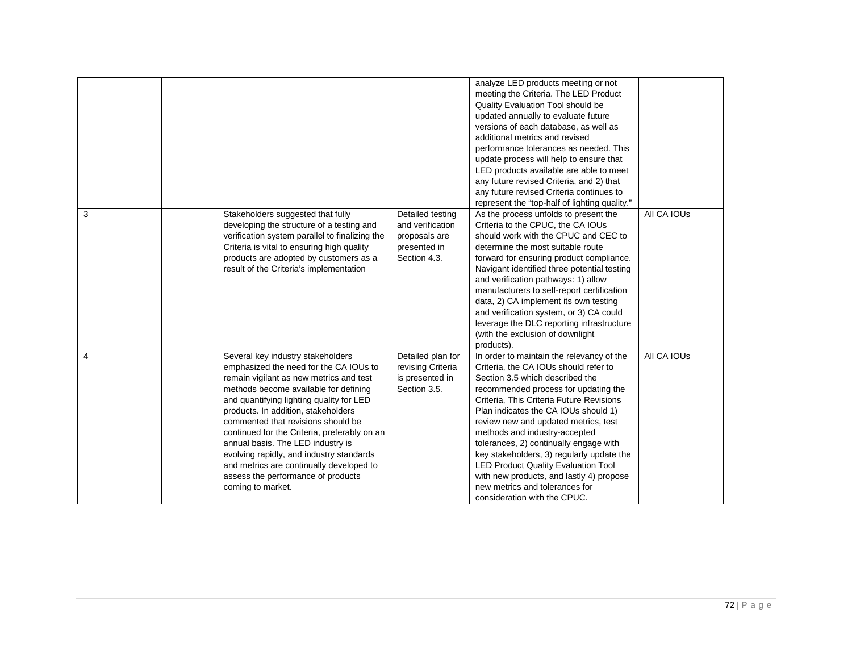|                |                                                |                   | analyze LED products meeting or not           |             |
|----------------|------------------------------------------------|-------------------|-----------------------------------------------|-------------|
|                |                                                |                   | meeting the Criteria. The LED Product         |             |
|                |                                                |                   | Quality Evaluation Tool should be             |             |
|                |                                                |                   | updated annually to evaluate future           |             |
|                |                                                |                   | versions of each database, as well as         |             |
|                |                                                |                   | additional metrics and revised                |             |
|                |                                                |                   | performance tolerances as needed. This        |             |
|                |                                                |                   | update process will help to ensure that       |             |
|                |                                                |                   | LED products available are able to meet       |             |
|                |                                                |                   | any future revised Criteria, and 2) that      |             |
|                |                                                |                   | any future revised Criteria continues to      |             |
|                |                                                |                   | represent the "top-half of lighting quality." |             |
| 3              | Stakeholders suggested that fully              | Detailed testing  | As the process unfolds to present the         | All CA IOUs |
|                | developing the structure of a testing and      | and verification  | Criteria to the CPUC, the CA IOUs             |             |
|                | verification system parallel to finalizing the | proposals are     | should work with the CPUC and CEC to          |             |
|                | Criteria is vital to ensuring high quality     | presented in      | determine the most suitable route             |             |
|                | products are adopted by customers as a         | Section 4.3.      | forward for ensuring product compliance.      |             |
|                | result of the Criteria's implementation        |                   | Navigant identified three potential testing   |             |
|                |                                                |                   | and verification pathways: 1) allow           |             |
|                |                                                |                   | manufacturers to self-report certification    |             |
|                |                                                |                   | data, 2) CA implement its own testing         |             |
|                |                                                |                   | and verification system, or 3) CA could       |             |
|                |                                                |                   | leverage the DLC reporting infrastructure     |             |
|                |                                                |                   | (with the exclusion of downlight              |             |
|                |                                                |                   | products).                                    |             |
| $\overline{4}$ | Several key industry stakeholders              | Detailed plan for | In order to maintain the relevancy of the     | All CA IOUs |
|                | emphasized the need for the CA IOUs to         | revising Criteria | Criteria, the CA IOUs should refer to         |             |
|                | remain vigilant as new metrics and test        | is presented in   | Section 3.5 which described the               |             |
|                | methods become available for defining          | Section 3.5.      | recommended process for updating the          |             |
|                | and quantifying lighting quality for LED       |                   | Criteria, This Criteria Future Revisions      |             |
|                | products. In addition, stakeholders            |                   | Plan indicates the CA IOUs should 1)          |             |
|                | commented that revisions should be             |                   | review new and updated metrics, test          |             |
|                | continued for the Criteria, preferably on an   |                   | methods and industry-accepted                 |             |
|                | annual basis. The LED industry is              |                   | tolerances, 2) continually engage with        |             |
|                | evolving rapidly, and industry standards       |                   | key stakeholders, 3) regularly update the     |             |
|                | and metrics are continually developed to       |                   | <b>LED Product Quality Evaluation Tool</b>    |             |
|                | assess the performance of products             |                   | with new products, and lastly 4) propose      |             |
|                |                                                |                   | new metrics and tolerances for                |             |
|                | coming to market.                              |                   | consideration with the CPUC.                  |             |
|                |                                                |                   |                                               |             |